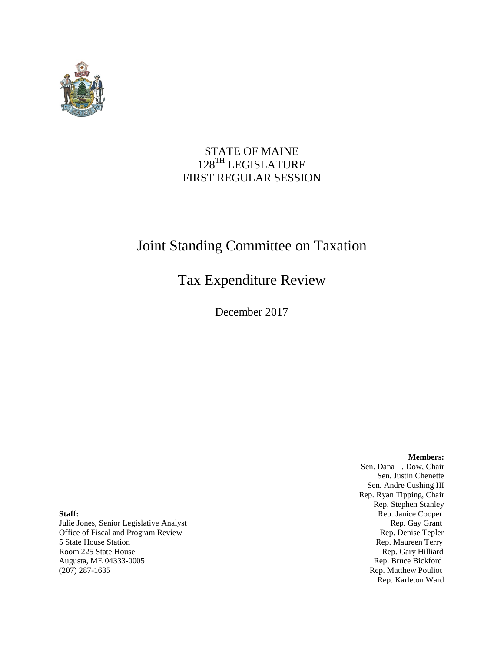

# STATE OF MAINE 128TH LEGISLATURE FIRST REGULAR SESSION

# Joint Standing Committee on Taxation

# Tax Expenditure Review

December 2017

**Members:**

Sen. Dana L. Dow, Chair Sen. Justin Chenette Sen. Andre Cushing III Rep. Ryan Tipping, Chair Rep. Stephen Stanley **Staff:** Rep. Janice Cooper Rep. Karleton Ward

Julie Jones, Senior Legislative Analyst Rep. Gay Grant Office of Fiscal and Program Review **Rep. Denise Tepler** Rep. Denise Tepler 5 State House Station **Rep. Maureen Terry Rep. Maureen Terry** Room 225 State House Rep. Gary Hilliard<br>
Augusta, ME 04333-0005 Rep. Bruce Bickford Augusta, ME 04333-0005 (207) 287-1635 Rep. Matthew Pouliot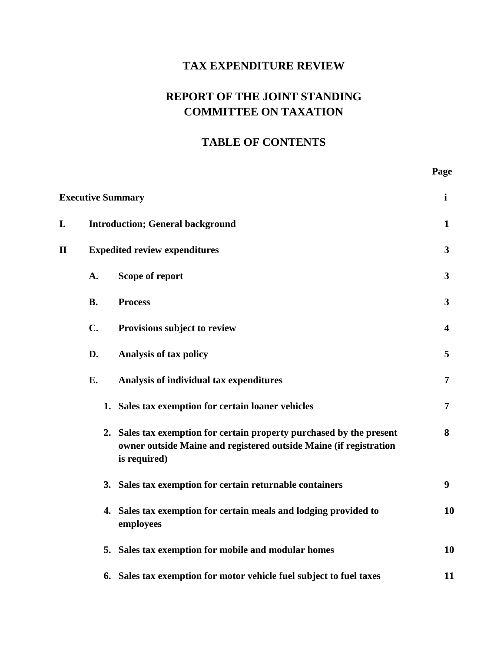# **TAX EXPENDITURE REVIEW**

# **REPORT OF THE JOINT STANDING COMMITTEE ON TAXATION**

# **TABLE OF CONTENTS**

 **Page**

| <b>Executive Summary</b> |                                      |                                                                                                                                                           | $\mathbf{i}$     |
|--------------------------|--------------------------------------|-----------------------------------------------------------------------------------------------------------------------------------------------------------|------------------|
| I.                       |                                      | <b>Introduction; General background</b>                                                                                                                   |                  |
| $\mathbf{I}\mathbf{I}$   | <b>Expedited review expenditures</b> |                                                                                                                                                           | $\mathbf{3}$     |
|                          | A.                                   | Scope of report                                                                                                                                           | $\mathbf{3}$     |
|                          | <b>B.</b>                            | <b>Process</b>                                                                                                                                            | $\mathbf{3}$     |
|                          | $C_{\bullet}$                        | Provisions subject to review                                                                                                                              | 4                |
|                          | D.                                   | Analysis of tax policy                                                                                                                                    | 5                |
|                          | E.                                   | Analysis of individual tax expenditures                                                                                                                   | 7                |
|                          |                                      | 1. Sales tax exemption for certain loaner vehicles                                                                                                        | 7                |
|                          |                                      | 2. Sales tax exemption for certain property purchased by the present<br>owner outside Maine and registered outside Maine (if registration<br>is required) | 8                |
|                          |                                      | 3. Sales tax exemption for certain returnable containers                                                                                                  | $\boldsymbol{9}$ |
|                          |                                      | 4. Sales tax exemption for certain meals and lodging provided to<br>employees                                                                             | 10               |
|                          |                                      | 5. Sales tax exemption for mobile and modular homes                                                                                                       | 10               |
|                          |                                      | 6. Sales tax exemption for motor vehicle fuel subject to fuel taxes                                                                                       | 11               |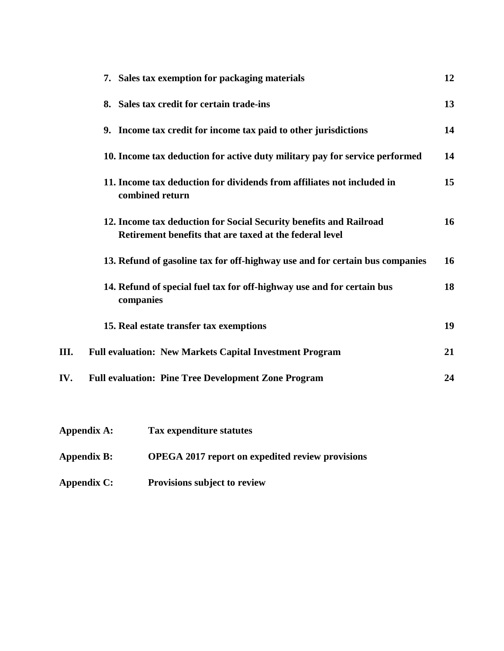|     | 7. Sales tax exemption for packaging materials                                                                                | 12 |
|-----|-------------------------------------------------------------------------------------------------------------------------------|----|
|     | 8. Sales tax credit for certain trade-ins                                                                                     | 13 |
|     | 9. Income tax credit for income tax paid to other jurisdictions                                                               | 14 |
|     | 10. Income tax deduction for active duty military pay for service performed                                                   | 14 |
|     | 11. Income tax deduction for dividends from affiliates not included in<br>combined return                                     | 15 |
|     | 12. Income tax deduction for Social Security benefits and Railroad<br>Retirement benefits that are taxed at the federal level | 16 |
|     | 13. Refund of gasoline tax for off-highway use and for certain bus companies                                                  | 16 |
|     | 14. Refund of special fuel tax for off-highway use and for certain bus<br>companies                                           | 18 |
|     | 15. Real estate transfer tax exemptions                                                                                       | 19 |
| Ш.  | <b>Full evaluation: New Markets Capital Investment Program</b>                                                                | 21 |
| IV. | <b>Full evaluation: Pine Tree Development Zone Program</b>                                                                    | 24 |
|     |                                                                                                                               |    |

- **Appendix A: Tax expenditure statutes**
- **Appendix B: OPEGA 2017 report on expedited review provisions**
- **Appendix C: Provisions subject to review**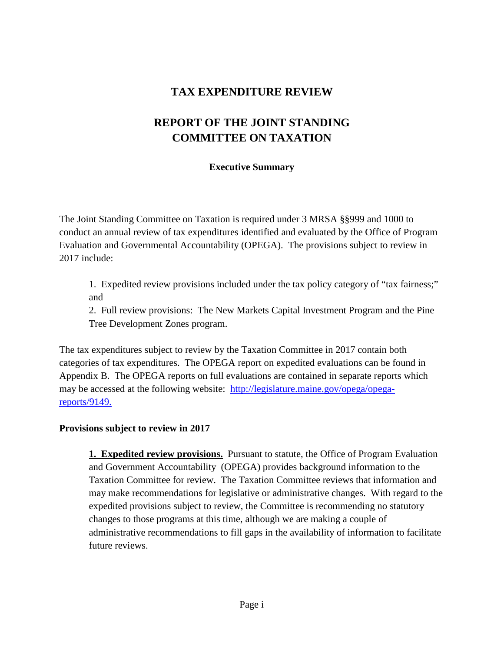# **TAX EXPENDITURE REVIEW**

# **REPORT OF THE JOINT STANDING COMMITTEE ON TAXATION**

#### **Executive Summary**

The Joint Standing Committee on Taxation is required under 3 MRSA §§999 and 1000 to conduct an annual review of tax expenditures identified and evaluated by the Office of Program Evaluation and Governmental Accountability (OPEGA). The provisions subject to review in 2017 include:

1. Expedited review provisions included under the tax policy category of "tax fairness;" and

2. Full review provisions: The New Markets Capital Investment Program and the Pine Tree Development Zones program.

The tax expenditures subject to review by the Taxation Committee in 2017 contain both categories of tax expenditures. The OPEGA report on expedited evaluations can be found in Appendix B. The OPEGA reports on full evaluations are contained in separate reports which may be accessed at the following website: [http://legislature.maine.gov/opega/opega](http://legislature.maine.gov/opega/opega-reports/9149)[reports/9149.](http://legislature.maine.gov/opega/opega-reports/9149)

#### **Provisions subject to review in 2017**

**1. Expedited review provisions.** Pursuant to statute, the Office of Program Evaluation and Government Accountability (OPEGA) provides background information to the Taxation Committee for review. The Taxation Committee reviews that information and may make recommendations for legislative or administrative changes. With regard to the expedited provisions subject to review, the Committee is recommending no statutory changes to those programs at this time, although we are making a couple of administrative recommendations to fill gaps in the availability of information to facilitate future reviews.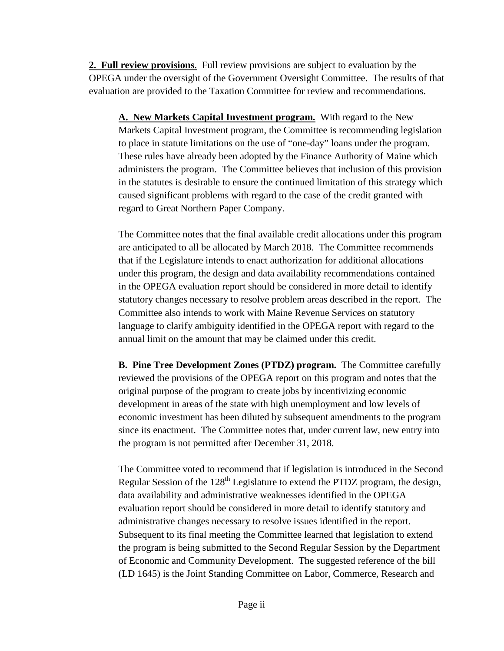**2. Full review provisions**. Full review provisions are subject to evaluation by the OPEGA under the oversight of the Government Oversight Committee. The results of that evaluation are provided to the Taxation Committee for review and recommendations.

**A. New Markets Capital Investment program.** With regard to the New Markets Capital Investment program, the Committee is recommending legislation to place in statute limitations on the use of "one-day" loans under the program. These rules have already been adopted by the Finance Authority of Maine which administers the program. The Committee believes that inclusion of this provision in the statutes is desirable to ensure the continued limitation of this strategy which caused significant problems with regard to the case of the credit granted with regard to Great Northern Paper Company.

The Committee notes that the final available credit allocations under this program are anticipated to all be allocated by March 2018. The Committee recommends that if the Legislature intends to enact authorization for additional allocations under this program, the design and data availability recommendations contained in the OPEGA evaluation report should be considered in more detail to identify statutory changes necessary to resolve problem areas described in the report. The Committee also intends to work with Maine Revenue Services on statutory language to clarify ambiguity identified in the OPEGA report with regard to the annual limit on the amount that may be claimed under this credit.

**B. Pine Tree Development Zones (PTDZ) program.** The Committee carefully reviewed the provisions of the OPEGA report on this program and notes that the original purpose of the program to create jobs by incentivizing economic development in areas of the state with high unemployment and low levels of economic investment has been diluted by subsequent amendments to the program since its enactment. The Committee notes that, under current law, new entry into the program is not permitted after December 31, 2018.

The Committee voted to recommend that if legislation is introduced in the Second Regular Session of the  $128<sup>th</sup>$  Legislature to extend the PTDZ program, the design, data availability and administrative weaknesses identified in the OPEGA evaluation report should be considered in more detail to identify statutory and administrative changes necessary to resolve issues identified in the report. Subsequent to its final meeting the Committee learned that legislation to extend the program is being submitted to the Second Regular Session by the Department of Economic and Community Development. The suggested reference of the bill (LD 1645) is the Joint Standing Committee on Labor, Commerce, Research and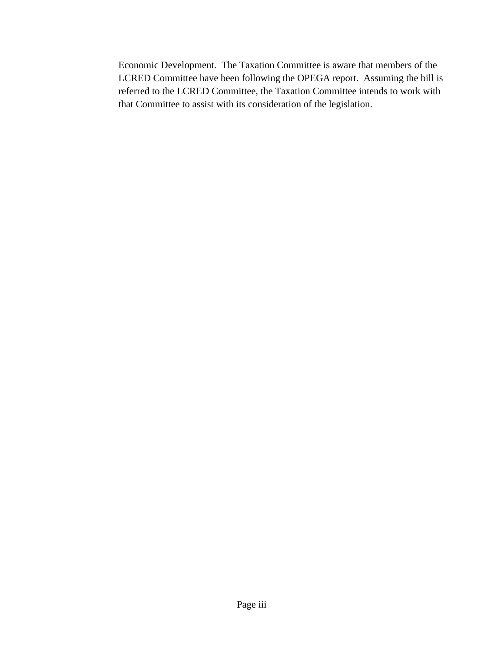Economic Development. The Taxation Committee is aware that members of the LCRED Committee have been following the OPEGA report. Assuming the bill is referred to the LCRED Committee, the Taxation Committee intends to work with that Committee to assist with its consideration of the legislation.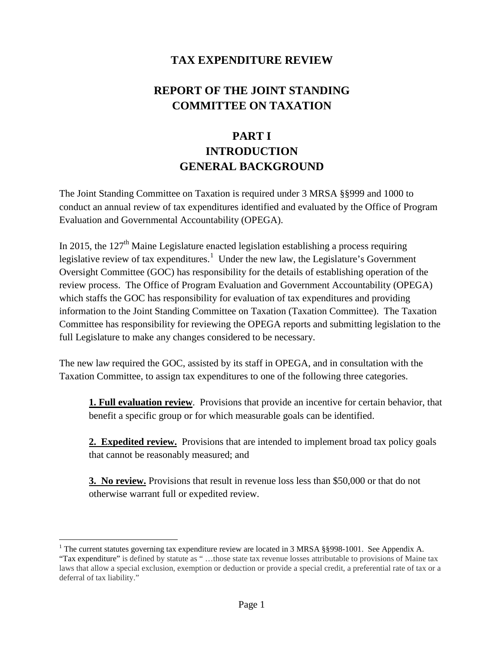# **TAX EXPENDITURE REVIEW**

# **REPORT OF THE JOINT STANDING COMMITTEE ON TAXATION**

# **PART I INTRODUCTION GENERAL BACKGROUND**

The Joint Standing Committee on Taxation is required under 3 MRSA §§999 and 1000 to conduct an annual review of tax expenditures identified and evaluated by the Office of Program Evaluation and Governmental Accountability (OPEGA).

In 2015, the  $127<sup>th</sup>$  Maine Legislature enacted legislation establishing a process requiring legislative review of tax expenditures.<sup>[1](#page-10-0)</sup> Under the new law, the Legislature's Government Oversight Committee (GOC) has responsibility for the details of establishing operation of the review process. The Office of Program Evaluation and Government Accountability (OPEGA) which staffs the GOC has responsibility for evaluation of tax expenditures and providing information to the Joint Standing Committee on Taxation (Taxation Committee). The Taxation Committee has responsibility for reviewing the OPEGA reports and submitting legislation to the full Legislature to make any changes considered to be necessary.

The new la*w* required the GOC, assisted by its staff in OPEGA, and in consultation with the Taxation Committee, to assign tax expenditures to one of the following three categories.

**1. Full evaluation review**. Provisions that provide an incentive for certain behavior, that benefit a specific group or for which measurable goals can be identified.

2. Expedited review. Provisions that are intended to implement broad tax policy goals that cannot be reasonably measured; and

**3. No review.** Provisions that result in revenue loss less than \$50,000 or that do not otherwise warrant full or expedited review.

<span id="page-10-0"></span><sup>&</sup>lt;sup>1</sup> The current statutes governing tax expenditure review are located in 3 MRSA  $\S$ §998-1001. See Appendix A. "Tax expenditure" is defined by statute as " …those state tax revenue losses attributable to provisions of Maine tax laws that allow a special exclusion, exemption or deduction or provide a special credit, a preferential rate of tax or a deferral of tax liability."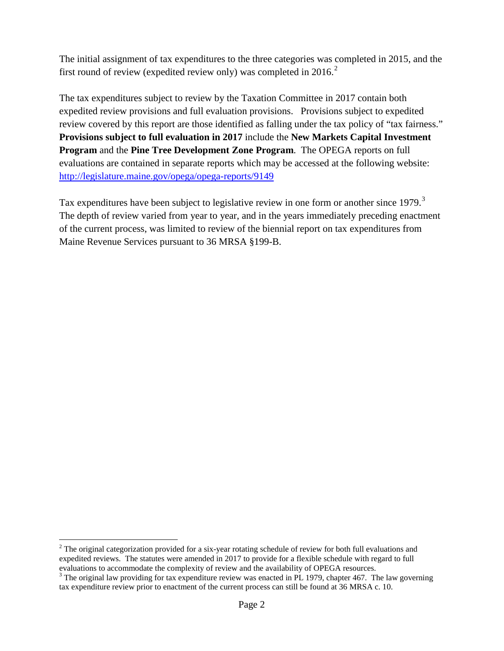The initial assignment of tax expenditures to the three categories was completed in 2015, and the first round of review (expedited review only) was completed in  $2016$  $2016$ <sup>2</sup>

The tax expenditures subject to review by the Taxation Committee in 2017 contain both expedited review provisions and full evaluation provisions. Provisions subject to expedited review covered by this report are those identified as falling under the tax policy of "tax fairness." **Provisions subject to full evaluation in 2017** include the **New Markets Capital Investment Program** and the **Pine Tree Development Zone Program**. The OPEGA reports on full evaluations are contained in separate reports which may be accessed at the following website: <http://legislature.maine.gov/opega/opega-reports/9149>

Tax expenditures have been subject to legislative review in one form or another since 1979.<sup>[3](#page-11-1)</sup> The depth of review varied from year to year, and in the years immediately preceding enactment of the current process, was limited to review of the biennial report on tax expenditures from Maine Revenue Services pursuant to 36 MRSA §199-B.

<span id="page-11-0"></span><sup>&</sup>lt;sup>2</sup> The original categorization provided for a six-year rotating schedule of review for both full evaluations and expedited reviews. The statutes were amended in 2017 to provide for a flexible schedule with regard to full evaluations to accommodate the complexity of review and the availability of OPEGA resources.

<span id="page-11-1"></span> $3$  The original law providing for tax expenditure review was enacted in PL 1979, chapter 467. The law governing tax expenditure review prior to enactment of the current process can still be found at 36 MRSA c. 10.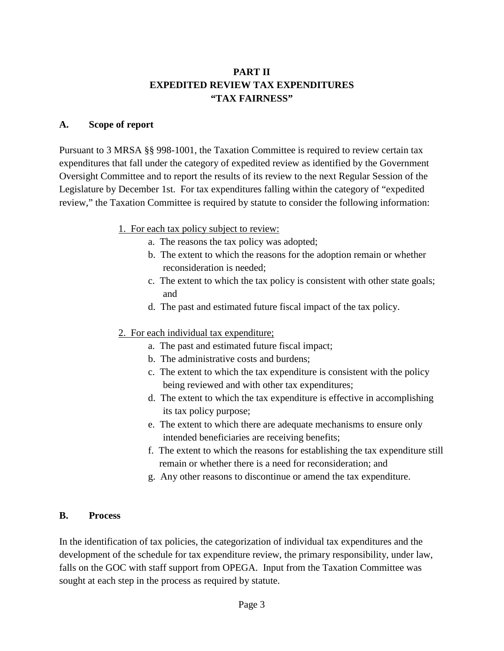## **PART II EXPEDITED REVIEW TAX EXPENDITURES "TAX FAIRNESS"**

#### **A. Scope of report**

Pursuant to 3 MRSA §§ 998-1001, the Taxation Committee is required to review certain tax expenditures that fall under the category of expedited review as identified by the Government Oversight Committee and to report the results of its review to the next Regular Session of the Legislature by December 1st. For tax expenditures falling within the category of "expedited review," the Taxation Committee is required by statute to consider the following information:

- 1. For each tax policy subject to review:
	- a. The reasons the tax policy was adopted;
	- b. The extent to which the reasons for the adoption remain or whether reconsideration is needed;
	- c. The extent to which the tax policy is consistent with other state goals; and
	- d. The past and estimated future fiscal impact of the tax policy.
- 2. For each individual tax expenditure;
	- a. The past and estimated future fiscal impact;
	- b. The administrative costs and burdens;
	- c. The extent to which the tax expenditure is consistent with the policy being reviewed and with other tax expenditures;
	- d. The extent to which the tax expenditure is effective in accomplishing its tax policy purpose;
	- e. The extent to which there are adequate mechanisms to ensure only intended beneficiaries are receiving benefits;
	- f. The extent to which the reasons for establishing the tax expenditure still remain or whether there is a need for reconsideration; and
	- g. Any other reasons to discontinue or amend the tax expenditure.

#### **B. Process**

In the identification of tax policies, the categorization of individual tax expenditures and the development of the schedule for tax expenditure review, the primary responsibility, under law, falls on the GOC with staff support from OPEGA. Input from the Taxation Committee was sought at each step in the process as required by statute.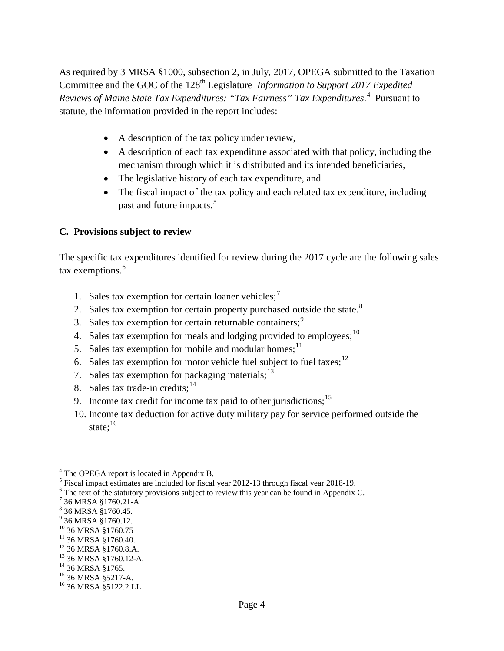As required by 3 MRSA §1000, subsection 2, in July, 2017, OPEGA submitted to the Taxation Committee and the GOC of the 128<sup>th</sup> Legislature *Information to Support 2017 Expedited Reviews of Maine State Tax Expenditures: "Tax Fairness" Tax Expenditures*. [4](#page-13-0) Pursuant to statute, the information provided in the report includes:

- A description of the tax policy under review,
- A description of each tax expenditure associated with that policy, including the mechanism through which it is distributed and its intended beneficiaries,
- The legislative history of each tax expenditure, and
- The fiscal impact of the tax policy and each related tax expenditure, including past and future impacts.<sup>[5](#page-13-1)</sup>

### **C. Provisions subject to review**

The specific tax expenditures identified for review during the 2017 cycle are the following sales tax exemptions. [6](#page-13-2)

- 1. Sales tax exemption for certain loaner vehicles;<sup>[7](#page-13-3)</sup>
- 2. Sales tax exemption for certain property purchased outside the state.<sup>[8](#page-13-4)</sup>
- 3. Sales tax exemption for certain returnable containers;<sup>[9](#page-13-5)</sup>
- 4. Sales tax exemption for meals and lodging provided to employees;  $10$
- 5. Sales tax exemption for mobile and modular homes;  $11$
- 6. Sales tax exemption for motor vehicle fuel subject to fuel taxes;  $12$
- 7. Sales tax exemption for packaging materials;  $13$
- 8. Sales tax trade-in credits;  $14$
- 9. Income tax credit for income tax paid to other jurisdictions;<sup>[15](#page-13-11)</sup>
- 10. Income tax deduction for active duty military pay for service performed outside the state: $16$

<span id="page-13-0"></span><sup>&</sup>lt;sup>4</sup> The OPEGA report is located in Appendix B.

<span id="page-13-1"></span><sup>&</sup>lt;sup>5</sup> Fiscal impact estimates are included for fiscal year 2012-13 through fiscal year 2018-19. <sup>6</sup> The text of the statutory provisions subject to review this year can be found in Appendix C.

<span id="page-13-2"></span>

<span id="page-13-3"></span> $^7$  36 MRSA §1760.21-A<br> $^8$  36 MRSA §1760.45.

<span id="page-13-5"></span><span id="page-13-4"></span> $^{9}$  36 MRSA §1760.12.<br><sup>10</sup> 36 MRSA §1760.75

<span id="page-13-6"></span>

<span id="page-13-8"></span>

<span id="page-13-7"></span><sup>&</sup>lt;sup>11</sup> 36 MRSA §1760.40.<br><sup>12</sup> 36 MRSA §1760.8.A.<br><sup>13</sup> 36 MRSA §1760.12-A.<br><sup>14</sup> 36 MRSA §1765.<br><sup>15</sup> 36 MRSA §5122.2.LL

<span id="page-13-10"></span><span id="page-13-9"></span>

<span id="page-13-11"></span>

<span id="page-13-12"></span>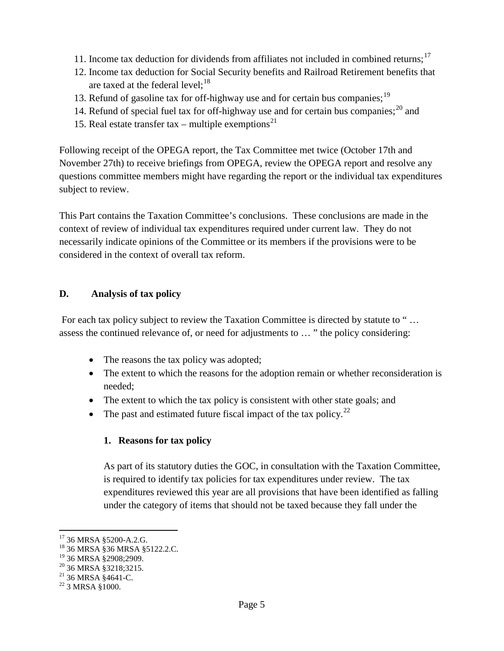- 11. Income tax deduction for dividends from affiliates not included in combined returns;<sup>[17](#page-14-0)</sup>
- 12. Income tax deduction for Social Security benefits and Railroad Retirement benefits that are taxed at the federal level; $^{18}$  $^{18}$  $^{18}$
- 13. Refund of gasoline tax for off-highway use and for certain bus companies;<sup>[19](#page-14-2)</sup>
- 14. Refund of special fuel tax for off-highway use and for certain bus companies;  $^{20}$  $^{20}$  $^{20}$  and
- 15. Real estate transfer tax multiple exemptions<sup>[21](#page-14-4)</sup>

Following receipt of the OPEGA report, the Tax Committee met twice (October 17th and November 27th) to receive briefings from OPEGA, review the OPEGA report and resolve any questions committee members might have regarding the report or the individual tax expenditures subject to review.

This Part contains the Taxation Committee's conclusions. These conclusions are made in the context of review of individual tax expenditures required under current law. They do not necessarily indicate opinions of the Committee or its members if the provisions were to be considered in the context of overall tax reform.

#### **D. Analysis of tax policy**

For each tax policy subject to review the Taxation Committee is directed by statute to " … assess the continued relevance of, or need for adjustments to … " the policy considering:

- The reasons the tax policy was adopted;
- The extent to which the reasons for the adoption remain or whether reconsideration is needed;
- The extent to which the tax policy is consistent with other state goals; and
- The past and estimated future fiscal impact of the tax policy.<sup>[22](#page-14-5)</sup>

### **1. Reasons for tax policy**

As part of its statutory duties the GOC, in consultation with the Taxation Committee, is required to identify tax policies for tax expenditures under review. The tax expenditures reviewed this year are all provisions that have been identified as falling under the category of items that should not be taxed because they fall under the

<span id="page-14-1"></span>

<span id="page-14-0"></span><sup>&</sup>lt;sup>17</sup> 36 MRSA §5200-A.2.G.<br><sup>18</sup> 36 MRSA §36 MRSA §5122.2.C.<br><sup>19</sup> 36 MRSA §2908;2909.

<span id="page-14-3"></span><span id="page-14-2"></span><sup>&</sup>lt;sup>20</sup> 36 MRSA §3218;3215.<br><sup>21</sup> 36 MRSA §4641-C.<br><sup>22</sup> 3 MRSA §1000.

<span id="page-14-4"></span>

<span id="page-14-5"></span>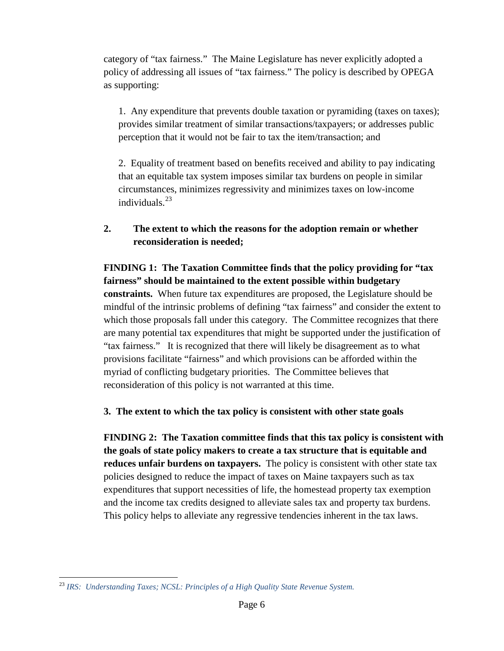category of "tax fairness." The Maine Legislature has never explicitly adopted a policy of addressing all issues of "tax fairness." The policy is described by OPEGA as supporting:

1. Any expenditure that prevents double taxation or pyramiding (taxes on taxes); provides similar treatment of similar transactions/taxpayers; or addresses public perception that it would not be fair to tax the item/transaction; and

2. Equality of treatment based on benefits received and ability to pay indicating that an equitable tax system imposes similar tax burdens on people in similar circumstances, minimizes regressivity and minimizes taxes on low-income individuals $^{23}$  $^{23}$  $^{23}$ 

**2. The extent to which the reasons for the adoption remain or whether reconsideration is needed;**

#### **FINDING 1: The Taxation Committee finds that the policy providing for "tax fairness" should be maintained to the extent possible within budgetary**

**constraints.** When future tax expenditures are proposed, the Legislature should be mindful of the intrinsic problems of defining "tax fairness" and consider the extent to which those proposals fall under this category. The Committee recognizes that there are many potential tax expenditures that might be supported under the justification of "tax fairness." It is recognized that there will likely be disagreement as to what provisions facilitate "fairness" and which provisions can be afforded within the myriad of conflicting budgetary priorities. The Committee believes that reconsideration of this policy is not warranted at this time.

### **3. The extent to which the tax policy is consistent with other state goals**

**FINDING 2: The Taxation committee finds that this tax policy is consistent with the goals of state policy makers to create a tax structure that is equitable and reduces unfair burdens on taxpayers.** The policy is consistent with other state tax policies designed to reduce the impact of taxes on Maine taxpayers such as tax expenditures that support necessities of life, the homestead property tax exemption and the income tax credits designed to alleviate sales tax and property tax burdens. This policy helps to alleviate any regressive tendencies inherent in the tax laws.

<span id="page-15-0"></span> <sup>23</sup> *IRS: Understanding Taxes; NCSL: Principles of a High Quality State Revenue System.*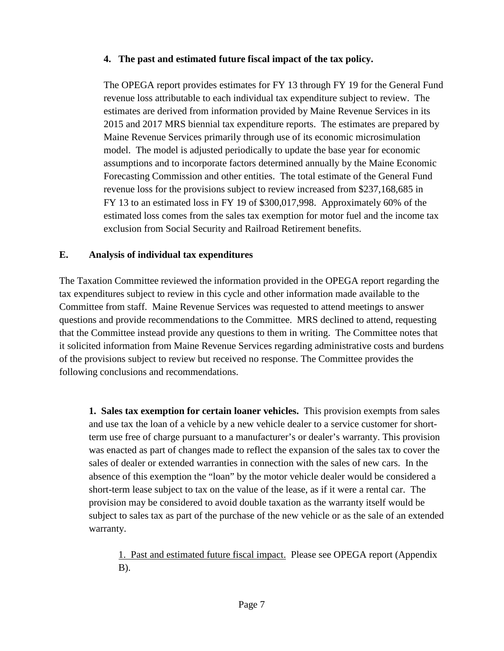#### **4. The past and estimated future fiscal impact of the tax policy.**

The OPEGA report provides estimates for FY 13 through FY 19 for the General Fund revenue loss attributable to each individual tax expenditure subject to review. The estimates are derived from information provided by Maine Revenue Services in its 2015 and 2017 MRS biennial tax expenditure reports. The estimates are prepared by Maine Revenue Services primarily through use of its economic microsimulation model. The model is adjusted periodically to update the base year for economic assumptions and to incorporate factors determined annually by the Maine Economic Forecasting Commission and other entities. The total estimate of the General Fund revenue loss for the provisions subject to review increased from \$237,168,685 in FY 13 to an estimated loss in FY 19 of \$300,017,998. Approximately 60% of the estimated loss comes from the sales tax exemption for motor fuel and the income tax exclusion from Social Security and Railroad Retirement benefits.

#### **E. Analysis of individual tax expenditures**

The Taxation Committee reviewed the information provided in the OPEGA report regarding the tax expenditures subject to review in this cycle and other information made available to the Committee from staff. Maine Revenue Services was requested to attend meetings to answer questions and provide recommendations to the Committee. MRS declined to attend, requesting that the Committee instead provide any questions to them in writing. The Committee notes that it solicited information from Maine Revenue Services regarding administrative costs and burdens of the provisions subject to review but received no response. The Committee provides the following conclusions and recommendations.

**1. Sales tax exemption for certain loaner vehicles.** This provision exempts from sales and use tax the loan of a vehicle by a new vehicle dealer to a service customer for shortterm use free of charge pursuant to a manufacturer's or dealer's warranty. This provision was enacted as part of changes made to reflect the expansion of the sales tax to cover the sales of dealer or extended warranties in connection with the sales of new cars. In the absence of this exemption the "loan" by the motor vehicle dealer would be considered a short-term lease subject to tax on the value of the lease, as if it were a rental car. The provision may be considered to avoid double taxation as the warranty itself would be subject to sales tax as part of the purchase of the new vehicle or as the sale of an extended warranty.

1. Past and estimated future fiscal impact. Please see OPEGA report (Appendix B).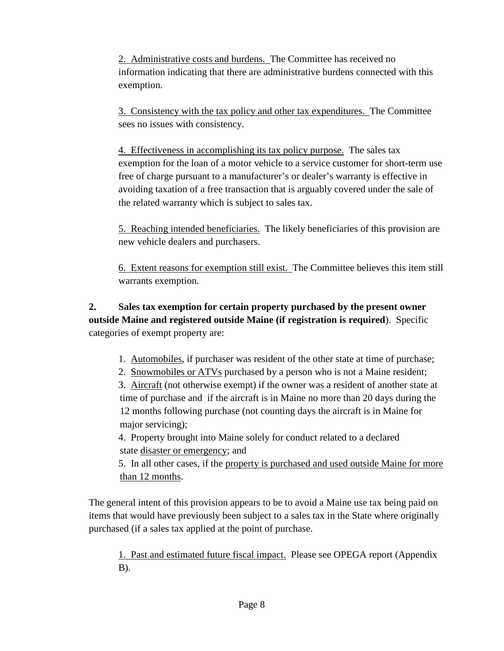2. Administrative costs and burdens. The Committee has received no information indicating that there are administrative burdens connected with this exemption.

3. Consistency with the tax policy and other tax expenditures. The Committee sees no issues with consistency.

4. Effectiveness in accomplishing its tax policy purpose. The sales tax exemption for the loan of a motor vehicle to a service customer for short-term use free of charge pursuant to a manufacturer's or dealer's warranty is effective in avoiding taxation of a free transaction that is arguably covered under the sale of the related warranty which is subject to sales tax.

5. Reaching intended beneficiaries. The likely beneficiaries of this provision are new vehicle dealers and purchasers.

6. Extent reasons for exemption still exist. The Committee believes this item still warrants exemption.

**2. Sales tax exemption for certain property purchased by the present owner outside Maine and registered outside Maine (if registration is required**). Specific categories of exempt property are:

1. Automobiles, if purchaser was resident of the other state at time of purchase;

2. Snowmobiles or ATVs purchased by a person who is not a Maine resident;

3. Aircraft (not otherwise exempt) if the owner was a resident of another state at time of purchase and if the aircraft is in Maine no more than 20 days during the 12 months following purchase (not counting days the aircraft is in Maine for major servicing);

4. Property brought into Maine solely for conduct related to a declared state disaster or emergency; and

5. In all other cases, if the property is purchased and used outside Maine for more than 12 months.

The general intent of this provision appears to be to avoid a Maine use tax being paid on items that would have previously been subject to a sales tax in the State where originally purchased (if a sales tax applied at the point of purchase.

1. Past and estimated future fiscal impact. Please see OPEGA report (Appendix  $B$ ).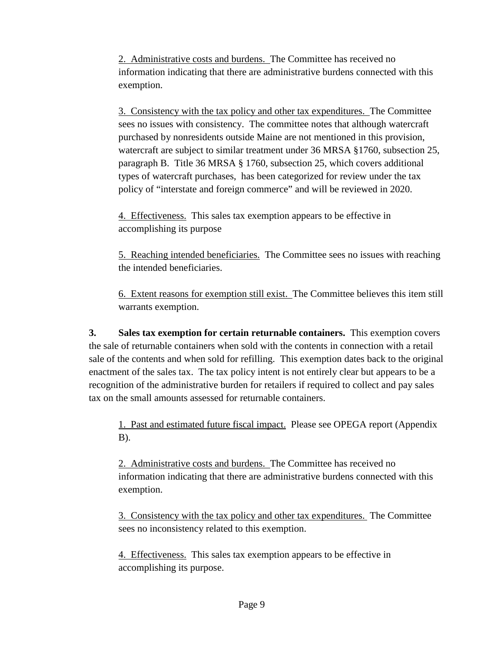2. Administrative costs and burdens. The Committee has received no information indicating that there are administrative burdens connected with this exemption.

3. Consistency with the tax policy and other tax expenditures. The Committee sees no issues with consistency. The committee notes that although watercraft purchased by nonresidents outside Maine are not mentioned in this provision, watercraft are subject to similar treatment under 36 MRSA §1760, subsection 25, paragraph B. Title 36 MRSA § 1760, subsection 25, which covers additional types of watercraft purchases, has been categorized for review under the tax policy of "interstate and foreign commerce" and will be reviewed in 2020.

4. Effectiveness. This sales tax exemption appears to be effective in accomplishing its purpose

5. Reaching intended beneficiaries. The Committee sees no issues with reaching the intended beneficiaries.

6. Extent reasons for exemption still exist. The Committee believes this item still warrants exemption.

**3. Sales tax exemption for certain returnable containers.** This exemption covers the sale of returnable containers when sold with the contents in connection with a retail sale of the contents and when sold for refilling. This exemption dates back to the original enactment of the sales tax. The tax policy intent is not entirely clear but appears to be a recognition of the administrative burden for retailers if required to collect and pay sales tax on the small amounts assessed for returnable containers.

1. Past and estimated future fiscal impact. Please see OPEGA report (Appendix B).

2. Administrative costs and burdens. The Committee has received no information indicating that there are administrative burdens connected with this exemption.

3. Consistency with the tax policy and other tax expenditures. The Committee sees no inconsistency related to this exemption.

4. Effectiveness. This sales tax exemption appears to be effective in accomplishing its purpose.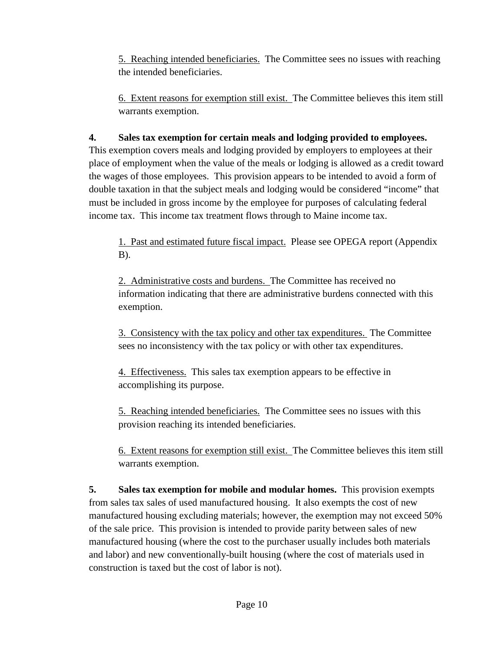5. Reaching intended beneficiaries. The Committee sees no issues with reaching the intended beneficiaries.

6. Extent reasons for exemption still exist. The Committee believes this item still warrants exemption.

## **4. Sales tax exemption for certain meals and lodging provided to employees.**

This exemption covers meals and lodging provided by employers to employees at their place of employment when the value of the meals or lodging is allowed as a credit toward the wages of those employees. This provision appears to be intended to avoid a form of double taxation in that the subject meals and lodging would be considered "income" that must be included in gross income by the employee for purposes of calculating federal income tax. This income tax treatment flows through to Maine income tax.

1. Past and estimated future fiscal impact. Please see OPEGA report (Appendix B).

2. Administrative costs and burdens. The Committee has received no information indicating that there are administrative burdens connected with this exemption.

3. Consistency with the tax policy and other tax expenditures. The Committee sees no inconsistency with the tax policy or with other tax expenditures.

4. Effectiveness. This sales tax exemption appears to be effective in accomplishing its purpose.

5. Reaching intended beneficiaries. The Committee sees no issues with this provision reaching its intended beneficiaries.

6. Extent reasons for exemption still exist. The Committee believes this item still warrants exemption.

**5. Sales tax exemption for mobile and modular homes.** This provision exempts from sales tax sales of used manufactured housing. It also exempts the cost of new manufactured housing excluding materials; however, the exemption may not exceed 50% of the sale price. This provision is intended to provide parity between sales of new manufactured housing (where the cost to the purchaser usually includes both materials and labor) and new conventionally-built housing (where the cost of materials used in construction is taxed but the cost of labor is not).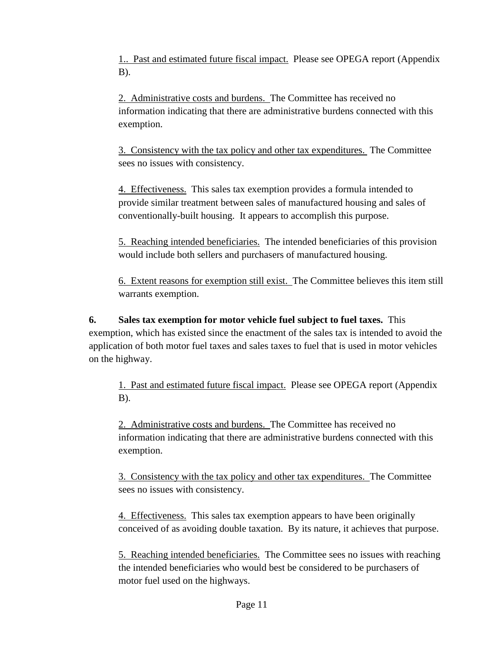1.. Past and estimated future fiscal impact. Please see OPEGA report (Appendix B).

2. Administrative costs and burdens. The Committee has received no information indicating that there are administrative burdens connected with this exemption.

3. Consistency with the tax policy and other tax expenditures. The Committee sees no issues with consistency.

4. Effectiveness. This sales tax exemption provides a formula intended to provide similar treatment between sales of manufactured housing and sales of conventionally-built housing. It appears to accomplish this purpose.

5. Reaching intended beneficiaries. The intended beneficiaries of this provision would include both sellers and purchasers of manufactured housing.

6. Extent reasons for exemption still exist. The Committee believes this item still warrants exemption.

**6. Sales tax exemption for motor vehicle fuel subject to fuel taxes.** This exemption, which has existed since the enactment of the sales tax is intended to avoid the application of both motor fuel taxes and sales taxes to fuel that is used in motor vehicles on the highway.

1. Past and estimated future fiscal impact. Please see OPEGA report (Appendix B).

2. Administrative costs and burdens. The Committee has received no information indicating that there are administrative burdens connected with this exemption.

3. Consistency with the tax policy and other tax expenditures. The Committee sees no issues with consistency.

4. Effectiveness. This sales tax exemption appears to have been originally conceived of as avoiding double taxation. By its nature, it achieves that purpose.

5. Reaching intended beneficiaries. The Committee sees no issues with reaching the intended beneficiaries who would best be considered to be purchasers of motor fuel used on the highways.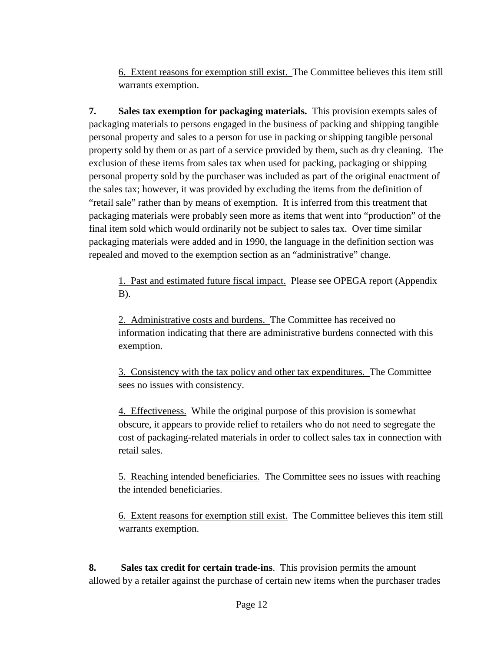6. Extent reasons for exemption still exist. The Committee believes this item still warrants exemption.

**7. Sales tax exemption for packaging materials.** This provision exempts sales of packaging materials to persons engaged in the business of packing and shipping tangible personal property and sales to a person for use in packing or shipping tangible personal property sold by them or as part of a service provided by them, such as dry cleaning. The exclusion of these items from sales tax when used for packing, packaging or shipping personal property sold by the purchaser was included as part of the original enactment of the sales tax; however, it was provided by excluding the items from the definition of "retail sale" rather than by means of exemption. It is inferred from this treatment that packaging materials were probably seen more as items that went into "production" of the final item sold which would ordinarily not be subject to sales tax. Over time similar packaging materials were added and in 1990, the language in the definition section was repealed and moved to the exemption section as an "administrative" change.

1. Past and estimated future fiscal impact. Please see OPEGA report (Appendix B).

2. Administrative costs and burdens. The Committee has received no information indicating that there are administrative burdens connected with this exemption.

3. Consistency with the tax policy and other tax expenditures. The Committee sees no issues with consistency.

4. Effectiveness. While the original purpose of this provision is somewhat obscure, it appears to provide relief to retailers who do not need to segregate the cost of packaging-related materials in order to collect sales tax in connection with retail sales.

5. Reaching intended beneficiaries. The Committee sees no issues with reaching the intended beneficiaries.

6. Extent reasons for exemption still exist. The Committee believes this item still warrants exemption.

**8. Sales tax credit for certain trade-ins**. This provision permits the amount allowed by a retailer against the purchase of certain new items when the purchaser trades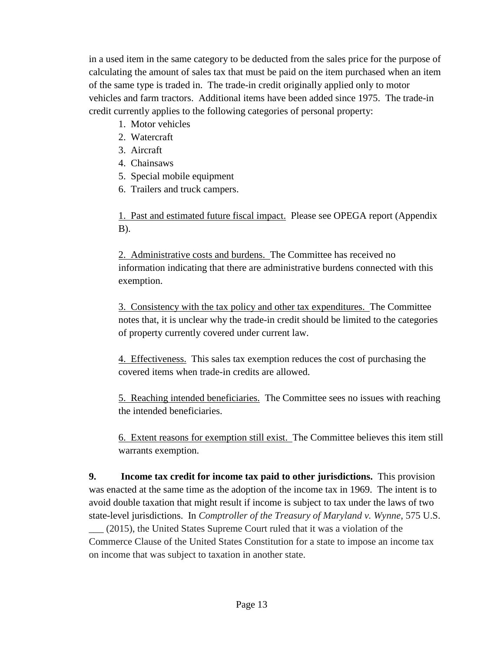in a used item in the same category to be deducted from the sales price for the purpose of calculating the amount of sales tax that must be paid on the item purchased when an item of the same type is traded in. The trade-in credit originally applied only to motor vehicles and farm tractors. Additional items have been added since 1975. The trade-in credit currently applies to the following categories of personal property:

- 1. Motor vehicles
- 2. Watercraft
- 3. Aircraft
- 4. Chainsaws
- 5. Special mobile equipment
- 6. Trailers and truck campers.

1. Past and estimated future fiscal impact. Please see OPEGA report (Appendix B).

2. Administrative costs and burdens. The Committee has received no information indicating that there are administrative burdens connected with this exemption.

3. Consistency with the tax policy and other tax expenditures. The Committee notes that, it is unclear why the trade-in credit should be limited to the categories of property currently covered under current law.

4. Effectiveness. This sales tax exemption reduces the cost of purchasing the covered items when trade-in credits are allowed.

5. Reaching intended beneficiaries. The Committee sees no issues with reaching the intended beneficiaries.

6. Extent reasons for exemption still exist. The Committee believes this item still warrants exemption.

**9. Income tax credit for income tax paid to other jurisdictions.** This provision was enacted at the same time as the adoption of the income tax in 1969. The intent is to avoid double taxation that might result if income is subject to tax under the laws of two state-level jurisdictions. In *Comptroller of the Treasury of Maryland v. Wynne*, 575 U.S. \_\_\_ (2015), the United States Supreme Court ruled that it was a violation of the

Commerce Clause of the United States Constitution for a state to impose an income tax on income that was subject to taxation in another state.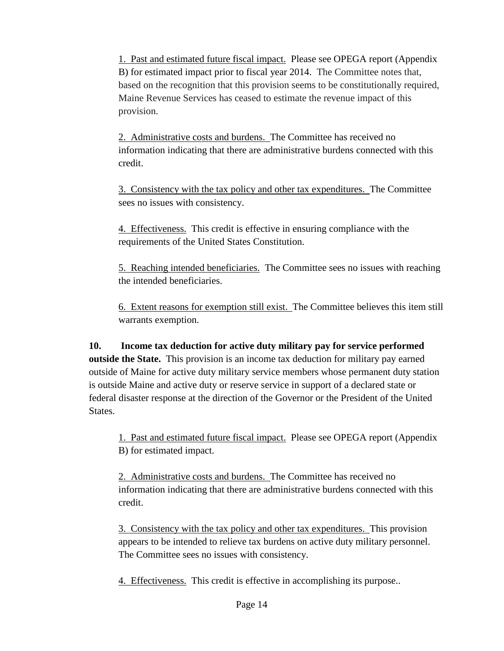1. Past and estimated future fiscal impact. Please see OPEGA report (Appendix B) for estimated impact prior to fiscal year 2014. The Committee notes that, based on the recognition that this provision seems to be constitutionally required, Maine Revenue Services has ceased to estimate the revenue impact of this provision.

2. Administrative costs and burdens. The Committee has received no information indicating that there are administrative burdens connected with this credit.

3. Consistency with the tax policy and other tax expenditures. The Committee sees no issues with consistency.

4. Effectiveness. This credit is effective in ensuring compliance with the requirements of the United States Constitution.

5. Reaching intended beneficiaries. The Committee sees no issues with reaching the intended beneficiaries.

6. Extent reasons for exemption still exist. The Committee believes this item still warrants exemption.

**10. Income tax deduction for active duty military pay for service performed outside the State.** This provision is an income tax deduction for military pay earned outside of Maine for active duty military service members whose permanent duty station is outside Maine and active duty or reserve service in support of a declared state or federal disaster response at the direction of the Governor or the President of the United States.

1. Past and estimated future fiscal impact. Please see OPEGA report (Appendix B) for estimated impact.

2. Administrative costs and burdens. The Committee has received no information indicating that there are administrative burdens connected with this credit.

3. Consistency with the tax policy and other tax expenditures. This provision appears to be intended to relieve tax burdens on active duty military personnel. The Committee sees no issues with consistency.

4. Effectiveness. This credit is effective in accomplishing its purpose..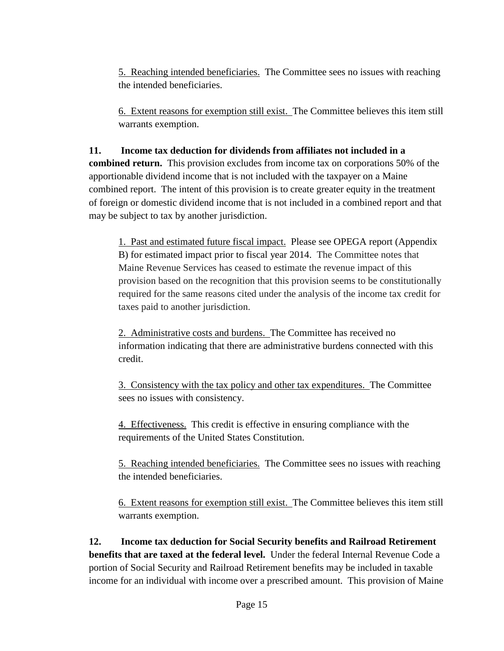5. Reaching intended beneficiaries. The Committee sees no issues with reaching the intended beneficiaries.

6. Extent reasons for exemption still exist. The Committee believes this item still warrants exemption.

#### **11. Income tax deduction for dividends from affiliates not included in a**

**combined return.** This provision excludes from income tax on corporations 50% of the apportionable dividend income that is not included with the taxpayer on a Maine combined report. The intent of this provision is to create greater equity in the treatment of foreign or domestic dividend income that is not included in a combined report and that may be subject to tax by another jurisdiction.

1. Past and estimated future fiscal impact. Please see OPEGA report (Appendix B) for estimated impact prior to fiscal year 2014. The Committee notes that Maine Revenue Services has ceased to estimate the revenue impact of this provision based on the recognition that this provision seems to be constitutionally required for the same reasons cited under the analysis of the income tax credit for taxes paid to another jurisdiction.

2. Administrative costs and burdens. The Committee has received no information indicating that there are administrative burdens connected with this credit.

3. Consistency with the tax policy and other tax expenditures. The Committee sees no issues with consistency.

4. Effectiveness. This credit is effective in ensuring compliance with the requirements of the United States Constitution.

5. Reaching intended beneficiaries. The Committee sees no issues with reaching the intended beneficiaries.

6. Extent reasons for exemption still exist. The Committee believes this item still warrants exemption.

**12. Income tax deduction for Social Security benefits and Railroad Retirement benefits that are taxed at the federal level.** Under the federal Internal Revenue Code a portion of Social Security and Railroad Retirement benefits may be included in taxable income for an individual with income over a prescribed amount. This provision of Maine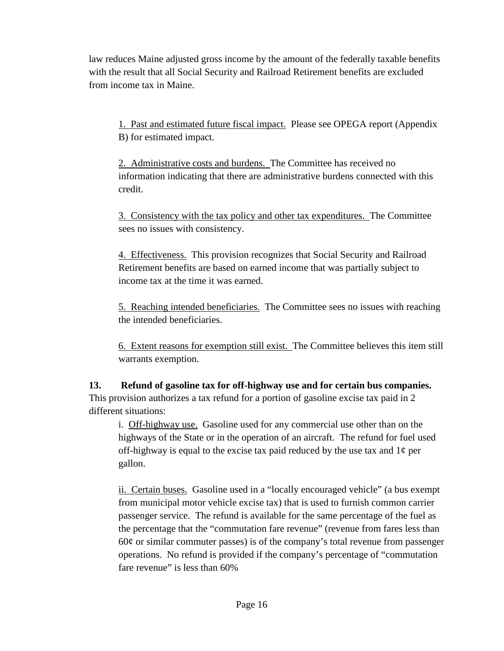law reduces Maine adjusted gross income by the amount of the federally taxable benefits with the result that all Social Security and Railroad Retirement benefits are excluded from income tax in Maine.

1. Past and estimated future fiscal impact. Please see OPEGA report (Appendix B) for estimated impact.

2. Administrative costs and burdens. The Committee has received no information indicating that there are administrative burdens connected with this credit.

3. Consistency with the tax policy and other tax expenditures. The Committee sees no issues with consistency.

4. Effectiveness. This provision recognizes that Social Security and Railroad Retirement benefits are based on earned income that was partially subject to income tax at the time it was earned.

5. Reaching intended beneficiaries. The Committee sees no issues with reaching the intended beneficiaries.

6. Extent reasons for exemption still exist. The Committee believes this item still warrants exemption.

**13. Refund of gasoline tax for off-highway use and for certain bus companies.** This provision authorizes a tax refund for a portion of gasoline excise tax paid in 2 different situations:

i. Off-highway use. Gasoline used for any commercial use other than on the highways of the State or in the operation of an aircraft. The refund for fuel used off-highway is equal to the excise tax paid reduced by the use tax and  $1¢$  per gallon.

ii. Certain buses. Gasoline used in a "locally encouraged vehicle" (a bus exempt from municipal motor vehicle excise tax) that is used to furnish common carrier passenger service. The refund is available for the same percentage of the fuel as the percentage that the "commutation fare revenue" (revenue from fares less than  $60¢$  or similar commuter passes) is of the company's total revenue from passenger operations. No refund is provided if the company's percentage of "commutation fare revenue" is less than 60%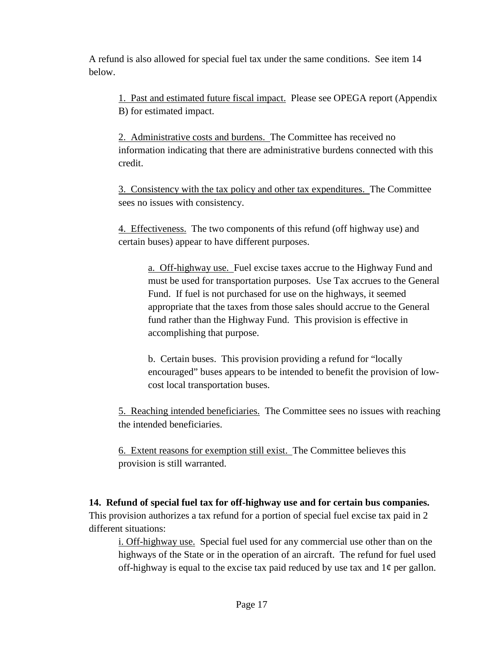A refund is also allowed for special fuel tax under the same conditions. See item 14 below.

1. Past and estimated future fiscal impact. Please see OPEGA report (Appendix B) for estimated impact.

2. Administrative costs and burdens. The Committee has received no information indicating that there are administrative burdens connected with this credit.

3. Consistency with the tax policy and other tax expenditures. The Committee sees no issues with consistency.

4. Effectiveness. The two components of this refund (off highway use) and certain buses) appear to have different purposes.

a. Off-highway use. Fuel excise taxes accrue to the Highway Fund and must be used for transportation purposes. Use Tax accrues to the General Fund. If fuel is not purchased for use on the highways, it seemed appropriate that the taxes from those sales should accrue to the General fund rather than the Highway Fund. This provision is effective in accomplishing that purpose.

b. Certain buses. This provision providing a refund for "locally encouraged" buses appears to be intended to benefit the provision of lowcost local transportation buses.

5. Reaching intended beneficiaries. The Committee sees no issues with reaching the intended beneficiaries.

6. Extent reasons for exemption still exist. The Committee believes this provision is still warranted.

**14. Refund of special fuel tax for off-highway use and for certain bus companies.**  This provision authorizes a tax refund for a portion of special fuel excise tax paid in 2 different situations:

i. Off-highway use. Special fuel used for any commercial use other than on the highways of the State or in the operation of an aircraft. The refund for fuel used off-highway is equal to the excise tax paid reduced by use tax and  $1¢$  per gallon.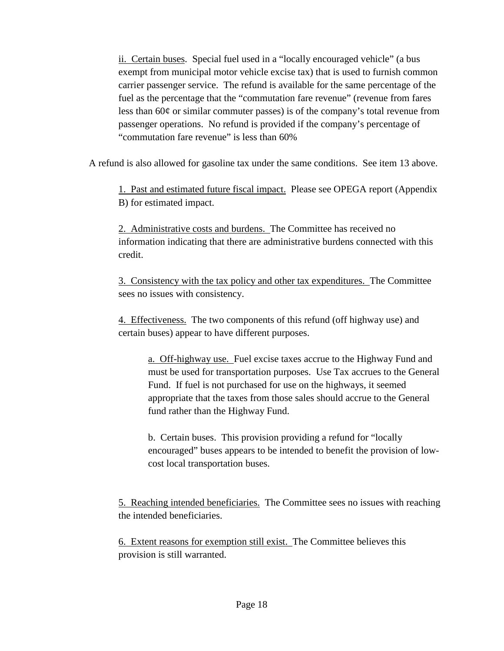ii. Certain buses. Special fuel used in a "locally encouraged vehicle" (a bus exempt from municipal motor vehicle excise tax) that is used to furnish common carrier passenger service. The refund is available for the same percentage of the fuel as the percentage that the "commutation fare revenue" (revenue from fares less than 60¢ or similar commuter passes) is of the company's total revenue from passenger operations. No refund is provided if the company's percentage of "commutation fare revenue" is less than 60%

A refund is also allowed for gasoline tax under the same conditions. See item 13 above.

1. Past and estimated future fiscal impact. Please see OPEGA report (Appendix B) for estimated impact.

2. Administrative costs and burdens. The Committee has received no information indicating that there are administrative burdens connected with this credit.

3. Consistency with the tax policy and other tax expenditures. The Committee sees no issues with consistency.

4. Effectiveness. The two components of this refund (off highway use) and certain buses) appear to have different purposes.

a. Off-highway use. Fuel excise taxes accrue to the Highway Fund and must be used for transportation purposes. Use Tax accrues to the General Fund. If fuel is not purchased for use on the highways, it seemed appropriate that the taxes from those sales should accrue to the General fund rather than the Highway Fund.

b. Certain buses. This provision providing a refund for "locally encouraged" buses appears to be intended to benefit the provision of lowcost local transportation buses.

5. Reaching intended beneficiaries. The Committee sees no issues with reaching the intended beneficiaries.

6. Extent reasons for exemption still exist. The Committee believes this provision is still warranted.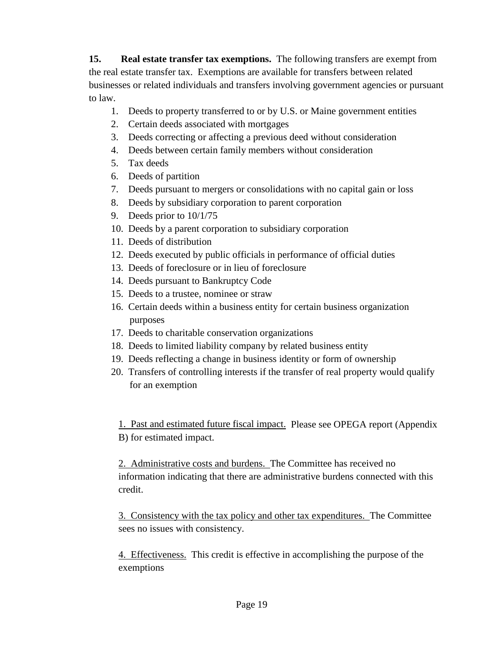**15. Real estate transfer tax exemptions.** The following transfers are exempt from the real estate transfer tax. Exemptions are available for transfers between related businesses or related individuals and transfers involving government agencies or pursuant to law.

- 1. Deeds to property transferred to or by U.S. or Maine government entities
- 2. Certain deeds associated with mortgages
- 3. Deeds correcting or affecting a previous deed without consideration
- 4. Deeds between certain family members without consideration
- 5. Tax deeds
- 6. Deeds of partition
- 7. Deeds pursuant to mergers or consolidations with no capital gain or loss
- 8. Deeds by subsidiary corporation to parent corporation
- 9. Deeds prior to 10/1/75
- 10. Deeds by a parent corporation to subsidiary corporation
- 11. Deeds of distribution
- 12. Deeds executed by public officials in performance of official duties
- 13. Deeds of foreclosure or in lieu of foreclosure
- 14. Deeds pursuant to Bankruptcy Code
- 15. Deeds to a trustee, nominee or straw
- 16. Certain deeds within a business entity for certain business organization purposes
- 17. Deeds to charitable conservation organizations
- 18. Deeds to limited liability company by related business entity
- 19. Deeds reflecting a change in business identity or form of ownership
- 20. Transfers of controlling interests if the transfer of real property would qualify for an exemption

1. Past and estimated future fiscal impact. Please see OPEGA report (Appendix B) for estimated impact.

2. Administrative costs and burdens. The Committee has received no information indicating that there are administrative burdens connected with this credit.

3. Consistency with the tax policy and other tax expenditures. The Committee sees no issues with consistency.

4. Effectiveness. This credit is effective in accomplishing the purpose of the exemptions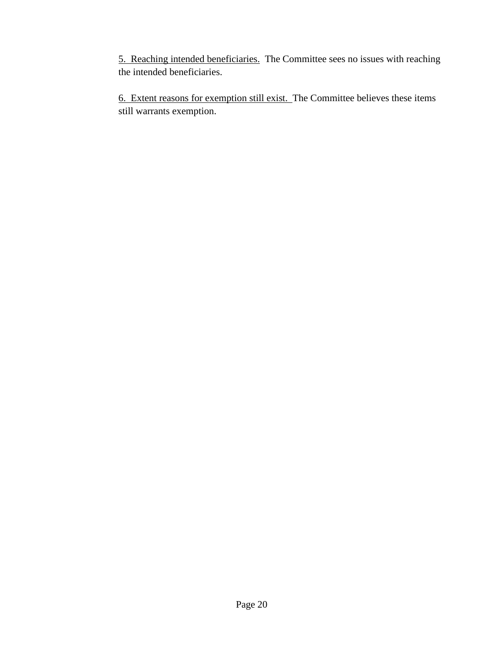5. Reaching intended beneficiaries. The Committee sees no issues with reaching the intended beneficiaries.

6. Extent reasons for exemption still exist. The Committee believes these items still warrants exemption.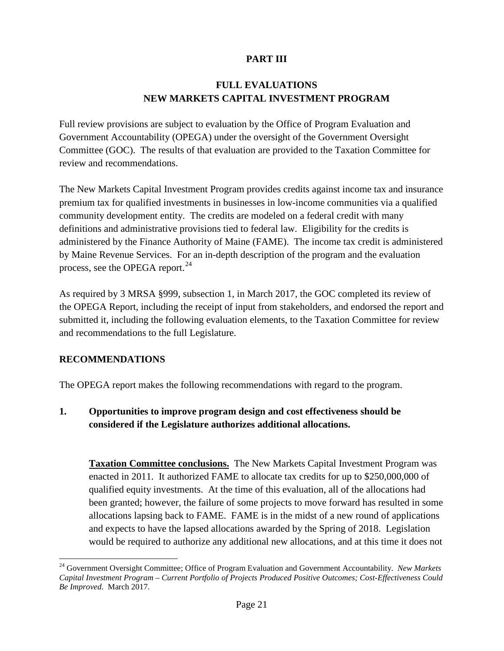## **PART III**

### **FULL EVALUATIONS NEW MARKETS CAPITAL INVESTMENT PROGRAM**

Full review provisions are subject to evaluation by the Office of Program Evaluation and Government Accountability (OPEGA) under the oversight of the Government Oversight Committee (GOC). The results of that evaluation are provided to the Taxation Committee for review and recommendations.

The New Markets Capital Investment Program provides credits against income tax and insurance premium tax for qualified investments in businesses in low-income communities via a qualified community development entity. The credits are modeled on a federal credit with many definitions and administrative provisions tied to federal law. Eligibility for the credits is administered by the Finance Authority of Maine (FAME). The income tax credit is administered by Maine Revenue Services. For an in-depth description of the program and the evaluation process, see the OPEGA report.<sup>[24](#page-30-0)</sup>

As required by 3 MRSA §999, subsection 1, in March 2017, the GOC completed its review of the OPEGA Report, including the receipt of input from stakeholders, and endorsed the report and submitted it, including the following evaluation elements, to the Taxation Committee for review and recommendations to the full Legislature.

#### **RECOMMENDATIONS**

The OPEGA report makes the following recommendations with regard to the program.

## **1. Opportunities to improve program design and cost effectiveness should be considered if the Legislature authorizes additional allocations.**

**Taxation Committee conclusions.** The New Markets Capital Investment Program was enacted in 2011. It authorized FAME to allocate tax credits for up to \$250,000,000 of qualified equity investments. At the time of this evaluation, all of the allocations had been granted; however, the failure of some projects to move forward has resulted in some allocations lapsing back to FAME. FAME is in the midst of a new round of applications and expects to have the lapsed allocations awarded by the Spring of 2018. Legislation would be required to authorize any additional new allocations, and at this time it does not

<span id="page-30-0"></span> <sup>24</sup> Government Oversight Committee; Office of Program Evaluation and Government Accountability. *New Markets Capital Investment Program – Current Portfolio of Projects Produced Positive Outcomes; Cost-Effectiveness Could Be Improved.* March 2017.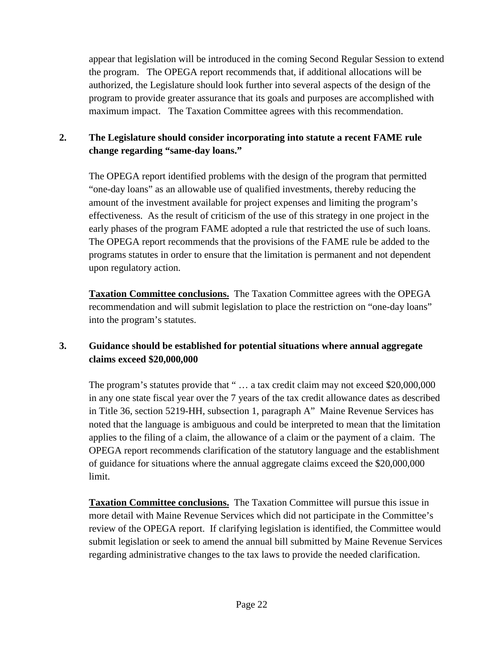appear that legislation will be introduced in the coming Second Regular Session to extend the program. The OPEGA report recommends that, if additional allocations will be authorized, the Legislature should look further into several aspects of the design of the program to provide greater assurance that its goals and purposes are accomplished with maximum impact. The Taxation Committee agrees with this recommendation.

## **2. The Legislature should consider incorporating into statute a recent FAME rule change regarding "same-day loans."**

The OPEGA report identified problems with the design of the program that permitted "one-day loans" as an allowable use of qualified investments, thereby reducing the amount of the investment available for project expenses and limiting the program's effectiveness. As the result of criticism of the use of this strategy in one project in the early phases of the program FAME adopted a rule that restricted the use of such loans. The OPEGA report recommends that the provisions of the FAME rule be added to the programs statutes in order to ensure that the limitation is permanent and not dependent upon regulatory action.

**Taxation Committee conclusions.** The Taxation Committee agrees with the OPEGA recommendation and will submit legislation to place the restriction on "one-day loans" into the program's statutes.

## **3. Guidance should be established for potential situations where annual aggregate claims exceed \$20,000,000**

The program's statutes provide that " ... a tax credit claim may not exceed \$20,000,000 in any one state fiscal year over the 7 years of the tax credit allowance dates as described in Title 36, section 5219-HH, subsection 1, paragraph A" Maine Revenue Services has noted that the language is ambiguous and could be interpreted to mean that the limitation applies to the filing of a claim, the allowance of a claim or the payment of a claim. The OPEGA report recommends clarification of the statutory language and the establishment of guidance for situations where the annual aggregate claims exceed the \$20,000,000 limit.

**Taxation Committee conclusions.** The Taxation Committee will pursue this issue in more detail with Maine Revenue Services which did not participate in the Committee's review of the OPEGA report. If clarifying legislation is identified, the Committee would submit legislation or seek to amend the annual bill submitted by Maine Revenue Services regarding administrative changes to the tax laws to provide the needed clarification.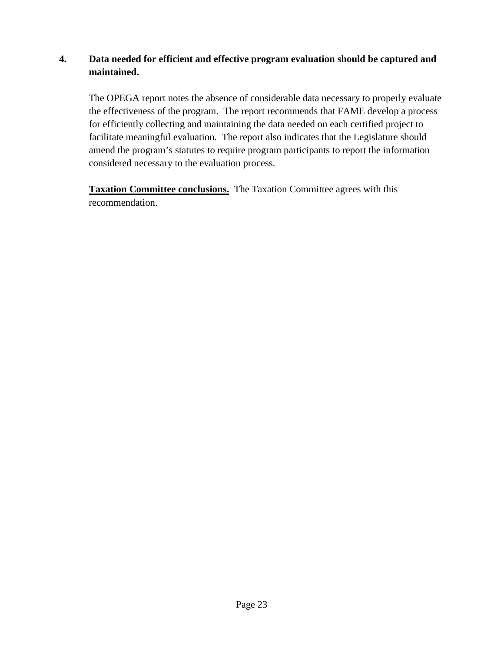### **4. Data needed for efficient and effective program evaluation should be captured and maintained.**

The OPEGA report notes the absence of considerable data necessary to properly evaluate the effectiveness of the program. The report recommends that FAME develop a process for efficiently collecting and maintaining the data needed on each certified project to facilitate meaningful evaluation. The report also indicates that the Legislature should amend the program's statutes to require program participants to report the information considered necessary to the evaluation process.

**Taxation Committee conclusions.** The Taxation Committee agrees with this recommendation.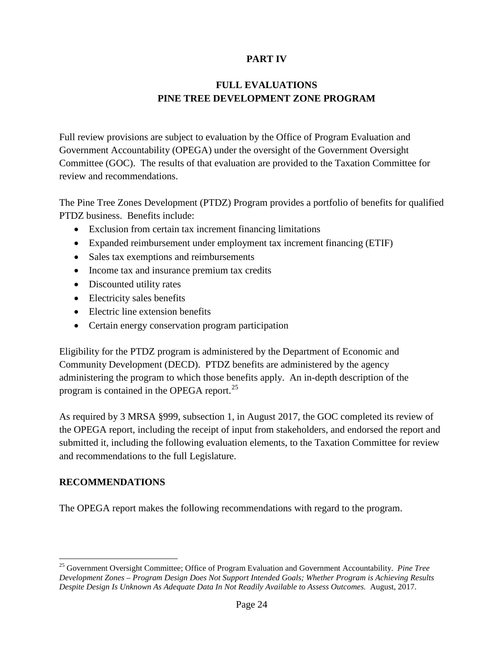### **PART IV**

### **FULL EVALUATIONS PINE TREE DEVELOPMENT ZONE PROGRAM**

Full review provisions are subject to evaluation by the Office of Program Evaluation and Government Accountability (OPEGA) under the oversight of the Government Oversight Committee (GOC). The results of that evaluation are provided to the Taxation Committee for review and recommendations.

The Pine Tree Zones Development (PTDZ) Program provides a portfolio of benefits for qualified PTDZ business. Benefits include:

- Exclusion from certain tax increment financing limitations
- Expanded reimbursement under employment tax increment financing (ETIF)
- Sales tax exemptions and reimbursements
- Income tax and insurance premium tax credits
- Discounted utility rates
- Electricity sales benefits
- Electric line extension benefits
- Certain energy conservation program participation

Eligibility for the PTDZ program is administered by the Department of Economic and Community Development (DECD). PTDZ benefits are administered by the agency administering the program to which those benefits apply. An in-depth description of the program is contained in the OPEGA report.<sup>[25](#page-33-0)</sup>

As required by 3 MRSA §999, subsection 1, in August 2017, the GOC completed its review of the OPEGA report, including the receipt of input from stakeholders, and endorsed the report and submitted it, including the following evaluation elements, to the Taxation Committee for review and recommendations to the full Legislature.

#### **RECOMMENDATIONS**

The OPEGA report makes the following recommendations with regard to the program.

<span id="page-33-0"></span> <sup>25</sup> Government Oversight Committee; Office of Program Evaluation and Government Accountability. *Pine Tree Development Zones – Program Design Does Not Support Intended Goals; Whether Program is Achieving Results Despite Design Is Unknown As Adequate Data In Not Readily Available to Assess Outcomes.* August, 2017.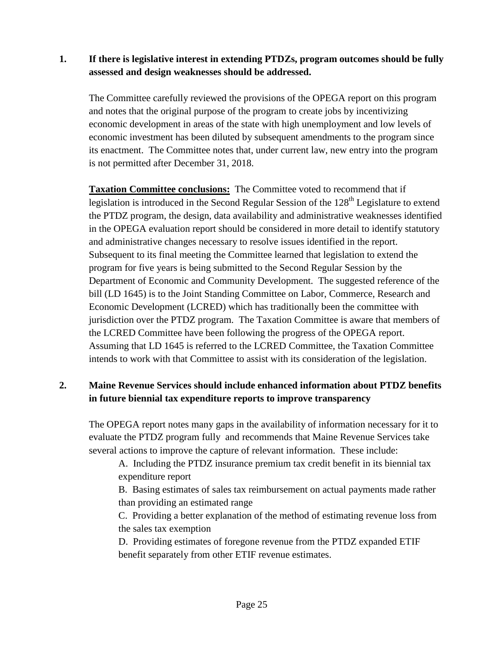### **1. If there is legislative interest in extending PTDZs, program outcomes should be fully assessed and design weaknesses should be addressed.**

The Committee carefully reviewed the provisions of the OPEGA report on this program and notes that the original purpose of the program to create jobs by incentivizing economic development in areas of the state with high unemployment and low levels of economic investment has been diluted by subsequent amendments to the program since its enactment. The Committee notes that, under current law, new entry into the program is not permitted after December 31, 2018.

**Taxation Committee conclusions:** The Committee voted to recommend that if legislation is introduced in the Second Regular Session of the 128<sup>th</sup> Legislature to extend the PTDZ program, the design, data availability and administrative weaknesses identified in the OPEGA evaluation report should be considered in more detail to identify statutory and administrative changes necessary to resolve issues identified in the report. Subsequent to its final meeting the Committee learned that legislation to extend the program for five years is being submitted to the Second Regular Session by the Department of Economic and Community Development. The suggested reference of the bill (LD 1645) is to the Joint Standing Committee on Labor, Commerce, Research and Economic Development (LCRED) which has traditionally been the committee with jurisdiction over the PTDZ program. The Taxation Committee is aware that members of the LCRED Committee have been following the progress of the OPEGA report. Assuming that LD 1645 is referred to the LCRED Committee, the Taxation Committee intends to work with that Committee to assist with its consideration of the legislation.

## **2. Maine Revenue Services should include enhanced information about PTDZ benefits in future biennial tax expenditure reports to improve transparency**

The OPEGA report notes many gaps in the availability of information necessary for it to evaluate the PTDZ program fully and recommends that Maine Revenue Services take several actions to improve the capture of relevant information. These include:

A. Including the PTDZ insurance premium tax credit benefit in its biennial tax expenditure report

B. Basing estimates of sales tax reimbursement on actual payments made rather than providing an estimated range

C. Providing a better explanation of the method of estimating revenue loss from the sales tax exemption

D. Providing estimates of foregone revenue from the PTDZ expanded ETIF benefit separately from other ETIF revenue estimates.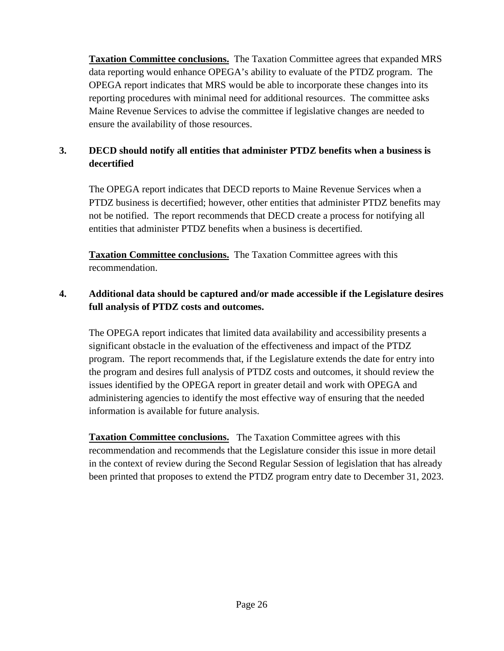**Taxation Committee conclusions.** The Taxation Committee agrees that expanded MRS data reporting would enhance OPEGA's ability to evaluate of the PTDZ program. The OPEGA report indicates that MRS would be able to incorporate these changes into its reporting procedures with minimal need for additional resources. The committee asks Maine Revenue Services to advise the committee if legislative changes are needed to ensure the availability of those resources.

# **3. DECD should notify all entities that administer PTDZ benefits when a business is decertified**

The OPEGA report indicates that DECD reports to Maine Revenue Services when a PTDZ business is decertified; however, other entities that administer PTDZ benefits may not be notified. The report recommends that DECD create a process for notifying all entities that administer PTDZ benefits when a business is decertified.

**Taxation Committee conclusions.** The Taxation Committee agrees with this recommendation.

## **4. Additional data should be captured and/or made accessible if the Legislature desires full analysis of PTDZ costs and outcomes.**

The OPEGA report indicates that limited data availability and accessibility presents a significant obstacle in the evaluation of the effectiveness and impact of the PTDZ program. The report recommends that, if the Legislature extends the date for entry into the program and desires full analysis of PTDZ costs and outcomes, it should review the issues identified by the OPEGA report in greater detail and work with OPEGA and administering agencies to identify the most effective way of ensuring that the needed information is available for future analysis.

**Taxation Committee conclusions.** The Taxation Committee agrees with this recommendation and recommends that the Legislature consider this issue in more detail in the context of review during the Second Regular Session of legislation that has already been printed that proposes to extend the PTDZ program entry date to December 31, 2023.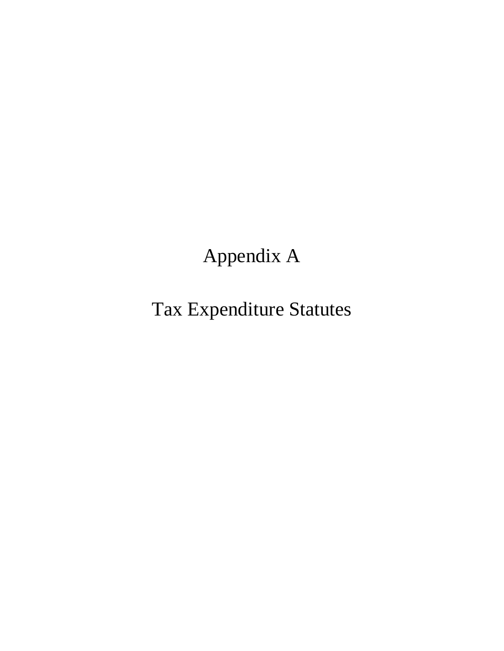# Appendix A

Tax Expenditure Statutes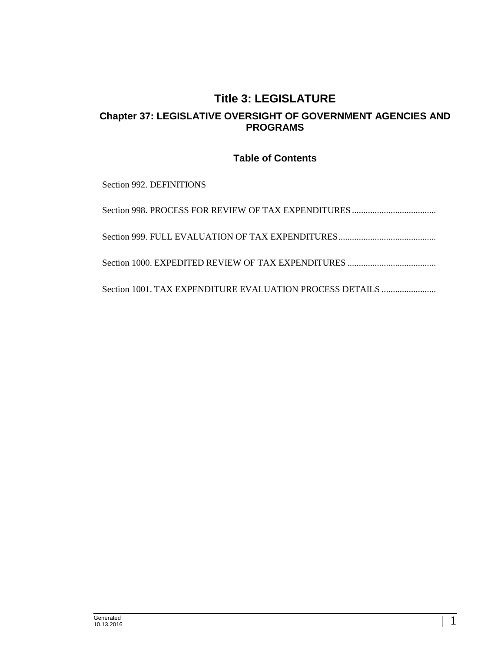## **Title 3: LEGISLATURE Chapter 37: LEGISLATIVE OVERSIGHT OF GOVERNMENT AGENCIES AND PROGRAMS**

#### **Table of Contents**

Section 992. DEFINITIONS

Section 998. PROCESS FOR REVIEW OF TAX EXPENDITURES ..................................... Section 999. FULL EVALUATION OF TAX EXPENDITURES...........................................

Section 1000. EXPEDITED REVIEW OF TAX EXPENDITURES .......................................

Section 1001. TAX EXPENDITURE EVALUATION PROCESS DETAILS ........................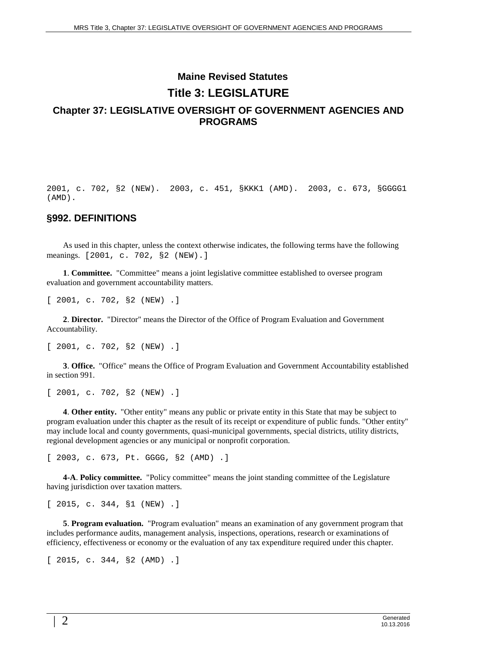## **Maine Revised Statutes Title 3: LEGISLATURE Chapter 37: LEGISLATIVE OVERSIGHT OF GOVERNMENT AGENCIES AND PROGRAMS**

2001, c. 702, §2 (NEW). 2003, c. 451, §KKK1 (AMD). 2003, c. 673, §GGGG1 (AMD).

#### **§992. DEFINITIONS**

As used in this chapter, unless the context otherwise indicates, the following terms have the following meanings. [2001, c. 702, §2 (NEW).]

**1**. **Committee.** "Committee" means a joint legislative committee established to oversee program evaluation and government accountability matters.

[ 2001, c. 702, §2 (NEW) .]

**2**. **Director.** "Director" means the Director of the Office of Program Evaluation and Government Accountability.

[ 2001, c. 702, §2 (NEW) .]

**3**. **Office.** "Office" means the Office of Program Evaluation and Government Accountability established in section 991.

[ 2001, c. 702, §2 (NEW) .]

**4**. **Other entity.** "Other entity" means any public or private entity in this State that may be subject to program evaluation under this chapter as the result of its receipt or expenditure of public funds. "Other entity" may include local and county governments, quasi-municipal governments, special districts, utility districts, regional development agencies or any municipal or nonprofit corporation.

[ 2003, c. 673, Pt. GGGG, §2 (AMD) .]

**4-A**. **Policy committee.** "Policy committee" means the joint standing committee of the Legislature having jurisdiction over taxation matters.

[ 2015, c. 344, §1 (NEW) .]

**5**. **Program evaluation.** "Program evaluation" means an examination of any government program that includes performance audits, management analysis, inspections, operations, research or examinations of efficiency, effectiveness or economy or the evaluation of any tax expenditure required under this chapter.

[ 2015, c. 344, §2 (AMD) .]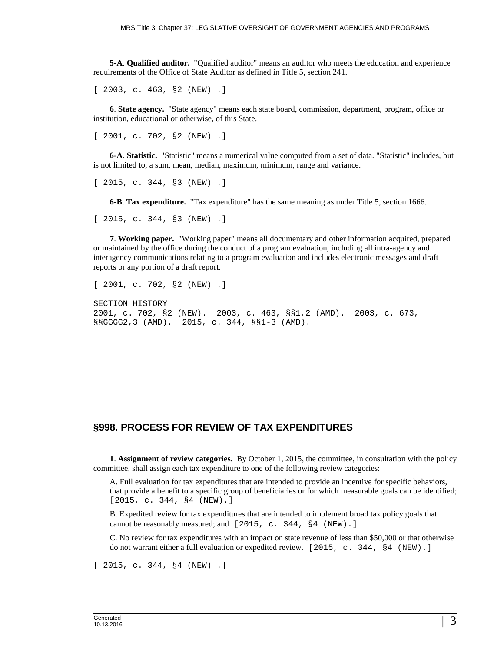**5-A**. **Qualified auditor.** "Qualified auditor" means an auditor who meets the education and experience requirements of the Office of State Auditor as defined in Title 5, section 241.

[ 2003, c. 463, §2 (NEW) .]

**6**. **State agency.** "State agency" means each state board, commission, department, program, office or institution, educational or otherwise, of this State.

[ 2001, c. 702, §2 (NEW) .]

**6-A**. **Statistic.** "Statistic" means a numerical value computed from a set of data. "Statistic" includes, but is not limited to, a sum, mean, median, maximum, minimum, range and variance.

[ 2015, c. 344, §3 (NEW) .]

**6-B**. **Tax expenditure.** "Tax expenditure" has the same meaning as under Title 5, section 1666.

[ 2015, c. 344, §3 (NEW) .]

**7**. **Working paper.** "Working paper" means all documentary and other information acquired, prepared or maintained by the office during the conduct of a program evaluation, including all intra-agency and interagency communications relating to a program evaluation and includes electronic messages and draft reports or any portion of a draft report.

[ 2001, c. 702, §2 (NEW) .]

SECTION HISTORY 2001, c. 702, §2 (NEW). 2003, c. 463, §§1,2 (AMD). 2003, c. 673, §§GGGG2,3 (AMD). 2015, c. 344, §§1-3 (AMD).

#### **§998. PROCESS FOR REVIEW OF TAX EXPENDITURES**

**1**. **Assignment of review categories.** By October 1, 2015, the committee, in consultation with the policy committee, shall assign each tax expenditure to one of the following review categories:

A. Full evaluation for tax expenditures that are intended to provide an incentive for specific behaviors, that provide a benefit to a specific group of beneficiaries or for which measurable goals can be identified; [2015, c. 344, §4 (NEW).]

B. Expedited review for tax expenditures that are intended to implement broad tax policy goals that cannot be reasonably measured; and [2015, c. 344, §4 (NEW).]

C. No review for tax expenditures with an impact on state revenue of less than \$50,000 or that otherwise do not warrant either a full evaluation or expedited review. [2015, c. 344, §4 (NEW).]

[ 2015, c. 344, §4 (NEW) .]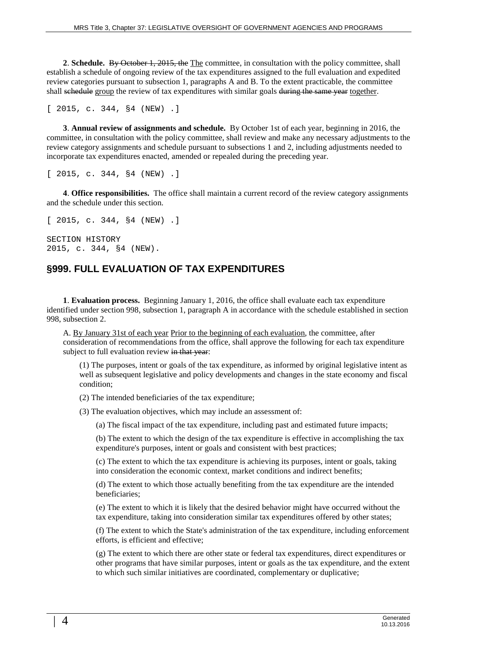**2**. **Schedule.** By October 1, 2015, the The committee, in consultation with the policy committee, shall establish a schedule of ongoing review of the tax expenditures assigned to the full evaluation and expedited review categories pursuant to subsection 1, paragraphs A and B. To the extent practicable, the committee shall schedule group the review of tax expenditures with similar goals during the same year together.

[ 2015, c. 344, §4 (NEW) .]

**3**. **Annual review of assignments and schedule.** By October 1st of each year, beginning in 2016, the committee, in consultation with the policy committee, shall review and make any necessary adjustments to the review category assignments and schedule pursuant to subsections 1 and 2, including adjustments needed to incorporate tax expenditures enacted, amended or repealed during the preceding year.

[ 2015, c. 344, §4 (NEW) .]

**4**. **Office responsibilities.** The office shall maintain a current record of the review category assignments and the schedule under this section.

[ 2015, c. 344, §4 (NEW) .]

SECTION HISTORY 2015, c. 344, §4 (NEW).

#### **§999. FULL EVALUATION OF TAX EXPENDITURES**

**1**. **Evaluation process.** Beginning January 1, 2016, the office shall evaluate each tax expenditure identified under section 998, subsection 1, paragraph A in accordance with the schedule established in section 998, subsection 2.

A. By January 31st of each year Prior to the beginning of each evaluation, the committee, after consideration of recommendations from the office, shall approve the following for each tax expenditure subject to full evaluation review in that year:

(1) The purposes, intent or goals of the tax expenditure, as informed by original legislative intent as well as subsequent legislative and policy developments and changes in the state economy and fiscal condition;

(2) The intended beneficiaries of the tax expenditure;

(3) The evaluation objectives, which may include an assessment of:

(a) The fiscal impact of the tax expenditure, including past and estimated future impacts;

(b) The extent to which the design of the tax expenditure is effective in accomplishing the tax expenditure's purposes, intent or goals and consistent with best practices;

(c) The extent to which the tax expenditure is achieving its purposes, intent or goals, taking into consideration the economic context, market conditions and indirect benefits;

(d) The extent to which those actually benefiting from the tax expenditure are the intended beneficiaries;

(e) The extent to which it is likely that the desired behavior might have occurred without the tax expenditure, taking into consideration similar tax expenditures offered by other states;

(f) The extent to which the State's administration of the tax expenditure, including enforcement efforts, is efficient and effective;

(g) The extent to which there are other state or federal tax expenditures, direct expenditures or other programs that have similar purposes, intent or goals as the tax expenditure, and the extent to which such similar initiatives are coordinated, complementary or duplicative;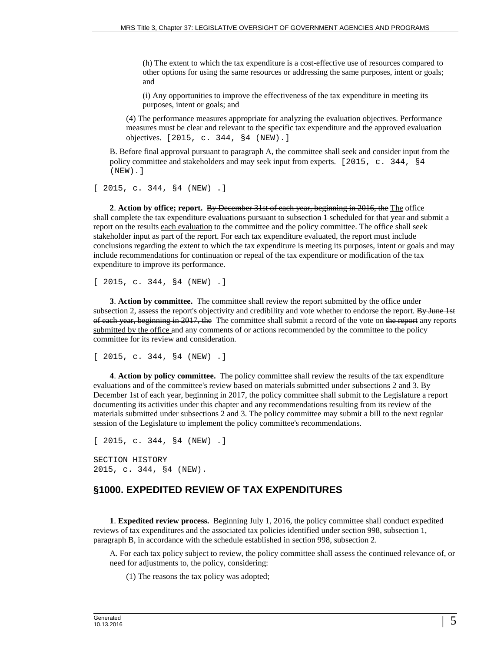(h) The extent to which the tax expenditure is a cost-effective use of resources compared to other options for using the same resources or addressing the same purposes, intent or goals; and

(i) Any opportunities to improve the effectiveness of the tax expenditure in meeting its purposes, intent or goals; and

(4) The performance measures appropriate for analyzing the evaluation objectives. Performance measures must be clear and relevant to the specific tax expenditure and the approved evaluation objectives. [2015, c. 344, §4 (NEW).]

B. Before final approval pursuant to paragraph A, the committee shall seek and consider input from the policy committee and stakeholders and may seek input from experts. [2015, c. 344, §4 (NEW).]

[ 2015, c. 344, §4 (NEW) .]

**2**. **Action by office; report.** By December 31st of each year, beginning in 2016, the The office shall complete the tax expenditure evaluations pursuant to subsection 1 scheduled for that year and submit a report on the results each evaluation to the committee and the policy committee. The office shall seek stakeholder input as part of the report. For each tax expenditure evaluated, the report must include conclusions regarding the extent to which the tax expenditure is meeting its purposes, intent or goals and may include recommendations for continuation or repeal of the tax expenditure or modification of the tax expenditure to improve its performance.

[ 2015, c. 344, §4 (NEW) .]

**3**. **Action by committee.** The committee shall review the report submitted by the office under subsection 2, assess the report's objectivity and credibility and vote whether to endorse the report. By June 1st of each year, beginning in 2017, the The committee shall submit a record of the vote on the report any reports submitted by the office and any comments of or actions recommended by the committee to the policy committee for its review and consideration.

[ 2015, c. 344, §4 (NEW) .]

**4**. **Action by policy committee.** The policy committee shall review the results of the tax expenditure evaluations and of the committee's review based on materials submitted under subsections 2 and 3. By December 1st of each year, beginning in 2017, the policy committee shall submit to the Legislature a report documenting its activities under this chapter and any recommendations resulting from its review of the materials submitted under subsections 2 and 3. The policy committee may submit a bill to the next regular session of the Legislature to implement the policy committee's recommendations.

[ 2015, c. 344, §4 (NEW) .]

SECTION HISTORY 2015, c. 344, §4 (NEW).

#### **§1000. EXPEDITED REVIEW OF TAX EXPENDITURES**

**1**. **Expedited review process.** Beginning July 1, 2016, the policy committee shall conduct expedited reviews of tax expenditures and the associated tax policies identified under section 998, subsection 1, paragraph B, in accordance with the schedule established in section 998, subsection 2.

A. For each tax policy subject to review, the policy committee shall assess the continued relevance of, or need for adjustments to, the policy, considering:

(1) The reasons the tax policy was adopted;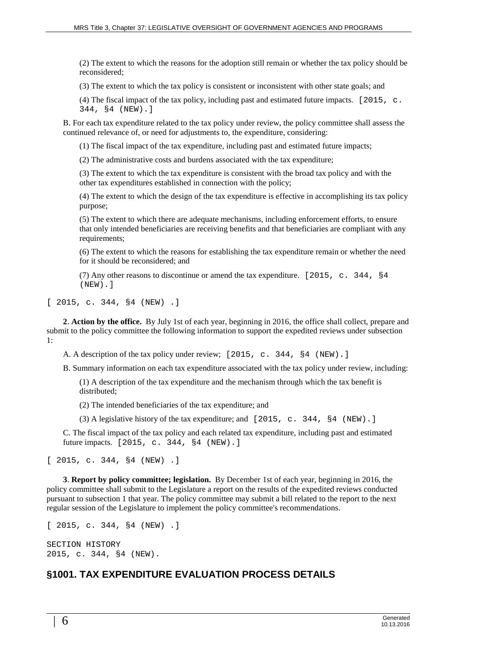(2) The extent to which the reasons for the adoption still remain or whether the tax policy should be reconsidered;

(3) The extent to which the tax policy is consistent or inconsistent with other state goals; and

(4) The fiscal impact of the tax policy, including past and estimated future impacts. [2015, c. 344, §4 (NEW).]

B. For each tax expenditure related to the tax policy under review, the policy committee shall assess the continued relevance of, or need for adjustments to, the expenditure, considering:

(1) The fiscal impact of the tax expenditure, including past and estimated future impacts;

(2) The administrative costs and burdens associated with the tax expenditure;

(3) The extent to which the tax expenditure is consistent with the broad tax policy and with the other tax expenditures established in connection with the policy;

(4) The extent to which the design of the tax expenditure is effective in accomplishing its tax policy purpose;

(5) The extent to which there are adequate mechanisms, including enforcement efforts, to ensure that only intended beneficiaries are receiving benefits and that beneficiaries are compliant with any requirements;

(6) The extent to which the reasons for establishing the tax expenditure remain or whether the need for it should be reconsidered; and

(7) Any other reasons to discontinue or amend the tax expenditure. [2015, c. 344, §4 (NEW).]

[ 2015, c. 344, §4 (NEW) .]

**2**. **Action by the office.** By July 1st of each year, beginning in 2016, the office shall collect, prepare and submit to the policy committee the following information to support the expedited reviews under subsection 1:

A. A description of the tax policy under review; [2015, c. 344, §4 (NEW).]

B. Summary information on each tax expenditure associated with the tax policy under review, including:

(1) A description of the tax expenditure and the mechanism through which the tax benefit is distributed;

(2) The intended beneficiaries of the tax expenditure; and

(3) A legislative history of the tax expenditure; and  $[2015, c. 344, §4 (NEW).]$ 

C. The fiscal impact of the tax policy and each related tax expenditure, including past and estimated future impacts. [2015, c. 344, §4 (NEW).]

[ 2015, c. 344, §4 (NEW) .]

**3**. **Report by policy committee; legislation.** By December 1st of each year, beginning in 2016, the policy committee shall submit to the Legislature a report on the results of the expedited reviews conducted pursuant to subsection 1 that year. The policy committee may submit a bill related to the report to the next regular session of the Legislature to implement the policy committee's recommendations.

[ 2015, c. 344, §4 (NEW) .]

```
SECTION HISTORY
2015, c. 344, §4 (NEW).
```
#### **§1001. TAX EXPENDITURE EVALUATION PROCESS DETAILS**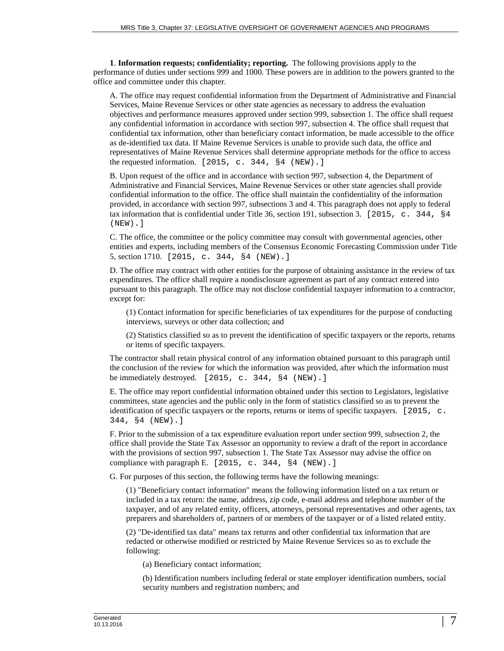**1**. **Information requests; confidentiality; reporting.** The following provisions apply to the performance of duties under sections 999 and 1000. These powers are in addition to the powers granted to the office and committee under this chapter.

A. The office may request confidential information from the Department of Administrative and Financial Services, Maine Revenue Services or other state agencies as necessary to address the evaluation objectives and performance measures approved under section 999, subsection 1. The office shall request any confidential information in accordance with section 997, subsection 4. The office shall request that confidential tax information, other than beneficiary contact information, be made accessible to the office as de-identified tax data. If Maine Revenue Services is unable to provide such data, the office and representatives of Maine Revenue Services shall determine appropriate methods for the office to access the requested information. [2015, c. 344, §4 (NEW).]

B. Upon request of the office and in accordance with section 997, subsection 4, the Department of Administrative and Financial Services, Maine Revenue Services or other state agencies shall provide confidential information to the office. The office shall maintain the confidentiality of the information provided, in accordance with section 997, subsections 3 and 4. This paragraph does not apply to federal tax information that is confidential under Title 36, section 191, subsection 3. [2015, c. 344, §4 (NEW).]

C. The office, the committee or the policy committee may consult with governmental agencies, other entities and experts, including members of the Consensus Economic Forecasting Commission under Title 5, section 1710. [2015, c. 344, §4 (NEW).]

D. The office may contract with other entities for the purpose of obtaining assistance in the review of tax expenditures. The office shall require a nondisclosure agreement as part of any contract entered into pursuant to this paragraph. The office may not disclose confidential taxpayer information to a contractor, except for:

(1) Contact information for specific beneficiaries of tax expenditures for the purpose of conducting interviews, surveys or other data collection; and

(2) Statistics classified so as to prevent the identification of specific taxpayers or the reports, returns or items of specific taxpayers.

The contractor shall retain physical control of any information obtained pursuant to this paragraph until the conclusion of the review for which the information was provided, after which the information must be immediately destroyed. [2015, c. 344, §4 (NEW).]

E. The office may report confidential information obtained under this section to Legislators, legislative committees, state agencies and the public only in the form of statistics classified so as to prevent the identification of specific taxpayers or the reports, returns or items of specific taxpayers. [2015, c. 344, §4 (NEW).]

F. Prior to the submission of a tax expenditure evaluation report under section 999, subsection 2, the office shall provide the State Tax Assessor an opportunity to review a draft of the report in accordance with the provisions of section 997, subsection 1. The State Tax Assessor may advise the office on compliance with paragraph E.  $[2015, c. 344, §4 (NEW).]$ 

G. For purposes of this section, the following terms have the following meanings:

(1) "Beneficiary contact information" means the following information listed on a tax return or included in a tax return: the name, address, zip code, e-mail address and telephone number of the taxpayer, and of any related entity, officers, attorneys, personal representatives and other agents, tax preparers and shareholders of, partners of or members of the taxpayer or of a listed related entity.

(2) "De-identified tax data" means tax returns and other confidential tax information that are redacted or otherwise modified or restricted by Maine Revenue Services so as to exclude the following:

(a) Beneficiary contact information;

(b) Identification numbers including federal or state employer identification numbers, social security numbers and registration numbers; and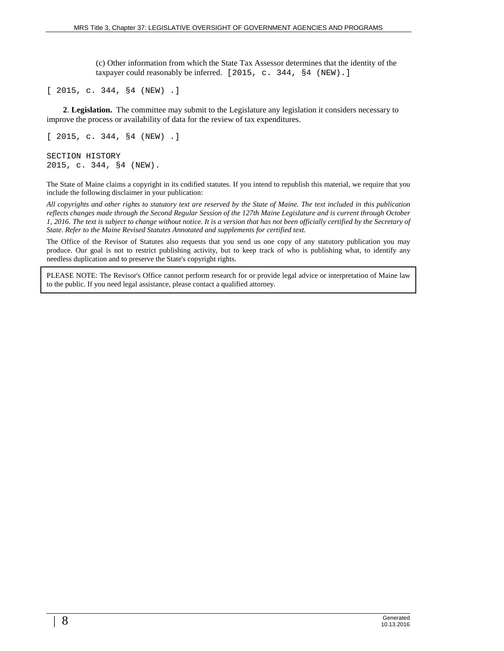(c) Other information from which the State Tax Assessor determines that the identity of the taxpayer could reasonably be inferred. [2015, c. 344, §4 (NEW).]

[ 2015, c. 344, §4 (NEW) .]

**2**. **Legislation.** The committee may submit to the Legislature any legislation it considers necessary to improve the process or availability of data for the review of tax expenditures.

```
[ 2015, c. 344, §4 (NEW) .]
SECTION HISTORY
2015, c. 344, §4 (NEW).
```
The State of Maine claims a copyright in its codified statutes. If you intend to republish this material, we require that you include the following disclaimer in your publication:

*All copyrights and other rights to statutory text are reserved by the State of Maine. The text included in this publication reflects changes made through the Second Regular Session of the 127th Maine Legislature and is current through October 1, 2016. The text is subject to change without notice. It is a version that has not been officially certified by the Secretary of State. Refer to the Maine Revised Statutes Annotated and supplements for certified text.*

The Office of the Revisor of Statutes also requests that you send us one copy of any statutory publication you may produce. Our goal is not to restrict publishing activity, but to keep track of who is publishing what, to identify any needless duplication and to preserve the State's copyright rights.

PLEASE NOTE: The Revisor's Office cannot perform research for or provide legal advice or interpretation of Maine law to the public. If you need legal assistance, please contact a qualified attorney.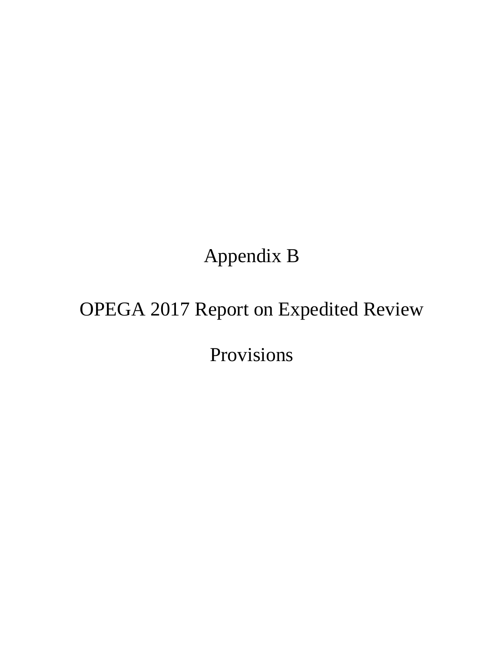## Appendix B

# OPEGA 2017 Report on Expedited Review

Provisions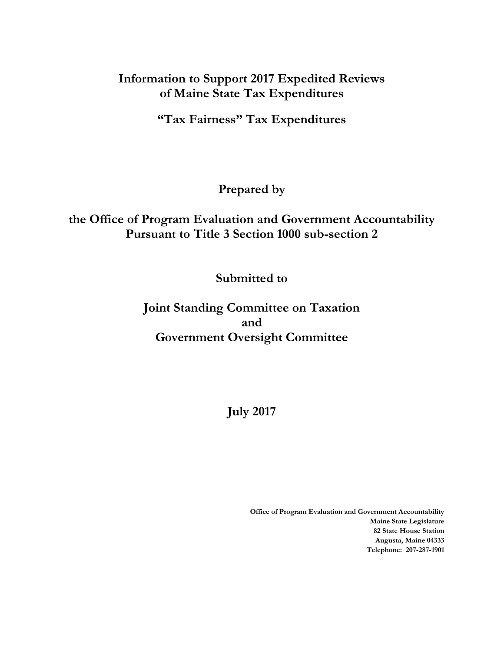## **Information to Support 2017 Expedited Reviews of Maine State Tax Expenditures**

**"Tax Fairness" Tax Expenditures**

### **Prepared by**

## **the Office of Program Evaluation and Government Accountability Pursuant to Title 3 Section 1000 sub-section 2**

## **Submitted to**

**Joint Standing Committee on Taxation and Government Oversight Committee**

**July 2017**

**Office of Program Evaluation and Government Accountability Maine State Legislature 82 State House Station Augusta, Maine 04333 Telephone: 207-287-1901**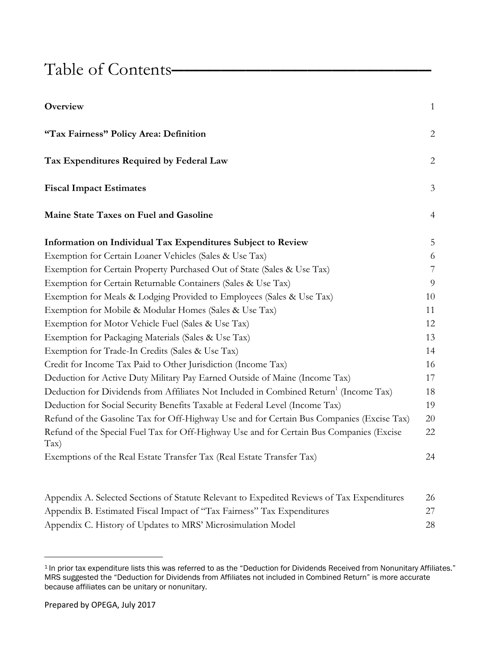## Table of Contents**―――――――――――――――――――――**

| Overview                                                                                                       | $\mathbf{1}$   |
|----------------------------------------------------------------------------------------------------------------|----------------|
| "Tax Fairness" Policy Area: Definition                                                                         | $\overline{c}$ |
| Tax Expenditures Required by Federal Law                                                                       | $\mathbf{2}$   |
| <b>Fiscal Impact Estimates</b>                                                                                 | $\mathfrak{Z}$ |
| Maine State Taxes on Fuel and Gasoline                                                                         | $\overline{4}$ |
| Information on Individual Tax Expenditures Subject to Review                                                   | 5              |
| Exemption for Certain Loaner Vehicles (Sales & Use Tax)                                                        | 6              |
| Exemption for Certain Property Purchased Out of State (Sales & Use Tax)                                        | $\overline{7}$ |
| Exemption for Certain Returnable Containers (Sales & Use Tax)                                                  | $\overline{9}$ |
| Exemption for Meals & Lodging Provided to Employees (Sales & Use Tax)                                          | 10             |
| Exemption for Mobile & Modular Homes (Sales & Use Tax)                                                         | 11             |
| Exemption for Motor Vehicle Fuel (Sales & Use Tax)                                                             | 12             |
| Exemption for Packaging Materials (Sales & Use Tax)                                                            | 13             |
| Exemption for Trade-In Credits (Sales & Use Tax)                                                               | 14             |
| Credit for Income Tax Paid to Other Jurisdiction (Income Tax)                                                  | 16             |
| Deduction for Active Duty Military Pay Earned Outside of Maine (Income Tax)                                    | 17             |
| Deduction for Dividends from Affiliates Not Included in Combined Return <sup>1</sup> (Income Tax)              | 18             |
| Deduction for Social Security Benefits Taxable at Federal Level (Income Tax)                                   | 19             |
| Refund of the Gasoline Tax for Off-Highway Use and for Certain Bus Companies (Excise Tax)                      | 20             |
| Refund of the Special Fuel Tax for Off-Highway Use and for Certain Bus Companies (Excise<br>$\text{Tax)}$      | 22             |
| Exemptions of the Real Estate Transfer Tax (Real Estate Transfer Tax)                                          | 24             |
| $\Lambda$ provides $\Lambda$ , Cologial Costians of Ctatute Delegant to Urnodited Devices of Tex Urnor divisor |                |

| Appendix A. Selected Sections of Statute Relevant to Expedited Reviews of Tax Expenditures | 26 |
|--------------------------------------------------------------------------------------------|----|
| Appendix B. Estimated Fiscal Impact of "Tax Fairness" Tax Expenditures                     |    |
| Appendix C. History of Updates to MRS' Microsimulation Model                               | 28 |

<sup>&</sup>lt;sup>1</sup> In prior tax expenditure lists this was referred to as the "Deduction for Dividends Received from Nonunitary Affiliates." MRS suggested the "Deduction for Dividends from Affiliates not included in Combined Return" is more accurate because affiliates can be unitary or nonunitary.

 $\overline{\phantom{a}}$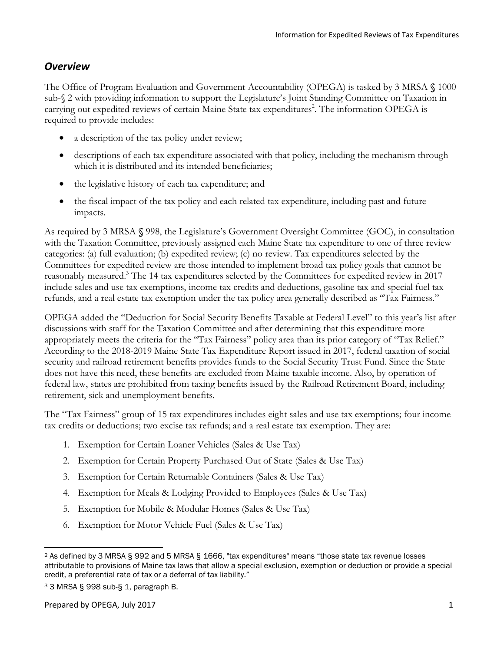#### *Overview*

The Office of Program Evaluation and Government Accountability (OPEGA) is tasked by 3 MRSA **§** 1000 sub-§ 2 with providing information to support the Legislature's Joint Standing Committee on Taxation in carrying out expedited reviews of certain Maine State tax expenditures<sup>2</sup>. The information OPEGA is required to provide includes:

- a description of the tax policy under review;
- descriptions of each tax expenditure associated with that policy, including the mechanism through which it is distributed and its intended beneficiaries;
- the legislative history of each tax expenditure; and
- the fiscal impact of the tax policy and each related tax expenditure, including past and future impacts.

As required by 3 MRSA **§** 998, the Legislature's Government Oversight Committee (GOC), in consultation with the Taxation Committee, previously assigned each Maine State tax expenditure to one of three review categories: (a) full evaluation; (b) expedited review; (c) no review. Tax expenditures selected by the Committees for expedited review are those intended to implement broad tax policy goals that cannot be reasonably measured. <sup>3</sup> The 14 tax expenditures selected by the Committees for expedited review in 2017 include sales and use tax exemptions, income tax credits and deductions, gasoline tax and special fuel tax refunds, and a real estate tax exemption under the tax policy area generally described as "Tax Fairness."

OPEGA added the "Deduction for Social Security Benefits Taxable at Federal Level" to this year's list after discussions with staff for the Taxation Committee and after determining that this expenditure more appropriately meets the criteria for the "Tax Fairness" policy area than its prior category of "Tax Relief." According to the 2018-2019 Maine State Tax Expenditure Report issued in 2017, federal taxation of social security and railroad retirement benefits provides funds to the Social Security Trust Fund. Since the State does not have this need, these benefits are excluded from Maine taxable income. Also, by operation of federal law, states are prohibited from taxing benefits issued by the Railroad Retirement Board, including retirement, sick and unemployment benefits.

The "Tax Fairness" group of 15 tax expenditures includes eight sales and use tax exemptions; four income tax credits or deductions; two excise tax refunds; and a real estate tax exemption. They are:

- 1. Exemption for Certain Loaner Vehicles (Sales & Use Tax)
- 2. Exemption for Certain Property Purchased Out of State (Sales & Use Tax)
- 3. Exemption for Certain Returnable Containers (Sales & Use Tax)
- 4. Exemption for Meals & Lodging Provided to Employees (Sales & Use Tax)
- 5. Exemption for Mobile & Modular Homes (Sales & Use Tax)
- 6. Exemption for Motor Vehicle Fuel (Sales & Use Tax)

l <sup>2</sup> As defined by 3 MRSA § 992 and 5 MRSA § 1666, "tax expenditures" means "those state tax revenue losses attributable to provisions of Maine tax laws that allow a special exclusion, exemption or deduction or provide a special credit, a preferential rate of tax or a deferral of tax liability."

<sup>3</sup> 3 MRSA § 998 sub-§ 1, paragraph B.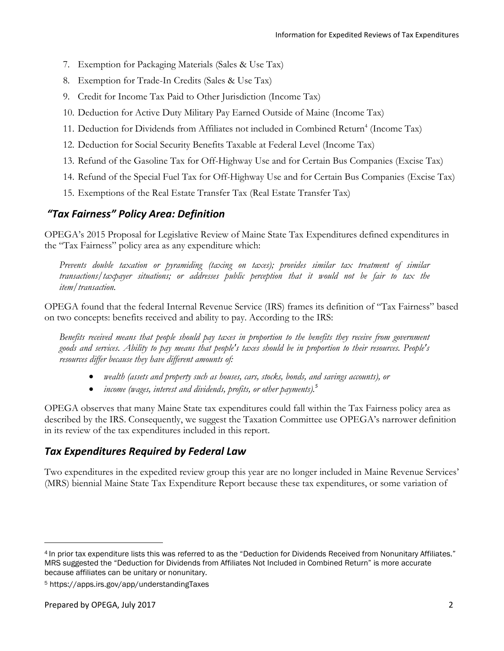- 7. Exemption for Packaging Materials (Sales & Use Tax)
- 8. Exemption for Trade-In Credits (Sales & Use Tax)
- 9. Credit for Income Tax Paid to Other Jurisdiction (Income Tax)
- 10. Deduction for Active Duty Military Pay Earned Outside of Maine (Income Tax)
- 11. Deduction for Dividends from Affiliates not included in Combined Return<sup>4</sup> (Income Tax)
- 12. Deduction for Social Security Benefits Taxable at Federal Level (Income Tax)
- 13. Refund of the Gasoline Tax for Off-Highway Use and for Certain Bus Companies (Excise Tax)
- 14. Refund of the Special Fuel Tax for Off-Highway Use and for Certain Bus Companies (Excise Tax)
- 15. Exemptions of the Real Estate Transfer Tax (Real Estate Transfer Tax)

#### *"Tax Fairness" Policy Area: Definition*

OPEGA's 2015 Proposal for Legislative Review of Maine State Tax Expenditures defined expenditures in the "Tax Fairness" policy area as any expenditure which:

*Prevents double taxation or pyramiding (taxing on taxes); provides similar tax treatment of similar transactions/taxpayer situations; or addresses public perception that it would not be fair to tax the item/transaction.*

OPEGA found that the federal Internal Revenue Service (IRS) frames its definition of "Tax Fairness" based on two concepts: benefits received and ability to pay. According to the IRS:

*Benefits received means that people should pay taxes in proportion to the benefits they receive from government goods and services. Ability to pay means that people's taxes should be in proportion to their resources. People's resources differ because they have different amounts of:*

- *wealth (assets and property such as houses, cars, stocks, bonds, and savings accounts), or*
- *income (wages, interest and dividends, profits, or other payments).<sup>5</sup>*

OPEGA observes that many Maine State tax expenditures could fall within the Tax Fairness policy area as described by the IRS. Consequently, we suggest the Taxation Committee use OPEGA's narrower definition in its review of the tax expenditures included in this report.

#### *Tax Expenditures Required by Federal Law*

Two expenditures in the expedited review group this year are no longer included in Maine Revenue Services' (MRS) biennial Maine State Tax Expenditure Report because these tax expenditures, or some variation of

<sup>4</sup> In prior tax expenditure lists this was referred to as the "Deduction for Dividends Received from Nonunitary Affiliates." MRS suggested the "Deduction for Dividends from Affiliates Not Included in Combined Return" is more accurate because affiliates can be unitary or nonunitary.

<sup>5</sup> https://apps.irs.gov/app/understandingTaxes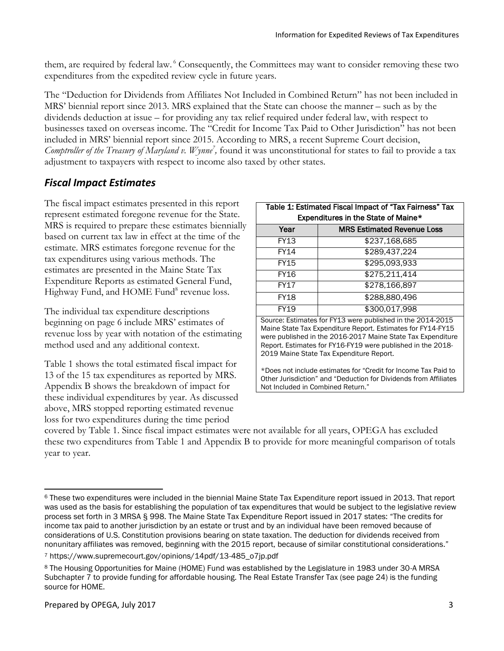them, are required by federal law. <sup>6</sup> Consequently, the Committees may want to consider removing these two expenditures from the expedited review cycle in future years.

The "Deduction for Dividends from Affiliates Not Included in Combined Return" has not been included in MRS' biennial report since 2013. MRS explained that the State can choose the manner – such as by the dividends deduction at issue – for providing any tax relief required under federal law, with respect to businesses taxed on overseas income. The "Credit for Income Tax Paid to Other Jurisdiction" has not been included in MRS' biennial report since 2015. According to MRS, a recent Supreme Court decision, *Comptroller of the Treasury of Maryland v. Wynne<sup>7</sup> ,* found it was unconstitutional for states to fail to provide a tax adjustment to taxpayers with respect to income also taxed by other states.

### *Fiscal Impact Estimates*

The fiscal impact estimates presented in this report represent estimated foregone revenue for the State. MRS is required to prepare these estimates biennially based on current tax law in effect at the time of the estimate. MRS estimates foregone revenue for the tax expenditures using various methods. The estimates are presented in the Maine State Tax Expenditure Reports as estimated General Fund, Highway Fund, and HOME Fund<sup>8</sup> revenue loss.

The individual tax expenditure descriptions beginning on page 6 include MRS' estimates of revenue loss by year with notation of the estimating method used and any additional context.

Table 1 shows the total estimated fiscal impact for 13 of the 15 tax expenditures as reported by MRS. Appendix B shows the breakdown of impact for these individual expenditures by year. As discussed above, MRS stopped reporting estimated revenue loss for two expenditures during the time period

| Table 1: Estimated Fiscal Impact of "Tax Fairness" Tax |                                                            |  |  |  |
|--------------------------------------------------------|------------------------------------------------------------|--|--|--|
| Expenditures in the State of Maine*                    |                                                            |  |  |  |
| Year                                                   | <b>MRS Estimated Revenue Loss</b>                          |  |  |  |
| FY13                                                   | \$237,168,685                                              |  |  |  |
| <b>FY14</b>                                            | \$289,437,224                                              |  |  |  |
| FY15                                                   | \$295,093,933                                              |  |  |  |
| <b>FY16</b>                                            | \$275,211,414                                              |  |  |  |
| <b>FY17</b>                                            | \$278,166,897                                              |  |  |  |
| FY18                                                   | \$288,880,496                                              |  |  |  |
| <b>FY19</b>                                            | \$300,017,998                                              |  |  |  |
|                                                        | Source: Estimates for FY13 were published in the 2014-2015 |  |  |  |

Maine State Tax Expenditure Report. Estimates for FY14-FY15 were published in the 2016-2017 Maine State Tax Expenditure Report. Estimates for FY16-FY19 were published in the 2018- 2019 Maine State Tax Expenditure Report.

\*Does not include estimates for "Credit for Income Tax Paid to Other Jurisdiction" and "Deduction for Dividends from Affiliates Not Included in Combined Return."

covered by Table 1. Since fiscal impact estimates were not available for all years, OPEGA has excluded these two expenditures from Table 1 and Appendix B to provide for more meaningful comparison of totals year to year.

 $\overline{\phantom{a}}$ <sup>6</sup> These two expenditures were included in the biennial Maine State Tax Expenditure report issued in 2013. That report was used as the basis for establishing the population of tax expenditures that would be subject to the legislative review process set forth in 3 MRSA § 998. The Maine State Tax Expenditure Report issued in 2017 states: "The credits for income tax paid to another jurisdiction by an estate or trust and by an individual have been removed because of considerations of U.S. Constitution provisions bearing on state taxation. The deduction for dividends received from nonunitary affiliates was removed, beginning with the 2015 report, because of similar constitutional considerations."

<sup>7</sup> https://www.supremecourt.gov/opinions/14pdf/13-485\_o7jp.pdf

<sup>8</sup> The Housing Opportunities for Maine (HOME) Fund was established by the Legislature in 1983 under 30-A MRSA Subchapter 7 to provide funding for affordable housing. The Real Estate Transfer Tax (see page 24) is the funding source for HOME.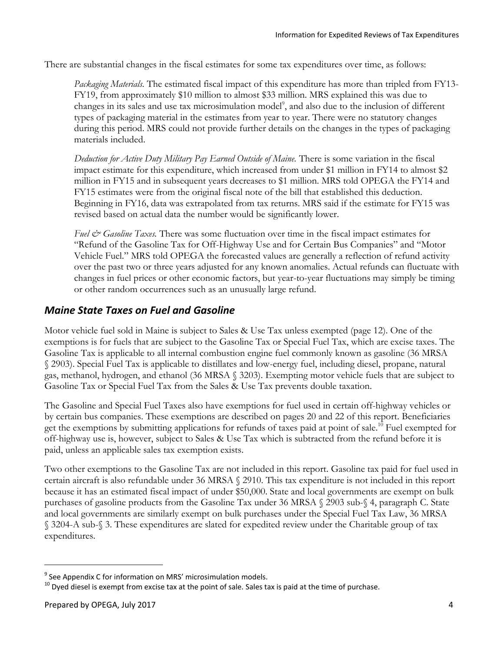There are substantial changes in the fiscal estimates for some tax expenditures over time, as follows:

*Packaging Materials.* The estimated fiscal impact of this expenditure has more than tripled from FY13- FY19, from approximately \$10 million to almost \$33 million. MRS explained this was due to changes in its sales and use tax microsimulation model<sup>9</sup>, and also due to the inclusion of different types of packaging material in the estimates from year to year. There were no statutory changes during this period. MRS could not provide further details on the changes in the types of packaging materials included.

*Deduction for Active Duty Military Pay Earned Outside of Maine.* There is some variation in the fiscal impact estimate for this expenditure, which increased from under \$1 million in FY14 to almost \$2 million in FY15 and in subsequent years decreases to \$1 million. MRS told OPEGA the FY14 and FY15 estimates were from the original fiscal note of the bill that established this deduction. Beginning in FY16, data was extrapolated from tax returns. MRS said if the estimate for FY15 was revised based on actual data the number would be significantly lower.

*Fuel & Gasoline Taxes*. There was some fluctuation over time in the fiscal impact estimates for "Refund of the Gasoline Tax for Off-Highway Use and for Certain Bus Companies" and "Motor Vehicle Fuel." MRS told OPEGA the forecasted values are generally a reflection of refund activity over the past two or three years adjusted for any known anomalies. Actual refunds can fluctuate with changes in fuel prices or other economic factors, but year-to-year fluctuations may simply be timing or other random occurrences such as an unusually large refund.

#### *Maine State Taxes on Fuel and Gasoline*

Motor vehicle fuel sold in Maine is subject to Sales & Use Tax unless exempted (page 12). One of the exemptions is for fuels that are subject to the Gasoline Tax or Special Fuel Tax, which are excise taxes. The Gasoline Tax is applicable to all internal combustion engine fuel commonly known as gasoline (36 MRSA § 2903). Special Fuel Tax is applicable to distillates and low-energy fuel, including diesel, propane, natural gas, methanol, hydrogen, and ethanol (36 MRSA § 3203). Exempting motor vehicle fuels that are subject to Gasoline Tax or Special Fuel Tax from the Sales & Use Tax prevents double taxation.

The Gasoline and Special Fuel Taxes also have exemptions for fuel used in certain off-highway vehicles or by certain bus companies. These exemptions are described on pages 20 and 22 of this report. Beneficiaries get the exemptions by submitting applications for refunds of taxes paid at point of sale.<sup>10</sup> Fuel exempted for off-highway use is, however, subject to Sales & Use Tax which is subtracted from the refund before it is paid, unless an applicable sales tax exemption exists.

Two other exemptions to the Gasoline Tax are not included in this report. Gasoline tax paid for fuel used in certain aircraft is also refundable under 36 MRSA § 2910. This tax expenditure is not included in this report because it has an estimated fiscal impact of under \$50,000. State and local governments are exempt on bulk purchases of gasoline products from the Gasoline Tax under 36 MRSA § 2903 sub-§ 4, paragraph C. State and local governments are similarly exempt on bulk purchases under the Special Fuel Tax Law, 36 MRSA § 3204-A sub-§ 3. These expenditures are slated for expedited review under the Charitable group of tax expenditures.

<sup>&</sup>lt;sup>9</sup> See Appendix C for information on MRS' microsimulation models.

 $10$  Dyed diesel is exempt from excise tax at the point of sale. Sales tax is paid at the time of purchase.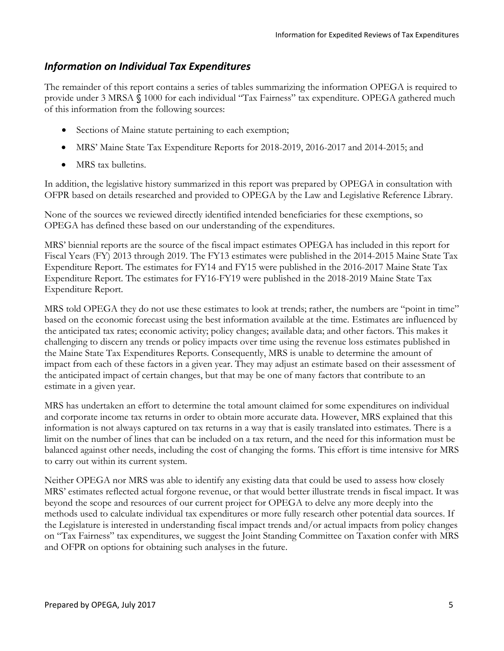#### *Information on Individual Tax Expenditures*

The remainder of this report contains a series of tables summarizing the information OPEGA is required to provide under 3 MRSA **§** 1000 for each individual "Tax Fairness" tax expenditure. OPEGA gathered much of this information from the following sources:

- Sections of Maine statute pertaining to each exemption;
- MRS' Maine State Tax Expenditure Reports for 2018-2019, 2016-2017 and 2014-2015; and
- MRS tax bulletins.

In addition, the legislative history summarized in this report was prepared by OPEGA in consultation with OFPR based on details researched and provided to OPEGA by the Law and Legislative Reference Library.

None of the sources we reviewed directly identified intended beneficiaries for these exemptions, so OPEGA has defined these based on our understanding of the expenditures.

MRS' biennial reports are the source of the fiscal impact estimates OPEGA has included in this report for Fiscal Years (FY) 2013 through 2019. The FY13 estimates were published in the 2014-2015 Maine State Tax Expenditure Report. The estimates for FY14 and FY15 were published in the 2016-2017 Maine State Tax Expenditure Report. The estimates for FY16-FY19 were published in the 2018-2019 Maine State Tax Expenditure Report.

MRS told OPEGA they do not use these estimates to look at trends; rather, the numbers are "point in time" based on the economic forecast using the best information available at the time. Estimates are influenced by the anticipated tax rates; economic activity; policy changes; available data; and other factors. This makes it challenging to discern any trends or policy impacts over time using the revenue loss estimates published in the Maine State Tax Expenditures Reports. Consequently, MRS is unable to determine the amount of impact from each of these factors in a given year. They may adjust an estimate based on their assessment of the anticipated impact of certain changes, but that may be one of many factors that contribute to an estimate in a given year.

MRS has undertaken an effort to determine the total amount claimed for some expenditures on individual and corporate income tax returns in order to obtain more accurate data. However, MRS explained that this information is not always captured on tax returns in a way that is easily translated into estimates. There is a limit on the number of lines that can be included on a tax return, and the need for this information must be balanced against other needs, including the cost of changing the forms. This effort is time intensive for MRS to carry out within its current system.

Neither OPEGA nor MRS was able to identify any existing data that could be used to assess how closely MRS' estimates reflected actual forgone revenue, or that would better illustrate trends in fiscal impact. It was beyond the scope and resources of our current project for OPEGA to delve any more deeply into the methods used to calculate individual tax expenditures or more fully research other potential data sources. If the Legislature is interested in understanding fiscal impact trends and/or actual impacts from policy changes on "Tax Fairness" tax expenditures, we suggest the Joint Standing Committee on Taxation confer with MRS and OFPR on options for obtaining such analyses in the future.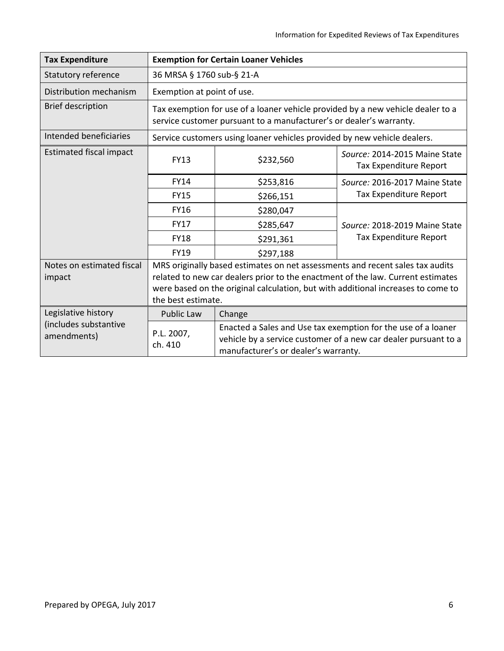| <b>Tax Expenditure</b>               | <b>Exemption for Certain Loaner Vehicles</b>                                                                                                                                                                                                                               |                                                                                                                                                                          |                                                         |  |
|--------------------------------------|----------------------------------------------------------------------------------------------------------------------------------------------------------------------------------------------------------------------------------------------------------------------------|--------------------------------------------------------------------------------------------------------------------------------------------------------------------------|---------------------------------------------------------|--|
| <b>Statutory reference</b>           | 36 MRSA § 1760 sub-§ 21-A                                                                                                                                                                                                                                                  |                                                                                                                                                                          |                                                         |  |
| Distribution mechanism               |                                                                                                                                                                                                                                                                            | Exemption at point of use.                                                                                                                                               |                                                         |  |
| <b>Brief description</b>             | Tax exemption for use of a loaner vehicle provided by a new vehicle dealer to a<br>service customer pursuant to a manufacturer's or dealer's warranty.                                                                                                                     |                                                                                                                                                                          |                                                         |  |
| Intended beneficiaries               |                                                                                                                                                                                                                                                                            | Service customers using loaner vehicles provided by new vehicle dealers.                                                                                                 |                                                         |  |
| <b>Estimated fiscal impact</b>       | <b>FY13</b>                                                                                                                                                                                                                                                                | \$232,560                                                                                                                                                                | Source: 2014-2015 Maine State<br>Tax Expenditure Report |  |
|                                      | <b>FY14</b>                                                                                                                                                                                                                                                                | \$253,816                                                                                                                                                                | Source: 2016-2017 Maine State                           |  |
|                                      | <b>FY15</b>                                                                                                                                                                                                                                                                | \$266,151                                                                                                                                                                | Tax Expenditure Report                                  |  |
|                                      | <b>FY16</b>                                                                                                                                                                                                                                                                | \$280,047                                                                                                                                                                |                                                         |  |
|                                      | <b>FY17</b>                                                                                                                                                                                                                                                                | \$285,647                                                                                                                                                                | Source: 2018-2019 Maine State                           |  |
|                                      | <b>FY18</b>                                                                                                                                                                                                                                                                | \$291,361                                                                                                                                                                | Tax Expenditure Report                                  |  |
|                                      | FY19                                                                                                                                                                                                                                                                       | \$297,188                                                                                                                                                                |                                                         |  |
| Notes on estimated fiscal<br>impact  | MRS originally based estimates on net assessments and recent sales tax audits<br>related to new car dealers prior to the enactment of the law. Current estimates<br>were based on the original calculation, but with additional increases to come to<br>the best estimate. |                                                                                                                                                                          |                                                         |  |
| Legislative history                  | <b>Public Law</b><br>Change                                                                                                                                                                                                                                                |                                                                                                                                                                          |                                                         |  |
| (includes substantive<br>amendments) | P.L. 2007,<br>ch. 410                                                                                                                                                                                                                                                      | Enacted a Sales and Use tax exemption for the use of a loaner<br>vehicle by a service customer of a new car dealer pursuant to a<br>manufacturer's or dealer's warranty. |                                                         |  |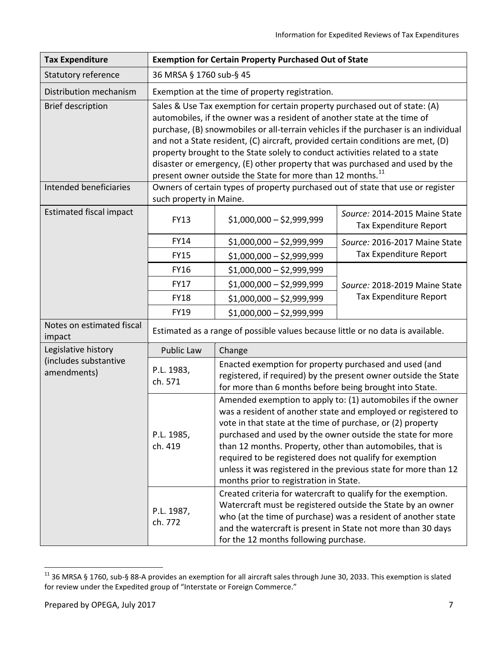| <b>Tax Expenditure</b>               | <b>Exemption for Certain Property Purchased Out of State</b>                                                                                                                                                                                                                                                                                                                                                                                                                                                                                                                 |                                                                                                                                                                                                                                                                                                                                                                                                                                                                                                                                                                                                                                                                                                  |                                                         |  |
|--------------------------------------|------------------------------------------------------------------------------------------------------------------------------------------------------------------------------------------------------------------------------------------------------------------------------------------------------------------------------------------------------------------------------------------------------------------------------------------------------------------------------------------------------------------------------------------------------------------------------|--------------------------------------------------------------------------------------------------------------------------------------------------------------------------------------------------------------------------------------------------------------------------------------------------------------------------------------------------------------------------------------------------------------------------------------------------------------------------------------------------------------------------------------------------------------------------------------------------------------------------------------------------------------------------------------------------|---------------------------------------------------------|--|
| Statutory reference                  | 36 MRSA § 1760 sub-§ 45                                                                                                                                                                                                                                                                                                                                                                                                                                                                                                                                                      |                                                                                                                                                                                                                                                                                                                                                                                                                                                                                                                                                                                                                                                                                                  |                                                         |  |
| Distribution mechanism               |                                                                                                                                                                                                                                                                                                                                                                                                                                                                                                                                                                              | Exemption at the time of property registration.                                                                                                                                                                                                                                                                                                                                                                                                                                                                                                                                                                                                                                                  |                                                         |  |
| <b>Brief description</b>             | Sales & Use Tax exemption for certain property purchased out of state: (A)<br>automobiles, if the owner was a resident of another state at the time of<br>purchase, (B) snowmobiles or all-terrain vehicles if the purchaser is an individual<br>and not a State resident, (C) aircraft, provided certain conditions are met, (D)<br>property brought to the State solely to conduct activities related to a state<br>disaster or emergency, (E) other property that was purchased and used by the<br>present owner outside the State for more than 12 months. <sup>11</sup> |                                                                                                                                                                                                                                                                                                                                                                                                                                                                                                                                                                                                                                                                                                  |                                                         |  |
| Intended beneficiaries               | such property in Maine.                                                                                                                                                                                                                                                                                                                                                                                                                                                                                                                                                      | Owners of certain types of property purchased out of state that use or register                                                                                                                                                                                                                                                                                                                                                                                                                                                                                                                                                                                                                  |                                                         |  |
| <b>Estimated fiscal impact</b>       | <b>FY13</b>                                                                                                                                                                                                                                                                                                                                                                                                                                                                                                                                                                  | $$1,000,000 - $2,999,999$                                                                                                                                                                                                                                                                                                                                                                                                                                                                                                                                                                                                                                                                        | Source: 2014-2015 Maine State<br>Tax Expenditure Report |  |
|                                      | <b>FY14</b>                                                                                                                                                                                                                                                                                                                                                                                                                                                                                                                                                                  | $$1,000,000 - $2,999,999$                                                                                                                                                                                                                                                                                                                                                                                                                                                                                                                                                                                                                                                                        | Source: 2016-2017 Maine State                           |  |
|                                      | <b>FY15</b>                                                                                                                                                                                                                                                                                                                                                                                                                                                                                                                                                                  | $$1,000,000 - $2,999,999$                                                                                                                                                                                                                                                                                                                                                                                                                                                                                                                                                                                                                                                                        | Tax Expenditure Report                                  |  |
|                                      | <b>FY16</b>                                                                                                                                                                                                                                                                                                                                                                                                                                                                                                                                                                  | $$1,000,000 - $2,999,999$                                                                                                                                                                                                                                                                                                                                                                                                                                                                                                                                                                                                                                                                        |                                                         |  |
|                                      | <b>FY17</b>                                                                                                                                                                                                                                                                                                                                                                                                                                                                                                                                                                  | $$1,000,000 - $2,999,999$                                                                                                                                                                                                                                                                                                                                                                                                                                                                                                                                                                                                                                                                        | Source: 2018-2019 Maine State                           |  |
|                                      | <b>FY18</b>                                                                                                                                                                                                                                                                                                                                                                                                                                                                                                                                                                  | $$1,000,000 - $2,999,999$                                                                                                                                                                                                                                                                                                                                                                                                                                                                                                                                                                                                                                                                        | Tax Expenditure Report                                  |  |
|                                      | FY19                                                                                                                                                                                                                                                                                                                                                                                                                                                                                                                                                                         | $$1,000,000 - $2,999,999$                                                                                                                                                                                                                                                                                                                                                                                                                                                                                                                                                                                                                                                                        |                                                         |  |
| Notes on estimated fiscal<br>impact  | Estimated as a range of possible values because little or no data is available.                                                                                                                                                                                                                                                                                                                                                                                                                                                                                              |                                                                                                                                                                                                                                                                                                                                                                                                                                                                                                                                                                                                                                                                                                  |                                                         |  |
| Legislative history                  | Public Law                                                                                                                                                                                                                                                                                                                                                                                                                                                                                                                                                                   | Change                                                                                                                                                                                                                                                                                                                                                                                                                                                                                                                                                                                                                                                                                           |                                                         |  |
| (includes substantive<br>amendments) | P.L. 1983,<br>ch. 571                                                                                                                                                                                                                                                                                                                                                                                                                                                                                                                                                        | Enacted exemption for property purchased and used (and<br>registered, if required) by the present owner outside the State<br>for more than 6 months before being brought into State.                                                                                                                                                                                                                                                                                                                                                                                                                                                                                                             |                                                         |  |
|                                      | P.L. 1985,<br>ch. 419<br>P.L. 1987,<br>ch. 772                                                                                                                                                                                                                                                                                                                                                                                                                                                                                                                               | Amended exemption to apply to: (1) automobiles if the owner<br>was a resident of another state and employed or registered to<br>vote in that state at the time of purchase, or (2) property<br>purchased and used by the owner outside the state for more<br>than 12 months. Property, other than automobiles, that is<br>required to be registered does not qualify for exemption<br>unless it was registered in the previous state for more than 12<br>months prior to registration in State.<br>Created criteria for watercraft to qualify for the exemption.<br>Watercraft must be registered outside the State by an owner<br>who (at the time of purchase) was a resident of another state |                                                         |  |
|                                      |                                                                                                                                                                                                                                                                                                                                                                                                                                                                                                                                                                              | and the watercraft is present in State not more than 30 days<br>for the 12 months following purchase.                                                                                                                                                                                                                                                                                                                                                                                                                                                                                                                                                                                            |                                                         |  |

<sup>&</sup>lt;sup>11</sup> 36 MRSA § 1760, sub-§ 88-A provides an exemption for all aircraft sales through June 30, 2033. This exemption is slated for review under the Expedited group of "Interstate or Foreign Commerce."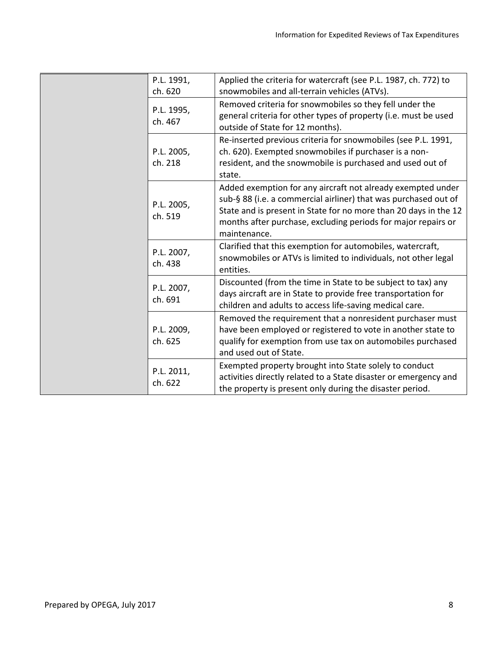|  | P.L. 1991,<br>ch. 620 | Applied the criteria for watercraft (see P.L. 1987, ch. 772) to<br>snowmobiles and all-terrain vehicles (ATVs).                                                                                                                                                                     |
|--|-----------------------|-------------------------------------------------------------------------------------------------------------------------------------------------------------------------------------------------------------------------------------------------------------------------------------|
|  | P.L. 1995,<br>ch. 467 | Removed criteria for snowmobiles so they fell under the<br>general criteria for other types of property (i.e. must be used<br>outside of State for 12 months).                                                                                                                      |
|  | P.L. 2005,<br>ch. 218 | Re-inserted previous criteria for snowmobiles (see P.L. 1991,<br>ch. 620). Exempted snowmobiles if purchaser is a non-<br>resident, and the snowmobile is purchased and used out of<br>state.                                                                                       |
|  | P.L. 2005,<br>ch. 519 | Added exemption for any aircraft not already exempted under<br>sub-§ 88 (i.e. a commercial airliner) that was purchased out of<br>State and is present in State for no more than 20 days in the 12<br>months after purchase, excluding periods for major repairs or<br>maintenance. |
|  | P.L. 2007,<br>ch. 438 | Clarified that this exemption for automobiles, watercraft,<br>snowmobiles or ATVs is limited to individuals, not other legal<br>entities.                                                                                                                                           |
|  | P.L. 2007,<br>ch. 691 | Discounted (from the time in State to be subject to tax) any<br>days aircraft are in State to provide free transportation for<br>children and adults to access life-saving medical care.                                                                                            |
|  | P.L. 2009,<br>ch. 625 | Removed the requirement that a nonresident purchaser must<br>have been employed or registered to vote in another state to<br>qualify for exemption from use tax on automobiles purchased<br>and used out of State.                                                                  |
|  | P.L. 2011,<br>ch. 622 | Exempted property brought into State solely to conduct<br>activities directly related to a State disaster or emergency and<br>the property is present only during the disaster period.                                                                                              |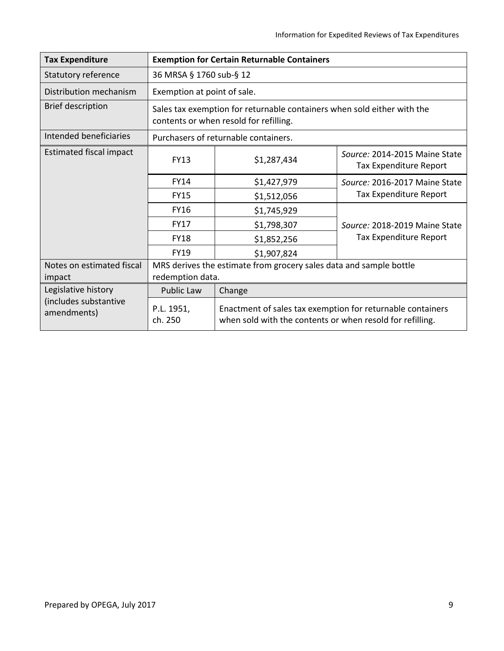| <b>Tax Expenditure</b>               | <b>Exemption for Certain Returnable Containers</b>                                                                |                                                                                                                         |                                                         |  |
|--------------------------------------|-------------------------------------------------------------------------------------------------------------------|-------------------------------------------------------------------------------------------------------------------------|---------------------------------------------------------|--|
| <b>Statutory reference</b>           | 36 MRSA § 1760 sub-§ 12                                                                                           |                                                                                                                         |                                                         |  |
| Distribution mechanism               | Exemption at point of sale.                                                                                       |                                                                                                                         |                                                         |  |
| <b>Brief description</b>             | Sales tax exemption for returnable containers when sold either with the<br>contents or when resold for refilling. |                                                                                                                         |                                                         |  |
| Intended beneficiaries               |                                                                                                                   | Purchasers of returnable containers.                                                                                    |                                                         |  |
| <b>Estimated fiscal impact</b>       | <b>FY13</b>                                                                                                       | \$1,287,434                                                                                                             | Source: 2014-2015 Maine State<br>Tax Expenditure Report |  |
|                                      | <b>FY14</b>                                                                                                       | \$1,427,979                                                                                                             | Source: 2016-2017 Maine State                           |  |
|                                      | <b>FY15</b>                                                                                                       | \$1,512,056                                                                                                             | Tax Expenditure Report                                  |  |
|                                      | <b>FY16</b>                                                                                                       | \$1,745,929                                                                                                             |                                                         |  |
|                                      | <b>FY17</b>                                                                                                       | \$1,798,307                                                                                                             | Source: 2018-2019 Maine State                           |  |
|                                      | <b>FY18</b>                                                                                                       | \$1,852,256                                                                                                             | Tax Expenditure Report                                  |  |
|                                      | <b>FY19</b>                                                                                                       | \$1,907,824                                                                                                             |                                                         |  |
| Notes on estimated fiscal<br>impact  | redemption data.                                                                                                  | MRS derives the estimate from grocery sales data and sample bottle                                                      |                                                         |  |
| Legislative history                  | <b>Public Law</b>                                                                                                 | Change                                                                                                                  |                                                         |  |
| (includes substantive<br>amendments) | P.L. 1951,<br>ch. 250                                                                                             | Enactment of sales tax exemption for returnable containers<br>when sold with the contents or when resold for refilling. |                                                         |  |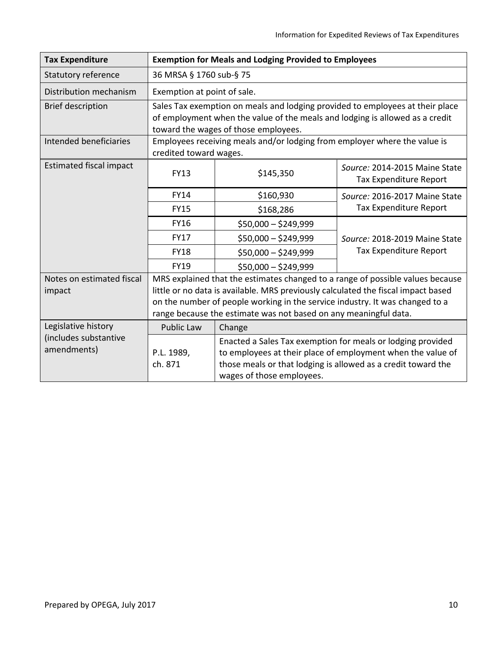| <b>Tax Expenditure</b>               | <b>Exemption for Meals and Lodging Provided to Employees</b>                                                                                                                                                                                        |                                                                                            |                                                                                                                            |  |
|--------------------------------------|-----------------------------------------------------------------------------------------------------------------------------------------------------------------------------------------------------------------------------------------------------|--------------------------------------------------------------------------------------------|----------------------------------------------------------------------------------------------------------------------------|--|
| <b>Statutory reference</b>           | 36 MRSA § 1760 sub-§ 75                                                                                                                                                                                                                             |                                                                                            |                                                                                                                            |  |
| Distribution mechanism               |                                                                                                                                                                                                                                                     | Exemption at point of sale.                                                                |                                                                                                                            |  |
| <b>Brief description</b>             | Sales Tax exemption on meals and lodging provided to employees at their place<br>of employment when the value of the meals and lodging is allowed as a credit<br>toward the wages of those employees.                                               |                                                                                            |                                                                                                                            |  |
| Intended beneficiaries               | Employees receiving meals and/or lodging from employer where the value is<br>credited toward wages.                                                                                                                                                 |                                                                                            |                                                                                                                            |  |
| <b>Estimated fiscal impact</b>       | <b>FY13</b>                                                                                                                                                                                                                                         | \$145,350                                                                                  | Source: 2014-2015 Maine State<br>Tax Expenditure Report                                                                    |  |
|                                      | FY14                                                                                                                                                                                                                                                | \$160,930                                                                                  | Source: 2016-2017 Maine State                                                                                              |  |
|                                      | <b>FY15</b>                                                                                                                                                                                                                                         | \$168,286                                                                                  | Tax Expenditure Report                                                                                                     |  |
|                                      | <b>FY16</b>                                                                                                                                                                                                                                         | $$50,000 - $249,999$                                                                       |                                                                                                                            |  |
|                                      | <b>FY17</b>                                                                                                                                                                                                                                         | $$50,000 - $249,999$                                                                       | Source: 2018-2019 Maine State                                                                                              |  |
|                                      | <b>FY18</b>                                                                                                                                                                                                                                         | \$50,000 - \$249,999                                                                       | <b>Tax Expenditure Report</b>                                                                                              |  |
|                                      | FY19                                                                                                                                                                                                                                                | $$50,000 - $249,999$                                                                       |                                                                                                                            |  |
| Notes on estimated fiscal<br>impact  | MRS explained that the estimates changed to a range of possible values because<br>little or no data is available. MRS previously calculated the fiscal impact based<br>on the number of people working in the service industry. It was changed to a |                                                                                            |                                                                                                                            |  |
|                                      |                                                                                                                                                                                                                                                     | range because the estimate was not based on any meaningful data.                           |                                                                                                                            |  |
| Legislative history                  | <b>Public Law</b><br>Change                                                                                                                                                                                                                         |                                                                                            |                                                                                                                            |  |
| (includes substantive<br>amendments) | P.L. 1989,<br>ch. 871                                                                                                                                                                                                                               | those meals or that lodging is allowed as a credit toward the<br>wages of those employees. | Enacted a Sales Tax exemption for meals or lodging provided<br>to employees at their place of employment when the value of |  |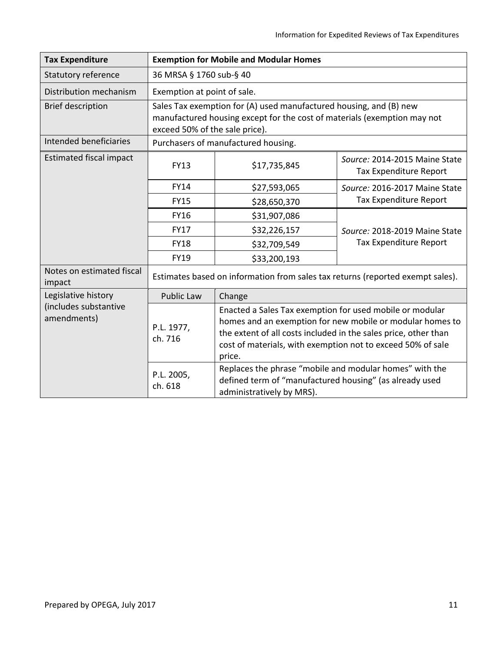| <b>Tax Expenditure</b>               | <b>Exemption for Mobile and Modular Homes</b>                                                                                                                                    |                                                                                                                                                                                                                                                                                                                                                                                                                      |                                                                                |  |
|--------------------------------------|----------------------------------------------------------------------------------------------------------------------------------------------------------------------------------|----------------------------------------------------------------------------------------------------------------------------------------------------------------------------------------------------------------------------------------------------------------------------------------------------------------------------------------------------------------------------------------------------------------------|--------------------------------------------------------------------------------|--|
| Statutory reference                  | 36 MRSA § 1760 sub-§ 40                                                                                                                                                          |                                                                                                                                                                                                                                                                                                                                                                                                                      |                                                                                |  |
| Distribution mechanism               |                                                                                                                                                                                  | Exemption at point of sale.                                                                                                                                                                                                                                                                                                                                                                                          |                                                                                |  |
| <b>Brief description</b>             | Sales Tax exemption for (A) used manufactured housing, and (B) new<br>manufactured housing except for the cost of materials (exemption may not<br>exceed 50% of the sale price). |                                                                                                                                                                                                                                                                                                                                                                                                                      |                                                                                |  |
| Intended beneficiaries               |                                                                                                                                                                                  | Purchasers of manufactured housing.                                                                                                                                                                                                                                                                                                                                                                                  |                                                                                |  |
| <b>Estimated fiscal impact</b>       | <b>FY13</b>                                                                                                                                                                      | \$17,735,845                                                                                                                                                                                                                                                                                                                                                                                                         | Source: 2014-2015 Maine State<br>Tax Expenditure Report                        |  |
|                                      | FY14                                                                                                                                                                             | \$27,593,065                                                                                                                                                                                                                                                                                                                                                                                                         | Source: 2016-2017 Maine State                                                  |  |
|                                      | <b>FY15</b>                                                                                                                                                                      | \$28,650,370                                                                                                                                                                                                                                                                                                                                                                                                         | Tax Expenditure Report                                                         |  |
|                                      | <b>FY16</b>                                                                                                                                                                      | \$31,907,086                                                                                                                                                                                                                                                                                                                                                                                                         |                                                                                |  |
|                                      | <b>FY17</b>                                                                                                                                                                      | \$32,226,157                                                                                                                                                                                                                                                                                                                                                                                                         | Source: 2018-2019 Maine State                                                  |  |
|                                      | <b>FY18</b>                                                                                                                                                                      | \$32,709,549                                                                                                                                                                                                                                                                                                                                                                                                         | Tax Expenditure Report                                                         |  |
|                                      | <b>FY19</b>                                                                                                                                                                      | \$33,200,193                                                                                                                                                                                                                                                                                                                                                                                                         |                                                                                |  |
| Notes on estimated fiscal<br>impact  |                                                                                                                                                                                  |                                                                                                                                                                                                                                                                                                                                                                                                                      | Estimates based on information from sales tax returns (reported exempt sales). |  |
| Legislative history                  | Public Law                                                                                                                                                                       | Change                                                                                                                                                                                                                                                                                                                                                                                                               |                                                                                |  |
| (includes substantive<br>amendments) | P.L. 1977,<br>ch. 716                                                                                                                                                            | Enacted a Sales Tax exemption for used mobile or modular<br>homes and an exemption for new mobile or modular homes to<br>the extent of all costs included in the sales price, other than<br>cost of materials, with exemption not to exceed 50% of sale<br>price.<br>Replaces the phrase "mobile and modular homes" with the<br>defined term of "manufactured housing" (as already used<br>administratively by MRS). |                                                                                |  |
|                                      | P.L. 2005,<br>ch. 618                                                                                                                                                            |                                                                                                                                                                                                                                                                                                                                                                                                                      |                                                                                |  |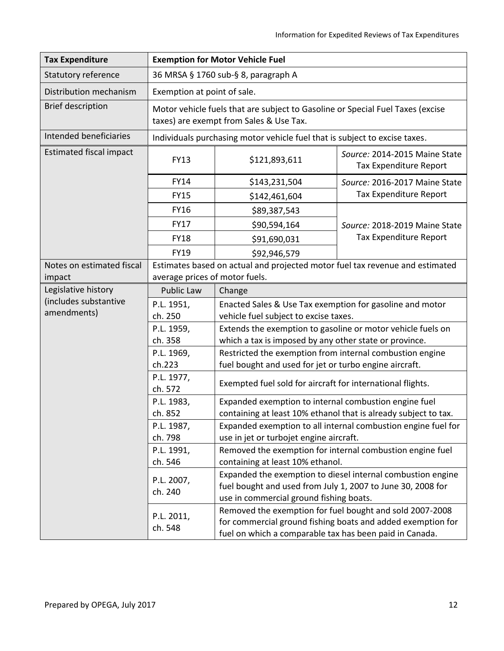| <b>Tax Expenditure</b>               | <b>Exemption for Motor Vehicle Fuel</b>                                                                        |                                                                                                                                                                                    |                                                                 |  |
|--------------------------------------|----------------------------------------------------------------------------------------------------------------|------------------------------------------------------------------------------------------------------------------------------------------------------------------------------------|-----------------------------------------------------------------|--|
| Statutory reference                  | 36 MRSA § 1760 sub-§ 8, paragraph A                                                                            |                                                                                                                                                                                    |                                                                 |  |
| Distribution mechanism               | Exemption at point of sale.                                                                                    |                                                                                                                                                                                    |                                                                 |  |
| <b>Brief description</b>             |                                                                                                                | Motor vehicle fuels that are subject to Gasoline or Special Fuel Taxes (excise<br>taxes) are exempt from Sales & Use Tax.                                                          |                                                                 |  |
| Intended beneficiaries               |                                                                                                                | Individuals purchasing motor vehicle fuel that is subject to excise taxes.                                                                                                         |                                                                 |  |
| <b>Estimated fiscal impact</b>       | <b>FY13</b>                                                                                                    | \$121,893,611                                                                                                                                                                      | Source: 2014-2015 Maine State<br>Tax Expenditure Report         |  |
|                                      | <b>FY14</b>                                                                                                    | \$143,231,504                                                                                                                                                                      | Source: 2016-2017 Maine State                                   |  |
|                                      | <b>FY15</b>                                                                                                    | \$142,461,604                                                                                                                                                                      | Tax Expenditure Report                                          |  |
|                                      | <b>FY16</b>                                                                                                    | \$89,387,543                                                                                                                                                                       |                                                                 |  |
|                                      | <b>FY17</b>                                                                                                    | \$90,594,164                                                                                                                                                                       | Source: 2018-2019 Maine State                                   |  |
|                                      | <b>FY18</b>                                                                                                    | \$91,690,031                                                                                                                                                                       | Tax Expenditure Report                                          |  |
|                                      | <b>FY19</b>                                                                                                    | \$92,946,579                                                                                                                                                                       |                                                                 |  |
| Notes on estimated fiscal<br>impact  | Estimates based on actual and projected motor fuel tax revenue and estimated<br>average prices of motor fuels. |                                                                                                                                                                                    |                                                                 |  |
| Legislative history                  | <b>Public Law</b>                                                                                              | Change                                                                                                                                                                             |                                                                 |  |
| (includes substantive<br>amendments) | P.L. 1951,<br>ch. 250                                                                                          | Enacted Sales & Use Tax exemption for gasoline and motor<br>vehicle fuel subject to excise taxes.                                                                                  |                                                                 |  |
|                                      | P.L. 1959,<br>ch. 358                                                                                          | which a tax is imposed by any other state or province.                                                                                                                             | Extends the exemption to gasoline or motor vehicle fuels on     |  |
|                                      | P.L. 1969,<br>ch.223                                                                                           | Restricted the exemption from internal combustion engine<br>fuel bought and used for jet or turbo engine aircraft.                                                                 |                                                                 |  |
|                                      | P.L. 1977,<br>ch. 572                                                                                          | Exempted fuel sold for aircraft for international flights.                                                                                                                         |                                                                 |  |
|                                      | P.L. 1983,<br>ch. 852                                                                                          | Expanded exemption to internal combustion engine fuel                                                                                                                              | containing at least 10% ethanol that is already subject to tax. |  |
|                                      | P.L. 1987,<br>ch. 798                                                                                          | use in jet or turbojet engine aircraft.                                                                                                                                            | Expanded exemption to all internal combustion engine fuel for   |  |
|                                      | P.L. 1991,                                                                                                     | Removed the exemption for internal combustion engine fuel                                                                                                                          |                                                                 |  |
|                                      | containing at least 10% ethanol.<br>ch. 546                                                                    |                                                                                                                                                                                    |                                                                 |  |
|                                      | P.L. 2007,<br>ch. 240                                                                                          | Expanded the exemption to diesel internal combustion engine<br>fuel bought and used from July 1, 2007 to June 30, 2008 for<br>use in commercial ground fishing boats.              |                                                                 |  |
|                                      | P.L. 2011,<br>ch. 548                                                                                          | Removed the exemption for fuel bought and sold 2007-2008<br>for commercial ground fishing boats and added exemption for<br>fuel on which a comparable tax has been paid in Canada. |                                                                 |  |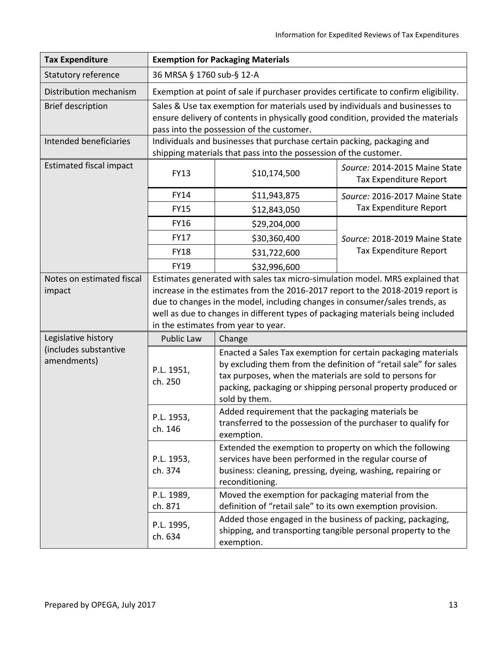| <b>Tax Expenditure</b>                             | <b>Exemption for Packaging Materials</b>                                                                                                                                                                                                                                                                                                                                 |                                                                                                                                                                                                                                                                                |                                                         |
|----------------------------------------------------|--------------------------------------------------------------------------------------------------------------------------------------------------------------------------------------------------------------------------------------------------------------------------------------------------------------------------------------------------------------------------|--------------------------------------------------------------------------------------------------------------------------------------------------------------------------------------------------------------------------------------------------------------------------------|---------------------------------------------------------|
| Statutory reference                                | 36 MRSA § 1760 sub-§ 12-A                                                                                                                                                                                                                                                                                                                                                |                                                                                                                                                                                                                                                                                |                                                         |
| Distribution mechanism                             | Exemption at point of sale if purchaser provides certificate to confirm eligibility.                                                                                                                                                                                                                                                                                     |                                                                                                                                                                                                                                                                                |                                                         |
| <b>Brief description</b><br>Intended beneficiaries | Sales & Use tax exemption for materials used by individuals and businesses to<br>ensure delivery of contents in physically good condition, provided the materials<br>pass into the possession of the customer.<br>Individuals and businesses that purchase certain packing, packaging and                                                                                |                                                                                                                                                                                                                                                                                |                                                         |
|                                                    |                                                                                                                                                                                                                                                                                                                                                                          | shipping materials that pass into the possession of the customer.                                                                                                                                                                                                              |                                                         |
| <b>Estimated fiscal impact</b>                     | FY13                                                                                                                                                                                                                                                                                                                                                                     | \$10,174,500                                                                                                                                                                                                                                                                   | Source: 2014-2015 Maine State<br>Tax Expenditure Report |
|                                                    | FY14                                                                                                                                                                                                                                                                                                                                                                     | \$11,943,875                                                                                                                                                                                                                                                                   | Source: 2016-2017 Maine State                           |
|                                                    | <b>FY15</b>                                                                                                                                                                                                                                                                                                                                                              | \$12,843,050                                                                                                                                                                                                                                                                   | Tax Expenditure Report                                  |
|                                                    | <b>FY16</b>                                                                                                                                                                                                                                                                                                                                                              | \$29,204,000                                                                                                                                                                                                                                                                   |                                                         |
|                                                    | <b>FY17</b>                                                                                                                                                                                                                                                                                                                                                              | \$30,360,400                                                                                                                                                                                                                                                                   | Source: 2018-2019 Maine State                           |
|                                                    | <b>FY18</b>                                                                                                                                                                                                                                                                                                                                                              | \$31,722,600                                                                                                                                                                                                                                                                   | Tax Expenditure Report                                  |
|                                                    | FY19                                                                                                                                                                                                                                                                                                                                                                     | \$32,996,600                                                                                                                                                                                                                                                                   |                                                         |
| Notes on estimated fiscal<br>impact                | Estimates generated with sales tax micro-simulation model. MRS explained that<br>increase in the estimates from the 2016-2017 report to the 2018-2019 report is<br>due to changes in the model, including changes in consumer/sales trends, as<br>well as due to changes in different types of packaging materials being included<br>in the estimates from year to year. |                                                                                                                                                                                                                                                                                |                                                         |
| Legislative history                                | Public Law                                                                                                                                                                                                                                                                                                                                                               | Change                                                                                                                                                                                                                                                                         |                                                         |
| (includes substantive<br>amendments)               | P.L. 1951,<br>ch. 250                                                                                                                                                                                                                                                                                                                                                    | Enacted a Sales Tax exemption for certain packaging materials<br>by excluding them from the definition of "retail sale" for sales<br>tax purposes, when the materials are sold to persons for<br>packing, packaging or shipping personal property produced or<br>sold by them. |                                                         |
|                                                    | P.L. 1953<br>ch. 146                                                                                                                                                                                                                                                                                                                                                     | Added requirement that the packaging materials be<br>transferred to the possession of the purchaser to qualify for<br>exemption.                                                                                                                                               |                                                         |
|                                                    | P.L. 1953,<br>ch. 374                                                                                                                                                                                                                                                                                                                                                    | Extended the exemption to property on which the following<br>services have been performed in the regular course of<br>business: cleaning, pressing, dyeing, washing, repairing or<br>reconditioning.                                                                           |                                                         |
|                                                    | P.L. 1989,<br>ch. 871                                                                                                                                                                                                                                                                                                                                                    | Moved the exemption for packaging material from the                                                                                                                                                                                                                            |                                                         |
|                                                    | P.L. 1995,<br>ch. 634                                                                                                                                                                                                                                                                                                                                                    | definition of "retail sale" to its own exemption provision.<br>Added those engaged in the business of packing, packaging,<br>shipping, and transporting tangible personal property to the<br>exemption.                                                                        |                                                         |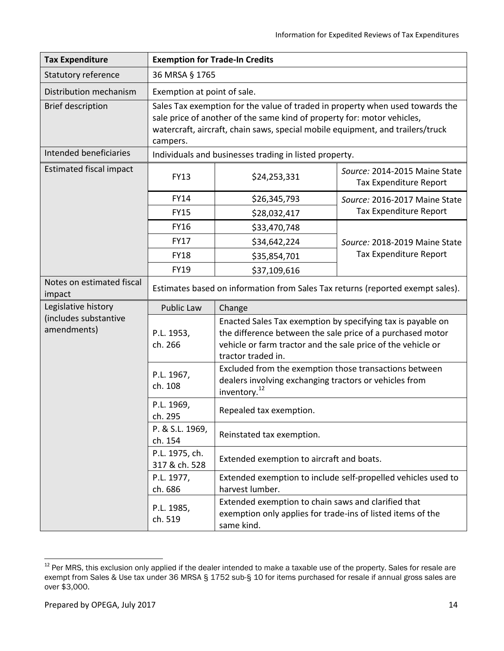| <b>Tax Expenditure</b>               | <b>Exemption for Trade-In Credits</b>                                                                                                                                                                                                                  |                                                                                                                                                                                                                 |                                                         |  |
|--------------------------------------|--------------------------------------------------------------------------------------------------------------------------------------------------------------------------------------------------------------------------------------------------------|-----------------------------------------------------------------------------------------------------------------------------------------------------------------------------------------------------------------|---------------------------------------------------------|--|
| Statutory reference                  |                                                                                                                                                                                                                                                        | 36 MRSA § 1765                                                                                                                                                                                                  |                                                         |  |
| Distribution mechanism               |                                                                                                                                                                                                                                                        | Exemption at point of sale.                                                                                                                                                                                     |                                                         |  |
| <b>Brief description</b>             | Sales Tax exemption for the value of traded in property when used towards the<br>sale price of another of the same kind of property for: motor vehicles,<br>watercraft, aircraft, chain saws, special mobile equipment, and trailers/truck<br>campers. |                                                                                                                                                                                                                 |                                                         |  |
| Intended beneficiaries               |                                                                                                                                                                                                                                                        | Individuals and businesses trading in listed property.                                                                                                                                                          |                                                         |  |
| <b>Estimated fiscal impact</b>       | <b>FY13</b>                                                                                                                                                                                                                                            | \$24,253,331                                                                                                                                                                                                    | Source: 2014-2015 Maine State<br>Tax Expenditure Report |  |
|                                      | <b>FY14</b>                                                                                                                                                                                                                                            | \$26,345,793                                                                                                                                                                                                    | Source: 2016-2017 Maine State                           |  |
|                                      | <b>FY15</b>                                                                                                                                                                                                                                            | \$28,032,417                                                                                                                                                                                                    | Tax Expenditure Report                                  |  |
|                                      | <b>FY16</b>                                                                                                                                                                                                                                            | \$33,470,748                                                                                                                                                                                                    |                                                         |  |
|                                      | <b>FY17</b>                                                                                                                                                                                                                                            | \$34,642,224                                                                                                                                                                                                    | Source: 2018-2019 Maine State                           |  |
|                                      | <b>FY18</b>                                                                                                                                                                                                                                            | \$35,854,701                                                                                                                                                                                                    | Tax Expenditure Report                                  |  |
|                                      | FY19                                                                                                                                                                                                                                                   | \$37,109,616                                                                                                                                                                                                    |                                                         |  |
| Notes on estimated fiscal<br>impact  | Estimates based on information from Sales Tax returns (reported exempt sales).                                                                                                                                                                         |                                                                                                                                                                                                                 |                                                         |  |
| Legislative history                  | Public Law                                                                                                                                                                                                                                             | Change                                                                                                                                                                                                          |                                                         |  |
| (includes substantive<br>amendments) | P.L. 1953,<br>ch. 266                                                                                                                                                                                                                                  | Enacted Sales Tax exemption by specifying tax is payable on<br>the difference between the sale price of a purchased motor<br>vehicle or farm tractor and the sale price of the vehicle or<br>tractor traded in. |                                                         |  |
|                                      | P.L. 1967,<br>ch. 108                                                                                                                                                                                                                                  | Excluded from the exemption those transactions between<br>dealers involving exchanging tractors or vehicles from<br>inventory. <sup>12</sup>                                                                    |                                                         |  |
|                                      | P.L. 1969,<br>ch. 295                                                                                                                                                                                                                                  | Repealed tax exemption.                                                                                                                                                                                         |                                                         |  |
|                                      | P. & S.L. 1969,<br>ch. 154                                                                                                                                                                                                                             | Reinstated tax exemption.                                                                                                                                                                                       |                                                         |  |
|                                      | P.L. 1975, ch.<br>317 & ch. 528                                                                                                                                                                                                                        | Extended exemption to aircraft and boats.                                                                                                                                                                       |                                                         |  |
|                                      | P.L. 1977,<br>ch. 686                                                                                                                                                                                                                                  | Extended exemption to include self-propelled vehicles used to<br>harvest lumber.                                                                                                                                |                                                         |  |
|                                      | P.L. 1985,<br>ch. 519                                                                                                                                                                                                                                  | Extended exemption to chain saws and clarified that<br>exemption only applies for trade-ins of listed items of the<br>same kind.                                                                                |                                                         |  |

<sup>&</sup>lt;sup>12</sup> Per MRS, this exclusion only applied if the dealer intended to make a taxable use of the property. Sales for resale are exempt from Sales & Use tax under 36 MRSA § 1752 sub-§ 10 for items purchased for resale if annual gross sales are over \$3,000.

 $\overline{a}$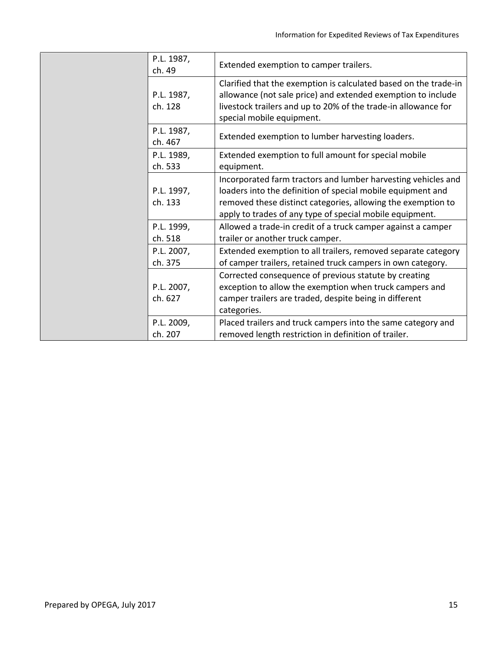| P.L. 1987,<br>ch. 49  | Extended exemption to camper trailers.                                                                                                                                                                                                                   |
|-----------------------|----------------------------------------------------------------------------------------------------------------------------------------------------------------------------------------------------------------------------------------------------------|
| P.L. 1987,<br>ch. 128 | Clarified that the exemption is calculated based on the trade-in<br>allowance (not sale price) and extended exemption to include<br>livestock trailers and up to 20% of the trade-in allowance for<br>special mobile equipment.                          |
| P.L. 1987,<br>ch. 467 | Extended exemption to lumber harvesting loaders.                                                                                                                                                                                                         |
| P.L. 1989,<br>ch. 533 | Extended exemption to full amount for special mobile<br>equipment.                                                                                                                                                                                       |
| P.L. 1997,<br>ch. 133 | Incorporated farm tractors and lumber harvesting vehicles and<br>loaders into the definition of special mobile equipment and<br>removed these distinct categories, allowing the exemption to<br>apply to trades of any type of special mobile equipment. |
| P.L. 1999,<br>ch. 518 | Allowed a trade-in credit of a truck camper against a camper<br>trailer or another truck camper.                                                                                                                                                         |
| P.L. 2007,<br>ch. 375 | Extended exemption to all trailers, removed separate category<br>of camper trailers, retained truck campers in own category.                                                                                                                             |
| P.L. 2007,<br>ch. 627 | Corrected consequence of previous statute by creating<br>exception to allow the exemption when truck campers and<br>camper trailers are traded, despite being in different<br>categories.                                                                |
| P.L. 2009,<br>ch. 207 | Placed trailers and truck campers into the same category and<br>removed length restriction in definition of trailer.                                                                                                                                     |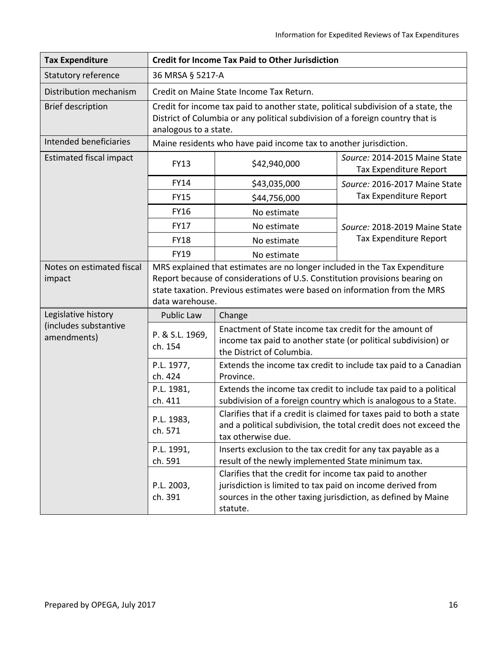| <b>Tax Expenditure</b>                                      | <b>Credit for Income Tax Paid to Other Jurisdiction</b>                                                                                                                                                                                                   |                                                                                                                                                                                                     |                                                         |
|-------------------------------------------------------------|-----------------------------------------------------------------------------------------------------------------------------------------------------------------------------------------------------------------------------------------------------------|-----------------------------------------------------------------------------------------------------------------------------------------------------------------------------------------------------|---------------------------------------------------------|
| Statutory reference                                         | 36 MRSA § 5217-A                                                                                                                                                                                                                                          |                                                                                                                                                                                                     |                                                         |
| Distribution mechanism                                      | Credit on Maine State Income Tax Return.                                                                                                                                                                                                                  |                                                                                                                                                                                                     |                                                         |
| <b>Brief description</b>                                    | Credit for income tax paid to another state, political subdivision of a state, the<br>District of Columbia or any political subdivision of a foreign country that is<br>analogous to a state.                                                             |                                                                                                                                                                                                     |                                                         |
| Intended beneficiaries                                      | Maine residents who have paid income tax to another jurisdiction.                                                                                                                                                                                         |                                                                                                                                                                                                     |                                                         |
| <b>Estimated fiscal impact</b>                              | <b>FY13</b>                                                                                                                                                                                                                                               | \$42,940,000                                                                                                                                                                                        | Source: 2014-2015 Maine State<br>Tax Expenditure Report |
|                                                             | <b>FY14</b>                                                                                                                                                                                                                                               | \$43,035,000                                                                                                                                                                                        | Source: 2016-2017 Maine State                           |
|                                                             | <b>FY15</b>                                                                                                                                                                                                                                               | \$44,756,000                                                                                                                                                                                        | Tax Expenditure Report                                  |
|                                                             | <b>FY16</b>                                                                                                                                                                                                                                               | No estimate                                                                                                                                                                                         |                                                         |
|                                                             | <b>FY17</b>                                                                                                                                                                                                                                               | No estimate                                                                                                                                                                                         | Source: 2018-2019 Maine State                           |
|                                                             | <b>FY18</b>                                                                                                                                                                                                                                               | No estimate                                                                                                                                                                                         | Tax Expenditure Report                                  |
|                                                             | <b>FY19</b>                                                                                                                                                                                                                                               | No estimate                                                                                                                                                                                         |                                                         |
| Notes on estimated fiscal<br>impact                         | MRS explained that estimates are no longer included in the Tax Expenditure<br>Report because of considerations of U.S. Constitution provisions bearing on<br>state taxation. Previous estimates were based on information from the MRS<br>data warehouse. |                                                                                                                                                                                                     |                                                         |
| Legislative history<br>(includes substantive<br>amendments) | Public Law                                                                                                                                                                                                                                                | Change                                                                                                                                                                                              |                                                         |
|                                                             | P. & S.L. 1969,<br>ch. 154                                                                                                                                                                                                                                | Enactment of State income tax credit for the amount of<br>income tax paid to another state (or political subdivision) or<br>the District of Columbia.                                               |                                                         |
|                                                             | P.L. 1977,<br>ch. 424                                                                                                                                                                                                                                     | Extends the income tax credit to include tax paid to a Canadian<br>Province.                                                                                                                        |                                                         |
|                                                             | P.L. 1981,<br>ch. 411                                                                                                                                                                                                                                     | Extends the income tax credit to include tax paid to a political<br>subdivision of a foreign country which is analogous to a State.                                                                 |                                                         |
|                                                             | P.L. 1983,<br>ch. 571                                                                                                                                                                                                                                     | Clarifies that if a credit is claimed for taxes paid to both a state<br>and a political subdivision, the total credit does not exceed the<br>tax otherwise due.                                     |                                                         |
|                                                             | P.L. 1991,<br>ch. 591                                                                                                                                                                                                                                     | Inserts exclusion to the tax credit for any tax payable as a<br>result of the newly implemented State minimum tax.                                                                                  |                                                         |
|                                                             | P.L. 2003,<br>ch. 391                                                                                                                                                                                                                                     | Clarifies that the credit for income tax paid to another<br>jurisdiction is limited to tax paid on income derived from<br>sources in the other taxing jurisdiction, as defined by Maine<br>statute. |                                                         |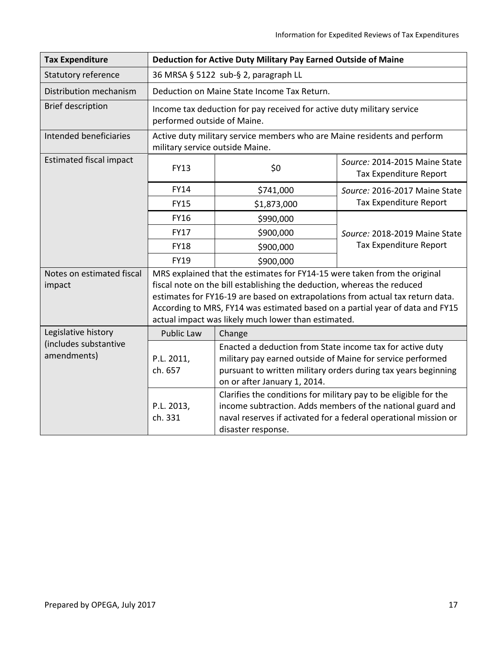| <b>Tax Expenditure</b>                       | Deduction for Active Duty Military Pay Earned Outside of Maine                                        |                                                                                                                                                                                                                           |                                                                                                                                |  |
|----------------------------------------------|-------------------------------------------------------------------------------------------------------|---------------------------------------------------------------------------------------------------------------------------------------------------------------------------------------------------------------------------|--------------------------------------------------------------------------------------------------------------------------------|--|
| Statutory reference                          | 36 MRSA § 5122 sub-§ 2, paragraph LL                                                                  |                                                                                                                                                                                                                           |                                                                                                                                |  |
| Distribution mechanism                       | Deduction on Maine State Income Tax Return.                                                           |                                                                                                                                                                                                                           |                                                                                                                                |  |
| <b>Brief description</b>                     | Income tax deduction for pay received for active duty military service<br>performed outside of Maine. |                                                                                                                                                                                                                           |                                                                                                                                |  |
| Intended beneficiaries                       |                                                                                                       | Active duty military service members who are Maine residents and perform<br>military service outside Maine.                                                                                                               |                                                                                                                                |  |
| <b>Estimated fiscal impact</b>               | <b>FY13</b>                                                                                           | \$0                                                                                                                                                                                                                       | Source: 2014-2015 Maine State<br>Tax Expenditure Report                                                                        |  |
|                                              | FY14                                                                                                  | \$741,000                                                                                                                                                                                                                 | Source: 2016-2017 Maine State                                                                                                  |  |
|                                              | <b>FY15</b>                                                                                           | \$1,873,000                                                                                                                                                                                                               | Tax Expenditure Report                                                                                                         |  |
|                                              | <b>FY16</b>                                                                                           | \$990,000                                                                                                                                                                                                                 |                                                                                                                                |  |
|                                              | <b>FY17</b>                                                                                           | \$900,000                                                                                                                                                                                                                 | Source: 2018-2019 Maine State                                                                                                  |  |
|                                              | <b>FY18</b>                                                                                           | \$900,000                                                                                                                                                                                                                 | Tax Expenditure Report                                                                                                         |  |
|                                              | <b>FY19</b>                                                                                           | \$900,000                                                                                                                                                                                                                 |                                                                                                                                |  |
| Notes on estimated fiscal                    | MRS explained that the estimates for FY14-15 were taken from the original                             |                                                                                                                                                                                                                           |                                                                                                                                |  |
| impact                                       | fiscal note on the bill establishing the deduction, whereas the reduced                               |                                                                                                                                                                                                                           |                                                                                                                                |  |
|                                              | estimates for FY16-19 are based on extrapolations from actual tax return data.                        |                                                                                                                                                                                                                           |                                                                                                                                |  |
|                                              | According to MRS, FY14 was estimated based on a partial year of data and FY15                         |                                                                                                                                                                                                                           |                                                                                                                                |  |
|                                              | actual impact was likely much lower than estimated.                                                   |                                                                                                                                                                                                                           |                                                                                                                                |  |
| Legislative history<br>(includes substantive | <b>Public Law</b>                                                                                     | Change                                                                                                                                                                                                                    |                                                                                                                                |  |
| amendments)                                  | P.L. 2011,<br>ch. 657                                                                                 | Enacted a deduction from State income tax for active duty<br>military pay earned outside of Maine for service performed<br>pursuant to written military orders during tax years beginning<br>on or after January 1, 2014. |                                                                                                                                |  |
|                                              | P.L. 2013,<br>ch. 331                                                                                 | Clarifies the conditions for military pay to be eligible for the<br>disaster response.                                                                                                                                    | income subtraction. Adds members of the national guard and<br>naval reserves if activated for a federal operational mission or |  |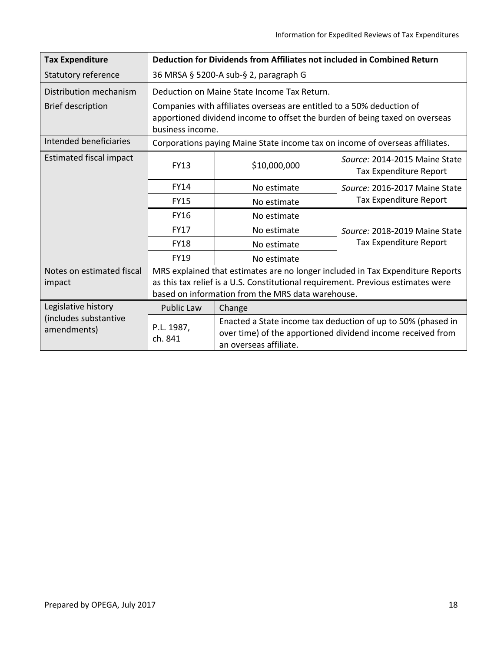| <b>Tax Expenditure</b>               | Deduction for Dividends from Affiliates not included in Combined Return                                                                                                                                                 |                                                                                                                                                       |                                                         |  |
|--------------------------------------|-------------------------------------------------------------------------------------------------------------------------------------------------------------------------------------------------------------------------|-------------------------------------------------------------------------------------------------------------------------------------------------------|---------------------------------------------------------|--|
| <b>Statutory reference</b>           | 36 MRSA § 5200-A sub-§ 2, paragraph G                                                                                                                                                                                   |                                                                                                                                                       |                                                         |  |
| Distribution mechanism               | Deduction on Maine State Income Tax Return.                                                                                                                                                                             |                                                                                                                                                       |                                                         |  |
| <b>Brief description</b>             | Companies with affiliates overseas are entitled to a 50% deduction of<br>apportioned dividend income to offset the burden of being taxed on overseas<br>business income.                                                |                                                                                                                                                       |                                                         |  |
| Intended beneficiaries               |                                                                                                                                                                                                                         | Corporations paying Maine State income tax on income of overseas affiliates.                                                                          |                                                         |  |
| <b>Estimated fiscal impact</b>       | <b>FY13</b>                                                                                                                                                                                                             | \$10,000,000                                                                                                                                          | Source: 2014-2015 Maine State<br>Tax Expenditure Report |  |
|                                      | <b>FY14</b>                                                                                                                                                                                                             | No estimate                                                                                                                                           | Source: 2016-2017 Maine State                           |  |
|                                      | <b>FY15</b>                                                                                                                                                                                                             | No estimate                                                                                                                                           | Tax Expenditure Report                                  |  |
|                                      | <b>FY16</b>                                                                                                                                                                                                             | No estimate                                                                                                                                           |                                                         |  |
|                                      | <b>FY17</b>                                                                                                                                                                                                             | No estimate                                                                                                                                           | Source: 2018-2019 Maine State                           |  |
|                                      | <b>FY18</b>                                                                                                                                                                                                             | No estimate                                                                                                                                           | Tax Expenditure Report                                  |  |
|                                      | <b>FY19</b>                                                                                                                                                                                                             | No estimate                                                                                                                                           |                                                         |  |
| Notes on estimated fiscal<br>impact  | MRS explained that estimates are no longer included in Tax Expenditure Reports<br>as this tax relief is a U.S. Constitutional requirement. Previous estimates were<br>based on information from the MRS data warehouse. |                                                                                                                                                       |                                                         |  |
| Legislative history                  | <b>Public Law</b>                                                                                                                                                                                                       | Change                                                                                                                                                |                                                         |  |
| (includes substantive<br>amendments) | P.L. 1987,<br>ch. 841                                                                                                                                                                                                   | Enacted a State income tax deduction of up to 50% (phased in<br>over time) of the apportioned dividend income received from<br>an overseas affiliate. |                                                         |  |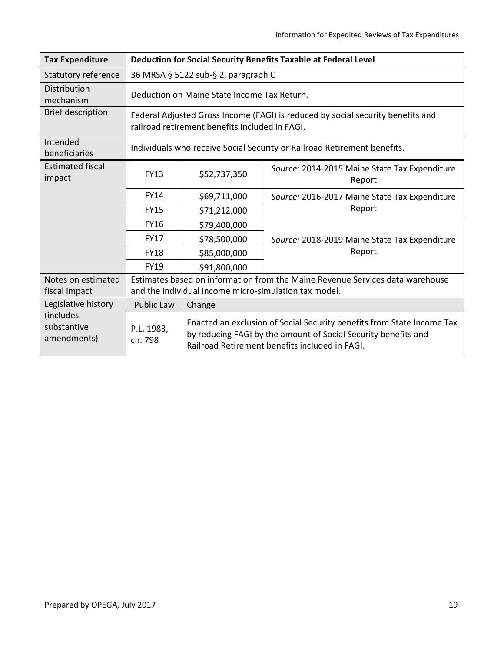| <b>Tax Expenditure</b>                  | Deduction for Social Security Benefits Taxable at Federal Level                                                                        |                                                                                                                                                                                            |                                                         |  |
|-----------------------------------------|----------------------------------------------------------------------------------------------------------------------------------------|--------------------------------------------------------------------------------------------------------------------------------------------------------------------------------------------|---------------------------------------------------------|--|
| Statutory reference                     | 36 MRSA § 5122 sub-§ 2, paragraph C                                                                                                    |                                                                                                                                                                                            |                                                         |  |
| Distribution<br>mechanism               | Deduction on Maine State Income Tax Return.                                                                                            |                                                                                                                                                                                            |                                                         |  |
| <b>Brief description</b>                | Federal Adjusted Gross Income (FAGI) is reduced by social security benefits and<br>railroad retirement benefits included in FAGI.      |                                                                                                                                                                                            |                                                         |  |
| Intended<br>beneficiaries               | Individuals who receive Social Security or Railroad Retirement benefits.                                                               |                                                                                                                                                                                            |                                                         |  |
| <b>Estimated fiscal</b><br>impact       | <b>FY13</b>                                                                                                                            | \$52,737,350                                                                                                                                                                               | Source: 2014-2015 Maine State Tax Expenditure<br>Report |  |
|                                         | <b>FY14</b>                                                                                                                            | \$69,711,000                                                                                                                                                                               | Source: 2016-2017 Maine State Tax Expenditure           |  |
|                                         | <b>FY15</b>                                                                                                                            | \$71,212,000                                                                                                                                                                               | Report                                                  |  |
|                                         | <b>FY16</b>                                                                                                                            | \$79,400,000                                                                                                                                                                               |                                                         |  |
|                                         | <b>FY17</b>                                                                                                                            | \$78,500,000                                                                                                                                                                               | Source: 2018-2019 Maine State Tax Expenditure           |  |
|                                         | <b>FY18</b>                                                                                                                            | \$85,000,000                                                                                                                                                                               | Report                                                  |  |
|                                         | <b>FY19</b>                                                                                                                            | \$91,800,000                                                                                                                                                                               |                                                         |  |
| Notes on estimated<br>fiscal impact     | Estimates based on information from the Maine Revenue Services data warehouse<br>and the individual income micro-simulation tax model. |                                                                                                                                                                                            |                                                         |  |
| Legislative history                     | <b>Public Law</b>                                                                                                                      | Change                                                                                                                                                                                     |                                                         |  |
| (includes<br>substantive<br>amendments) | P.L. 1983,<br>ch. 798                                                                                                                  | Enacted an exclusion of Social Security benefits from State Income Tax<br>by reducing FAGI by the amount of Social Security benefits and<br>Railroad Retirement benefits included in FAGI. |                                                         |  |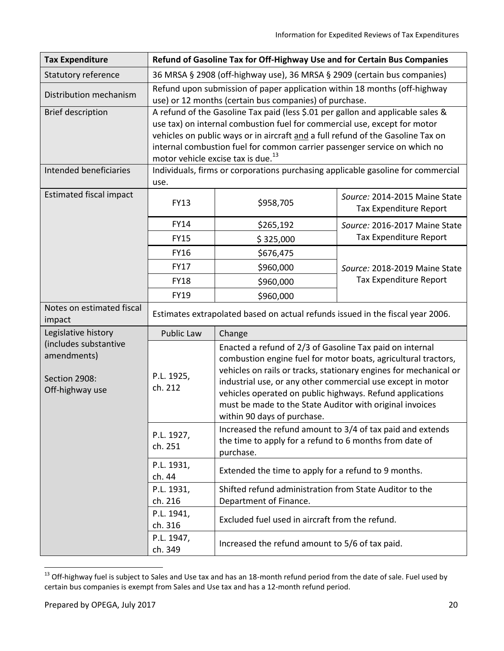| <b>Tax Expenditure</b>                                                   | Refund of Gasoline Tax for Off-Highway Use and for Certain Bus Companies                                                                                                                                                                                                                                                                                                       |                                                                                                                                                                                                                                                                                 |                                                                                                                                     |
|--------------------------------------------------------------------------|--------------------------------------------------------------------------------------------------------------------------------------------------------------------------------------------------------------------------------------------------------------------------------------------------------------------------------------------------------------------------------|---------------------------------------------------------------------------------------------------------------------------------------------------------------------------------------------------------------------------------------------------------------------------------|-------------------------------------------------------------------------------------------------------------------------------------|
| Statutory reference                                                      | 36 MRSA § 2908 (off-highway use), 36 MRSA § 2909 (certain bus companies)                                                                                                                                                                                                                                                                                                       |                                                                                                                                                                                                                                                                                 |                                                                                                                                     |
| Distribution mechanism                                                   | Refund upon submission of paper application within 18 months (off-highway<br>use) or 12 months (certain bus companies) of purchase.                                                                                                                                                                                                                                            |                                                                                                                                                                                                                                                                                 |                                                                                                                                     |
| <b>Brief description</b>                                                 | A refund of the Gasoline Tax paid (less \$.01 per gallon and applicable sales &<br>use tax) on internal combustion fuel for commercial use, except for motor<br>vehicles on public ways or in aircraft and a full refund of the Gasoline Tax on<br>internal combustion fuel for common carrier passenger service on which no<br>motor vehicle excise tax is due. <sup>13</sup> |                                                                                                                                                                                                                                                                                 |                                                                                                                                     |
| Intended beneficiaries                                                   | Individuals, firms or corporations purchasing applicable gasoline for commercial<br>use.                                                                                                                                                                                                                                                                                       |                                                                                                                                                                                                                                                                                 |                                                                                                                                     |
| <b>Estimated fiscal impact</b>                                           | <b>FY13</b>                                                                                                                                                                                                                                                                                                                                                                    | \$958,705                                                                                                                                                                                                                                                                       | Source: 2014-2015 Maine State<br>Tax Expenditure Report                                                                             |
|                                                                          | FY14                                                                                                                                                                                                                                                                                                                                                                           | \$265,192                                                                                                                                                                                                                                                                       | Source: 2016-2017 Maine State                                                                                                       |
|                                                                          | <b>FY15</b>                                                                                                                                                                                                                                                                                                                                                                    | \$325,000                                                                                                                                                                                                                                                                       | Tax Expenditure Report                                                                                                              |
|                                                                          | FY16                                                                                                                                                                                                                                                                                                                                                                           | \$676,475                                                                                                                                                                                                                                                                       |                                                                                                                                     |
|                                                                          | <b>FY17</b>                                                                                                                                                                                                                                                                                                                                                                    | \$960,000                                                                                                                                                                                                                                                                       | Source: 2018-2019 Maine State                                                                                                       |
|                                                                          | <b>FY18</b>                                                                                                                                                                                                                                                                                                                                                                    | \$960,000                                                                                                                                                                                                                                                                       | Tax Expenditure Report                                                                                                              |
|                                                                          | FY19                                                                                                                                                                                                                                                                                                                                                                           | \$960,000                                                                                                                                                                                                                                                                       |                                                                                                                                     |
| Notes on estimated fiscal<br>impact                                      | Estimates extrapolated based on actual refunds issued in the fiscal year 2006.                                                                                                                                                                                                                                                                                                 |                                                                                                                                                                                                                                                                                 |                                                                                                                                     |
| Legislative history                                                      | Public Law                                                                                                                                                                                                                                                                                                                                                                     | Change                                                                                                                                                                                                                                                                          |                                                                                                                                     |
| (includes substantive<br>amendments)<br>Section 2908:<br>Off-highway use | P.L. 1925,<br>ch. 212                                                                                                                                                                                                                                                                                                                                                          | Enacted a refund of 2/3 of Gasoline Tax paid on internal<br>industrial use, or any other commercial use except in motor<br>vehicles operated on public highways. Refund applications<br>must be made to the State Auditor with original invoices<br>within 90 days of purchase. | combustion engine fuel for motor boats, agricultural tractors,<br>vehicles on rails or tracks, stationary engines for mechanical or |
|                                                                          | P.L. 1927,<br>ch. 251                                                                                                                                                                                                                                                                                                                                                          | Increased the refund amount to 3/4 of tax paid and extends<br>the time to apply for a refund to 6 months from date of<br>purchase.                                                                                                                                              |                                                                                                                                     |
|                                                                          | P.L. 1931,<br>ch. 44                                                                                                                                                                                                                                                                                                                                                           | Extended the time to apply for a refund to 9 months.                                                                                                                                                                                                                            |                                                                                                                                     |
|                                                                          | P.L. 1931,<br>ch. 216                                                                                                                                                                                                                                                                                                                                                          | Shifted refund administration from State Auditor to the<br>Department of Finance.                                                                                                                                                                                               |                                                                                                                                     |
|                                                                          | P.L. 1941,<br>ch. 316                                                                                                                                                                                                                                                                                                                                                          | Excluded fuel used in aircraft from the refund.                                                                                                                                                                                                                                 |                                                                                                                                     |
|                                                                          | P.L. 1947,<br>ch. 349                                                                                                                                                                                                                                                                                                                                                          | Increased the refund amount to 5/6 of tax paid.                                                                                                                                                                                                                                 |                                                                                                                                     |

<sup>&</sup>lt;sup>13</sup> Off-highway fuel is subject to Sales and Use tax and has an 18-month refund period from the date of sale. Fuel used by certain bus companies is exempt from Sales and Use tax and has a 12-month refund period.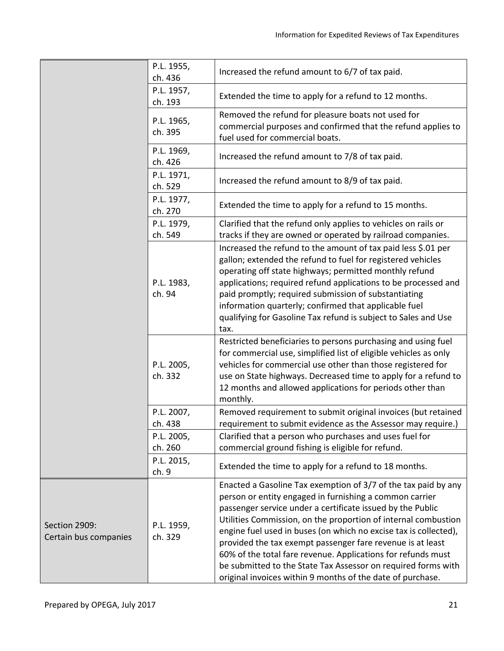|                                        | P.L. 1955,<br>ch. 436 | Increased the refund amount to 6/7 of tax paid.                                                                                                                                                                                                                                                                                                                                                                                                                                                                                                                                            |
|----------------------------------------|-----------------------|--------------------------------------------------------------------------------------------------------------------------------------------------------------------------------------------------------------------------------------------------------------------------------------------------------------------------------------------------------------------------------------------------------------------------------------------------------------------------------------------------------------------------------------------------------------------------------------------|
|                                        | P.L. 1957,<br>ch. 193 | Extended the time to apply for a refund to 12 months.                                                                                                                                                                                                                                                                                                                                                                                                                                                                                                                                      |
|                                        | P.L. 1965,<br>ch. 395 | Removed the refund for pleasure boats not used for<br>commercial purposes and confirmed that the refund applies to<br>fuel used for commercial boats.                                                                                                                                                                                                                                                                                                                                                                                                                                      |
|                                        | P.L. 1969,<br>ch. 426 | Increased the refund amount to 7/8 of tax paid.                                                                                                                                                                                                                                                                                                                                                                                                                                                                                                                                            |
|                                        | P.L. 1971,<br>ch. 529 | Increased the refund amount to 8/9 of tax paid.                                                                                                                                                                                                                                                                                                                                                                                                                                                                                                                                            |
|                                        | P.L. 1977,<br>ch. 270 | Extended the time to apply for a refund to 15 months.                                                                                                                                                                                                                                                                                                                                                                                                                                                                                                                                      |
|                                        | P.L. 1979,<br>ch. 549 | Clarified that the refund only applies to vehicles on rails or<br>tracks if they are owned or operated by railroad companies.                                                                                                                                                                                                                                                                                                                                                                                                                                                              |
|                                        | P.L. 1983,<br>ch. 94  | Increased the refund to the amount of tax paid less \$.01 per<br>gallon; extended the refund to fuel for registered vehicles<br>operating off state highways; permitted monthly refund<br>applications; required refund applications to be processed and<br>paid promptly; required submission of substantiating<br>information quarterly; confirmed that applicable fuel<br>qualifying for Gasoline Tax refund is subject to Sales and Use<br>tax.                                                                                                                                        |
|                                        | P.L. 2005,<br>ch. 332 | Restricted beneficiaries to persons purchasing and using fuel<br>for commercial use, simplified list of eligible vehicles as only<br>vehicles for commercial use other than those registered for<br>use on State highways. Decreased time to apply for a refund to<br>12 months and allowed applications for periods other than<br>monthly.                                                                                                                                                                                                                                                |
|                                        | P.L. 2007,<br>ch. 438 | Removed requirement to submit original invoices (but retained<br>requirement to submit evidence as the Assessor may require.)                                                                                                                                                                                                                                                                                                                                                                                                                                                              |
|                                        | P.L. 2005,<br>ch. 260 | Clarified that a person who purchases and uses fuel for<br>commercial ground fishing is eligible for refund.                                                                                                                                                                                                                                                                                                                                                                                                                                                                               |
|                                        | P.L. 2015,<br>ch. 9   | Extended the time to apply for a refund to 18 months.                                                                                                                                                                                                                                                                                                                                                                                                                                                                                                                                      |
| Section 2909:<br>Certain bus companies | P.L. 1959,<br>ch. 329 | Enacted a Gasoline Tax exemption of 3/7 of the tax paid by any<br>person or entity engaged in furnishing a common carrier<br>passenger service under a certificate issued by the Public<br>Utilities Commission, on the proportion of internal combustion<br>engine fuel used in buses (on which no excise tax is collected),<br>provided the tax exempt passenger fare revenue is at least<br>60% of the total fare revenue. Applications for refunds must<br>be submitted to the State Tax Assessor on required forms with<br>original invoices within 9 months of the date of purchase. |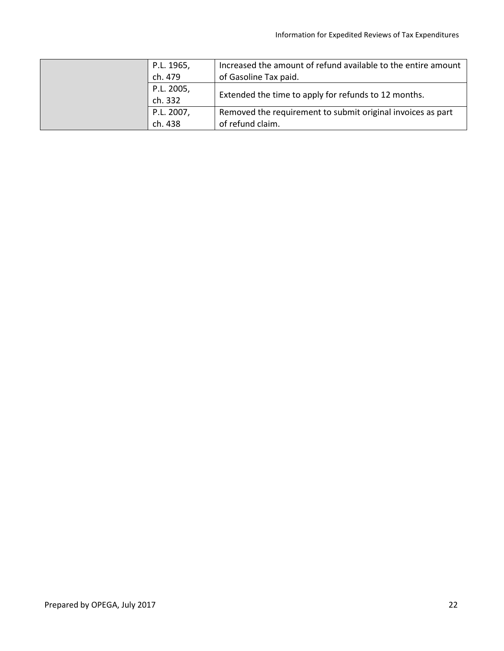| P.L. 1965, | Increased the amount of refund available to the entire amount |
|------------|---------------------------------------------------------------|
| ch. 479    | of Gasoline Tax paid.                                         |
| P.L. 2005, |                                                               |
| ch. 332    | Extended the time to apply for refunds to 12 months.          |
| P.L. 2007, | Removed the requirement to submit original invoices as part   |
| ch. 438    | of refund claim.                                              |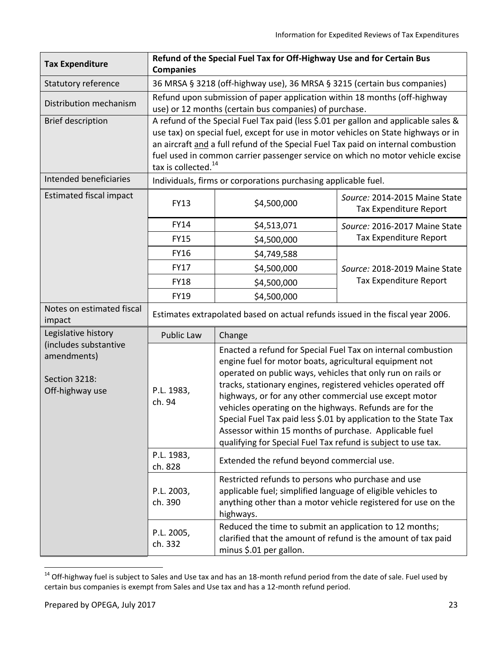| <b>Tax Expenditure</b>                                                   | Refund of the Special Fuel Tax for Off-Highway Use and for Certain Bus<br><b>Companies</b>                                                                                                                                                                                                                                                                                          |                                                                                                                                                                                                                                                                                                                                                                                                                                                                                                                                                                            |                                                         |  |  |
|--------------------------------------------------------------------------|-------------------------------------------------------------------------------------------------------------------------------------------------------------------------------------------------------------------------------------------------------------------------------------------------------------------------------------------------------------------------------------|----------------------------------------------------------------------------------------------------------------------------------------------------------------------------------------------------------------------------------------------------------------------------------------------------------------------------------------------------------------------------------------------------------------------------------------------------------------------------------------------------------------------------------------------------------------------------|---------------------------------------------------------|--|--|
| Statutory reference                                                      | 36 MRSA § 3218 (off-highway use), 36 MRSA § 3215 (certain bus companies)                                                                                                                                                                                                                                                                                                            |                                                                                                                                                                                                                                                                                                                                                                                                                                                                                                                                                                            |                                                         |  |  |
| Distribution mechanism                                                   | Refund upon submission of paper application within 18 months (off-highway<br>use) or 12 months (certain bus companies) of purchase.                                                                                                                                                                                                                                                 |                                                                                                                                                                                                                                                                                                                                                                                                                                                                                                                                                                            |                                                         |  |  |
| <b>Brief description</b>                                                 | A refund of the Special Fuel Tax paid (less \$.01 per gallon and applicable sales &<br>use tax) on special fuel, except for use in motor vehicles on State highways or in<br>an aircraft and a full refund of the Special Fuel Tax paid on internal combustion<br>fuel used in common carrier passenger service on which no motor vehicle excise<br>tax is collected. <sup>14</sup> |                                                                                                                                                                                                                                                                                                                                                                                                                                                                                                                                                                            |                                                         |  |  |
| Intended beneficiaries                                                   | Individuals, firms or corporations purchasing applicable fuel.                                                                                                                                                                                                                                                                                                                      |                                                                                                                                                                                                                                                                                                                                                                                                                                                                                                                                                                            |                                                         |  |  |
| <b>Estimated fiscal impact</b>                                           | <b>FY13</b>                                                                                                                                                                                                                                                                                                                                                                         | \$4,500,000                                                                                                                                                                                                                                                                                                                                                                                                                                                                                                                                                                | Source: 2014-2015 Maine State<br>Tax Expenditure Report |  |  |
|                                                                          | <b>FY14</b>                                                                                                                                                                                                                                                                                                                                                                         | \$4,513,071                                                                                                                                                                                                                                                                                                                                                                                                                                                                                                                                                                | Source: 2016-2017 Maine State                           |  |  |
|                                                                          | <b>FY15</b>                                                                                                                                                                                                                                                                                                                                                                         | \$4,500,000                                                                                                                                                                                                                                                                                                                                                                                                                                                                                                                                                                | Tax Expenditure Report                                  |  |  |
|                                                                          | <b>FY16</b>                                                                                                                                                                                                                                                                                                                                                                         | \$4,749,588                                                                                                                                                                                                                                                                                                                                                                                                                                                                                                                                                                |                                                         |  |  |
|                                                                          | <b>FY17</b>                                                                                                                                                                                                                                                                                                                                                                         | \$4,500,000                                                                                                                                                                                                                                                                                                                                                                                                                                                                                                                                                                | Source: 2018-2019 Maine State                           |  |  |
|                                                                          | <b>FY18</b>                                                                                                                                                                                                                                                                                                                                                                         | \$4,500,000                                                                                                                                                                                                                                                                                                                                                                                                                                                                                                                                                                | Tax Expenditure Report                                  |  |  |
|                                                                          | FY19                                                                                                                                                                                                                                                                                                                                                                                | \$4,500,000                                                                                                                                                                                                                                                                                                                                                                                                                                                                                                                                                                |                                                         |  |  |
| Notes on estimated fiscal<br>impact                                      | Estimates extrapolated based on actual refunds issued in the fiscal year 2006.                                                                                                                                                                                                                                                                                                      |                                                                                                                                                                                                                                                                                                                                                                                                                                                                                                                                                                            |                                                         |  |  |
| Legislative history                                                      | Public Law                                                                                                                                                                                                                                                                                                                                                                          | Change                                                                                                                                                                                                                                                                                                                                                                                                                                                                                                                                                                     |                                                         |  |  |
| (includes substantive<br>amendments)<br>Section 3218:<br>Off-highway use | P.L. 1983,<br>ch. 94                                                                                                                                                                                                                                                                                                                                                                | Enacted a refund for Special Fuel Tax on internal combustion<br>engine fuel for motor boats, agricultural equipment not<br>operated on public ways, vehicles that only run on rails or<br>tracks, stationary engines, registered vehicles operated off<br>highways, or for any other commercial use except motor<br>vehicles operating on the highways. Refunds are for the<br>Special Fuel Tax paid less \$.01 by application to the State Tax<br>Assessor within 15 months of purchase. Applicable fuel<br>qualifying for Special Fuel Tax refund is subject to use tax. |                                                         |  |  |
|                                                                          | P.L. 1983,<br>ch. 828                                                                                                                                                                                                                                                                                                                                                               | Extended the refund beyond commercial use.                                                                                                                                                                                                                                                                                                                                                                                                                                                                                                                                 |                                                         |  |  |
|                                                                          | P.L. 2003,<br>ch. 390                                                                                                                                                                                                                                                                                                                                                               | Restricted refunds to persons who purchase and use<br>applicable fuel; simplified language of eligible vehicles to<br>anything other than a motor vehicle registered for use on the<br>highways.                                                                                                                                                                                                                                                                                                                                                                           |                                                         |  |  |
|                                                                          | P.L. 2005,<br>ch. 332                                                                                                                                                                                                                                                                                                                                                               | Reduced the time to submit an application to 12 months;<br>clarified that the amount of refund is the amount of tax paid<br>minus \$.01 per gallon.                                                                                                                                                                                                                                                                                                                                                                                                                        |                                                         |  |  |

<sup>&</sup>lt;sup>14</sup> Off-highway fuel is subject to Sales and Use tax and has an 18-month refund period from the date of sale. Fuel used by certain bus companies is exempt from Sales and Use tax and has a 12-month refund period.

l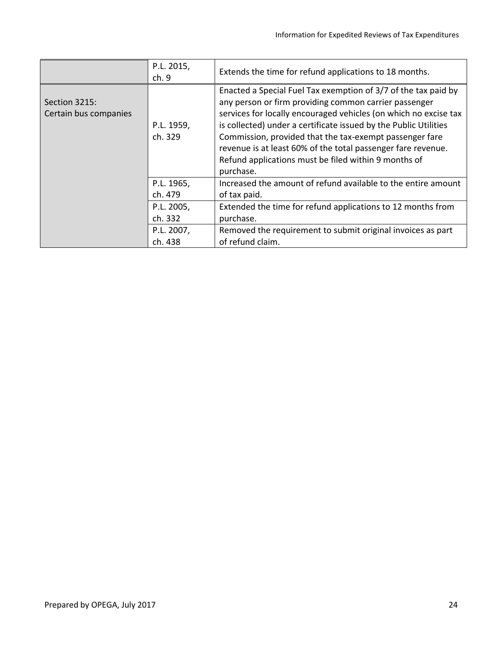|                                        | P.L. 2015,<br>ch.9    | Extends the time for refund applications to 18 months.                                                                                                                                                                                                                                                                                                                                                                                                          |
|----------------------------------------|-----------------------|-----------------------------------------------------------------------------------------------------------------------------------------------------------------------------------------------------------------------------------------------------------------------------------------------------------------------------------------------------------------------------------------------------------------------------------------------------------------|
| Section 3215:<br>Certain bus companies | P.L. 1959,<br>ch. 329 | Enacted a Special Fuel Tax exemption of 3/7 of the tax paid by<br>any person or firm providing common carrier passenger<br>services for locally encouraged vehicles (on which no excise tax<br>is collected) under a certificate issued by the Public Utilities<br>Commission, provided that the tax-exempt passenger fare<br>revenue is at least 60% of the total passenger fare revenue.<br>Refund applications must be filed within 9 months of<br>purchase. |
|                                        | P.L. 1965,<br>ch. 479 | Increased the amount of refund available to the entire amount<br>of tax paid.                                                                                                                                                                                                                                                                                                                                                                                   |
|                                        | P.L. 2005,<br>ch. 332 | Extended the time for refund applications to 12 months from<br>purchase.                                                                                                                                                                                                                                                                                                                                                                                        |
|                                        | P.L. 2007,<br>ch. 438 | Removed the requirement to submit original invoices as part<br>of refund claim.                                                                                                                                                                                                                                                                                                                                                                                 |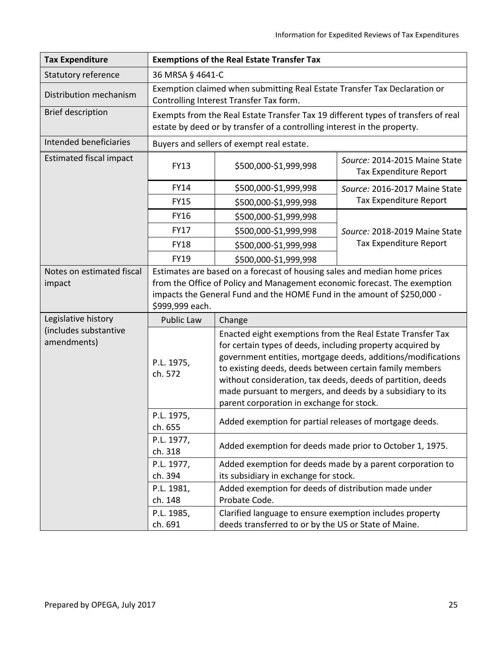| <b>Tax Expenditure</b>               | <b>Exemptions of the Real Estate Transfer Tax</b>                                                                                                                                                                                                    |                                                                                                                                                                                                                                                                                                                                                                                                                               |                                                         |  |  |
|--------------------------------------|------------------------------------------------------------------------------------------------------------------------------------------------------------------------------------------------------------------------------------------------------|-------------------------------------------------------------------------------------------------------------------------------------------------------------------------------------------------------------------------------------------------------------------------------------------------------------------------------------------------------------------------------------------------------------------------------|---------------------------------------------------------|--|--|
| Statutory reference                  | 36 MRSA § 4641-C                                                                                                                                                                                                                                     |                                                                                                                                                                                                                                                                                                                                                                                                                               |                                                         |  |  |
| Distribution mechanism               | Exemption claimed when submitting Real Estate Transfer Tax Declaration or<br>Controlling Interest Transfer Tax form.                                                                                                                                 |                                                                                                                                                                                                                                                                                                                                                                                                                               |                                                         |  |  |
| <b>Brief description</b>             | Exempts from the Real Estate Transfer Tax 19 different types of transfers of real<br>estate by deed or by transfer of a controlling interest in the property.                                                                                        |                                                                                                                                                                                                                                                                                                                                                                                                                               |                                                         |  |  |
| Intended beneficiaries               | Buyers and sellers of exempt real estate.                                                                                                                                                                                                            |                                                                                                                                                                                                                                                                                                                                                                                                                               |                                                         |  |  |
| <b>Estimated fiscal impact</b>       | <b>FY13</b>                                                                                                                                                                                                                                          | \$500,000-\$1,999,998                                                                                                                                                                                                                                                                                                                                                                                                         | Source: 2014-2015 Maine State<br>Tax Expenditure Report |  |  |
|                                      | FY14                                                                                                                                                                                                                                                 | \$500,000-\$1,999,998                                                                                                                                                                                                                                                                                                                                                                                                         | Source: 2016-2017 Maine State                           |  |  |
|                                      | <b>FY15</b>                                                                                                                                                                                                                                          | \$500,000-\$1,999,998                                                                                                                                                                                                                                                                                                                                                                                                         | Tax Expenditure Report                                  |  |  |
|                                      | <b>FY16</b>                                                                                                                                                                                                                                          | \$500,000-\$1,999,998                                                                                                                                                                                                                                                                                                                                                                                                         |                                                         |  |  |
|                                      | <b>FY17</b>                                                                                                                                                                                                                                          | \$500,000-\$1,999,998                                                                                                                                                                                                                                                                                                                                                                                                         | Source: 2018-2019 Maine State                           |  |  |
|                                      | <b>FY18</b>                                                                                                                                                                                                                                          | \$500,000-\$1,999,998                                                                                                                                                                                                                                                                                                                                                                                                         | Tax Expenditure Report                                  |  |  |
|                                      | <b>FY19</b>                                                                                                                                                                                                                                          | \$500,000-\$1,999,998                                                                                                                                                                                                                                                                                                                                                                                                         |                                                         |  |  |
| Notes on estimated fiscal<br>impact  | Estimates are based on a forecast of housing sales and median home prices<br>from the Office of Policy and Management economic forecast. The exemption<br>impacts the General Fund and the HOME Fund in the amount of \$250,000 -<br>\$999,999 each. |                                                                                                                                                                                                                                                                                                                                                                                                                               |                                                         |  |  |
| Legislative history                  | Public Law                                                                                                                                                                                                                                           | Change                                                                                                                                                                                                                                                                                                                                                                                                                        |                                                         |  |  |
| (includes substantive<br>amendments) | P.L. 1975,<br>ch. 572                                                                                                                                                                                                                                | Enacted eight exemptions from the Real Estate Transfer Tax<br>for certain types of deeds, including property acquired by<br>government entities, mortgage deeds, additions/modifications<br>to existing deeds, deeds between certain family members<br>without consideration, tax deeds, deeds of partition, deeds<br>made pursuant to mergers, and deeds by a subsidiary to its<br>parent corporation in exchange for stock. |                                                         |  |  |
|                                      | P.L. 1975,<br>ch. 655                                                                                                                                                                                                                                | Added exemption for partial releases of mortgage deeds.                                                                                                                                                                                                                                                                                                                                                                       |                                                         |  |  |
|                                      | P.L. 1977,<br>ch. 318                                                                                                                                                                                                                                | Added exemption for deeds made prior to October 1, 1975.                                                                                                                                                                                                                                                                                                                                                                      |                                                         |  |  |
|                                      | P.L. 1977,                                                                                                                                                                                                                                           | Added exemption for deeds made by a parent corporation to                                                                                                                                                                                                                                                                                                                                                                     |                                                         |  |  |
|                                      | ch. 394                                                                                                                                                                                                                                              | its subsidiary in exchange for stock.                                                                                                                                                                                                                                                                                                                                                                                         |                                                         |  |  |
|                                      | P.L. 1981,<br>ch. 148                                                                                                                                                                                                                                | Added exemption for deeds of distribution made under<br>Probate Code.                                                                                                                                                                                                                                                                                                                                                         |                                                         |  |  |
|                                      | P.L. 1985,                                                                                                                                                                                                                                           | Clarified language to ensure exemption includes property                                                                                                                                                                                                                                                                                                                                                                      |                                                         |  |  |
|                                      | ch. 691                                                                                                                                                                                                                                              | deeds transferred to or by the US or State of Maine.                                                                                                                                                                                                                                                                                                                                                                          |                                                         |  |  |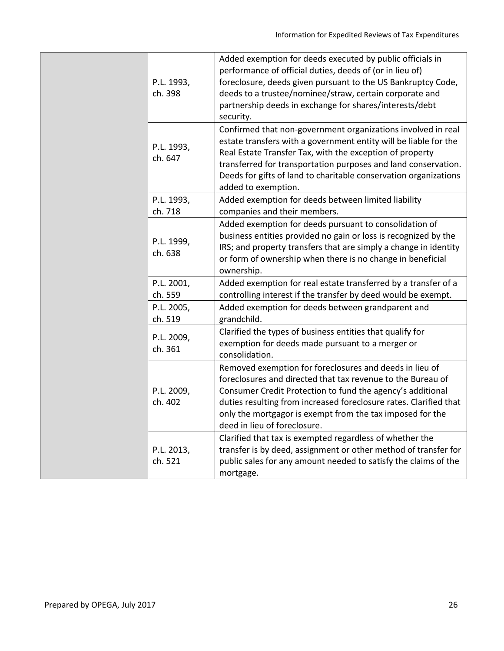|  | P.L. 1993,<br>ch. 398 | Added exemption for deeds executed by public officials in<br>performance of official duties, deeds of (or in lieu of)<br>foreclosure, deeds given pursuant to the US Bankruptcy Code,<br>deeds to a trustee/nominee/straw, certain corporate and<br>partnership deeds in exchange for shares/interests/debt<br>security.                                  |  |  |
|--|-----------------------|-----------------------------------------------------------------------------------------------------------------------------------------------------------------------------------------------------------------------------------------------------------------------------------------------------------------------------------------------------------|--|--|
|  | P.L. 1993,<br>ch. 647 | Confirmed that non-government organizations involved in real<br>estate transfers with a government entity will be liable for the<br>Real Estate Transfer Tax, with the exception of property<br>transferred for transportation purposes and land conservation.<br>Deeds for gifts of land to charitable conservation organizations<br>added to exemption. |  |  |
|  | P.L. 1993,<br>ch. 718 | Added exemption for deeds between limited liability<br>companies and their members.                                                                                                                                                                                                                                                                       |  |  |
|  | P.L. 1999,<br>ch. 638 | Added exemption for deeds pursuant to consolidation of<br>business entities provided no gain or loss is recognized by the<br>IRS; and property transfers that are simply a change in identity<br>or form of ownership when there is no change in beneficial<br>ownership.                                                                                 |  |  |
|  | P.L. 2001,<br>ch. 559 | Added exemption for real estate transferred by a transfer of a<br>controlling interest if the transfer by deed would be exempt.                                                                                                                                                                                                                           |  |  |
|  | P.L. 2005,<br>ch. 519 | Added exemption for deeds between grandparent and<br>grandchild.                                                                                                                                                                                                                                                                                          |  |  |
|  | P.L. 2009,<br>ch. 361 | Clarified the types of business entities that qualify for<br>exemption for deeds made pursuant to a merger or<br>consolidation.                                                                                                                                                                                                                           |  |  |
|  | P.L. 2009,<br>ch. 402 | Removed exemption for foreclosures and deeds in lieu of<br>foreclosures and directed that tax revenue to the Bureau of<br>Consumer Credit Protection to fund the agency's additional<br>duties resulting from increased foreclosure rates. Clarified that<br>only the mortgagor is exempt from the tax imposed for the<br>deed in lieu of foreclosure.    |  |  |
|  | P.L. 2013,<br>ch. 521 | Clarified that tax is exempted regardless of whether the<br>transfer is by deed, assignment or other method of transfer for<br>public sales for any amount needed to satisfy the claims of the<br>mortgage.                                                                                                                                               |  |  |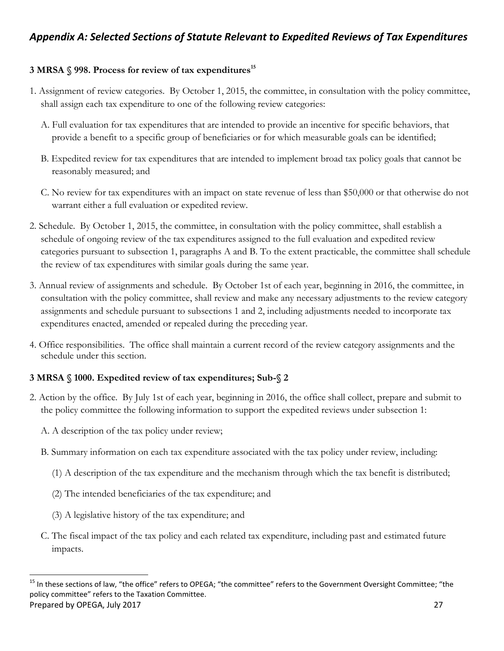# *Appendix A: Selected Sections of Statute Relevant to Expedited Reviews of Tax Expenditures*

## **3 MRSA § 998. Process for review of tax expenditures<sup>15</sup>**

- 1. Assignment of review categories. By October 1, 2015, the committee, in consultation with the policy committee, shall assign each tax expenditure to one of the following review categories:
	- A. Full evaluation for tax expenditures that are intended to provide an incentive for specific behaviors, that provide a benefit to a specific group of beneficiaries or for which measurable goals can be identified;
	- B. Expedited review for tax expenditures that are intended to implement broad tax policy goals that cannot be reasonably measured; and
	- C. No review for tax expenditures with an impact on state revenue of less than \$50,000 or that otherwise do not warrant either a full evaluation or expedited review.
- 2. Schedule. By October 1, 2015, the committee, in consultation with the policy committee, shall establish a schedule of ongoing review of the tax expenditures assigned to the full evaluation and expedited review categories pursuant to subsection 1, paragraphs A and B. To the extent practicable, the committee shall schedule the review of tax expenditures with similar goals during the same year.
- 3. Annual review of assignments and schedule. By October 1st of each year, beginning in 2016, the committee, in consultation with the policy committee, shall review and make any necessary adjustments to the review category assignments and schedule pursuant to subsections 1 and 2, including adjustments needed to incorporate tax expenditures enacted, amended or repealed during the preceding year.
- 4. Office responsibilities. The office shall maintain a current record of the review category assignments and the schedule under this section.

## **3 MRSA § 1000. Expedited review of tax expenditures; Sub-§ 2**

- 2. Action by the office. By July 1st of each year, beginning in 2016, the office shall collect, prepare and submit to the policy committee the following information to support the expedited reviews under subsection 1:
	- A. A description of the tax policy under review;
	- B. Summary information on each tax expenditure associated with the tax policy under review, including:
		- (1) A description of the tax expenditure and the mechanism through which the tax benefit is distributed;
		- (2) The intended beneficiaries of the tax expenditure; and
		- (3) A legislative history of the tax expenditure; and

 $\overline{\phantom{a}}$ 

C. The fiscal impact of the tax policy and each related tax expenditure, including past and estimated future impacts.

Prepared by OPEGA, July 2017 27 <sup>15</sup> In these sections of law, "the office" refers to OPEGA; "the committee" refers to the Government Oversight Committee; "the policy committee" refers to the Taxation Committee.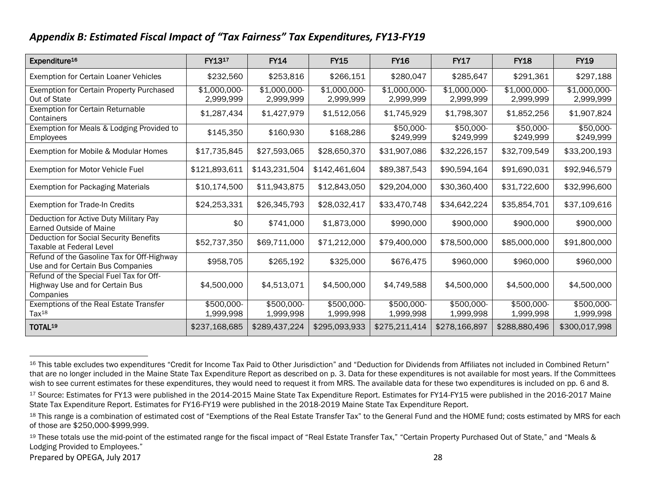# *Appendix B: Estimated Fiscal Impact of "Tax Fairness" Tax Expenditures, FY13-FY19*

| Expenditure <sup>16</sup>                                                               | FY1317                    | <b>FY14</b>               | <b>FY15</b>               | <b>FY16</b>               | <b>FY17</b>               | <b>FY18</b>               | <b>FY19</b>               |
|-----------------------------------------------------------------------------------------|---------------------------|---------------------------|---------------------------|---------------------------|---------------------------|---------------------------|---------------------------|
| Exemption for Certain Loaner Vehicles                                                   | \$232,560                 | \$253,816                 | \$266,151                 | \$280,047                 | \$285,647                 | \$291,361                 | \$297,188                 |
| Exemption for Certain Property Purchased<br>Out of State                                | \$1,000,000-<br>2,999,999 | \$1,000,000-<br>2,999,999 | \$1,000,000-<br>2,999,999 | \$1,000,000-<br>2,999,999 | \$1,000,000-<br>2,999,999 | \$1,000,000-<br>2,999,999 | \$1,000,000-<br>2,999,999 |
| <b>Exemption for Certain Returnable</b><br>Containers                                   | \$1,287,434               | \$1,427,979               | \$1,512,056               | \$1,745,929               | \$1,798,307               | \$1,852,256               | \$1,907,824               |
| Exemption for Meals & Lodging Provided to<br><b>Employees</b>                           | \$145,350                 | \$160,930                 | \$168,286                 | $$50,000-$<br>\$249,999   | $$50,000-$<br>\$249,999   | $$50,000-$<br>\$249,999   | $$50,000-$<br>\$249,999   |
| Exemption for Mobile & Modular Homes                                                    | \$17,735,845              | \$27,593,065              | \$28,650,370              | \$31,907,086              | \$32,226,157              | \$32,709,549              | \$33,200,193              |
| Exemption for Motor Vehicle Fuel                                                        | \$121,893,611             | \$143,231,504             | \$142,461,604             | \$89,387,543              | \$90,594,164              | \$91,690,031              | \$92,946,579              |
| <b>Exemption for Packaging Materials</b>                                                | \$10,174,500              | \$11,943,875              | \$12,843,050              | \$29,204,000              | \$30,360,400              | \$31,722,600              | \$32,996,600              |
| Exemption for Trade-In Credits                                                          | \$24,253,331              | \$26,345,793              | \$28,032,417              | \$33,470,748              | \$34,642,224              | \$35,854,701              | \$37,109,616              |
| Deduction for Active Duty Military Pay<br>Earned Outside of Maine                       | \$0                       | \$741,000                 | \$1,873,000               | \$990,000                 | \$900,000                 | \$900,000                 | \$900,000                 |
| Deduction for Social Security Benefits<br>Taxable at Federal Level                      | \$52,737,350              | \$69,711,000              | \$71,212,000              | \$79,400,000              | \$78,500,000              | \$85,000,000              | \$91,800,000              |
| Refund of the Gasoline Tax for Off-Highway<br>Use and for Certain Bus Companies         | \$958,705                 | \$265,192                 | \$325,000                 | \$676,475                 | \$960,000                 | \$960,000                 | \$960,000                 |
| Refund of the Special Fuel Tax for Off-<br>Highway Use and for Certain Bus<br>Companies | \$4,500,000               | \$4,513,071               | \$4,500,000               | \$4,749,588               | \$4,500,000               | \$4,500,000               | \$4,500,000               |
| Exemptions of the Real Estate Transfer<br>Tax <sup>18</sup>                             | \$500,000-<br>1,999,998   | \$500,000-<br>1,999,998   | \$500,000-<br>1,999,998   | \$500,000-<br>1,999,998   | \$500,000-<br>1,999,998   | \$500,000-<br>1,999,998   | \$500,000-<br>1,999,998   |
| TOTAL <sup>19</sup>                                                                     | \$237,168,685             | \$289,437,224             | \$295,093,933             | \$275,211,414             | \$278,166,897             | \$288,880,496             | \$300,017,998             |

 $\overline{\phantom{a}}$ 16 This table excludes two expenditures "Credit for Income Tax Paid to Other Jurisdiction" and "Deduction for Dividends from Affiliates not included in Combined Return" that are no longer included in the Maine State Tax Expenditure Report as described on p. 3. Data for these expenditures is not available for most years. If the Committees wish to see current estimates for these expenditures, they would need to request it from MRS. The available data for these two expenditures is included on pp. 6 and 8.

Prepared by OPEGA, July 2017 28

<sup>17</sup> Source: Estimates for FY13 were published in the 2014-2015 Maine State Tax Expenditure Report. Estimates for FY14-FY15 were published in the 2016-2017 Maine State Tax Expenditure Report. Estimates for FY16-FY19 were published in the 2018-2019 Maine State Tax Expenditure Report.

<sup>18</sup> This range is a combination of estimated cost of "Exemptions of the Real Estate Transfer Tax" to the General Fund and the HOME fund; costs estimated by MRS for each of those are \$250,000-\$999,999.

<sup>&</sup>lt;sup>19</sup> These totals use the mid-point of the estimated range for the fiscal impact of "Real Estate Transfer Tax," "Certain Property Purchased Out of State," and "Meals & Lodging Provided to Employees."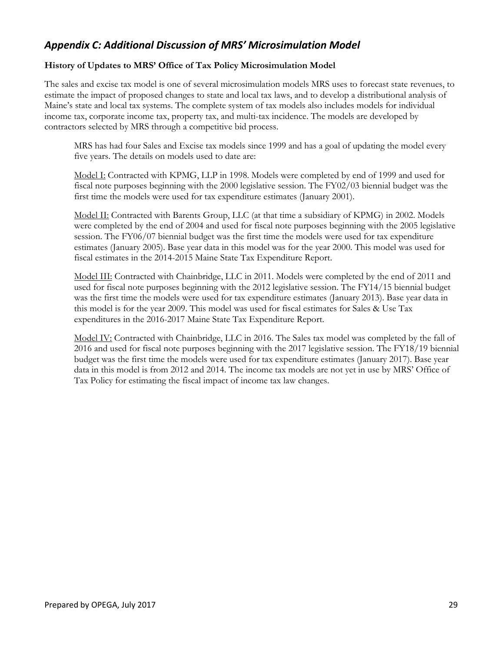# *Appendix C: Additional Discussion of MRS' Microsimulation Model*

#### **History of Updates to MRS' Office of Tax Policy Microsimulation Model**

The sales and excise tax model is one of several microsimulation models MRS uses to forecast state revenues, to estimate the impact of proposed changes to state and local tax laws, and to develop a distributional analysis of Maine's state and local tax systems. The complete system of tax models also includes models for individual income tax, corporate income tax, property tax, and multi-tax incidence. The models are developed by contractors selected by MRS through a competitive bid process.

MRS has had four Sales and Excise tax models since 1999 and has a goal of updating the model every five years. The details on models used to date are:

Model I: Contracted with KPMG, LLP in 1998. Models were completed by end of 1999 and used for fiscal note purposes beginning with the 2000 legislative session. The FY02/03 biennial budget was the first time the models were used for tax expenditure estimates (January 2001).

Model II: Contracted with Barents Group, LLC (at that time a subsidiary of KPMG) in 2002. Models were completed by the end of 2004 and used for fiscal note purposes beginning with the 2005 legislative session. The FY06/07 biennial budget was the first time the models were used for tax expenditure estimates (January 2005). Base year data in this model was for the year 2000. This model was used for fiscal estimates in the 2014-2015 Maine State Tax Expenditure Report.

Model III: Contracted with Chainbridge, LLC in 2011. Models were completed by the end of 2011 and used for fiscal note purposes beginning with the 2012 legislative session. The FY14/15 biennial budget was the first time the models were used for tax expenditure estimates (January 2013). Base year data in this model is for the year 2009. This model was used for fiscal estimates for Sales & Use Tax expenditures in the 2016-2017 Maine State Tax Expenditure Report.

Model IV: Contracted with Chainbridge, LLC in 2016. The Sales tax model was completed by the fall of 2016 and used for fiscal note purposes beginning with the 2017 legislative session. The FY18/19 biennial budget was the first time the models were used for tax expenditure estimates (January 2017). Base year data in this model is from 2012 and 2014. The income tax models are not yet in use by MRS' Office of Tax Policy for estimating the fiscal impact of income tax law changes.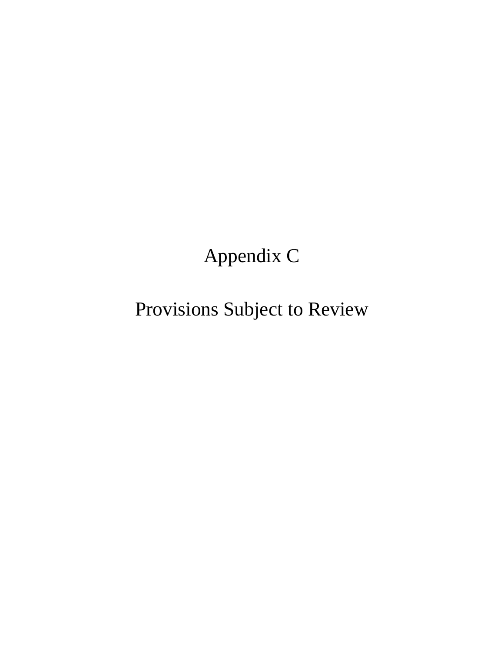# Appendix C

Provisions Subject to Review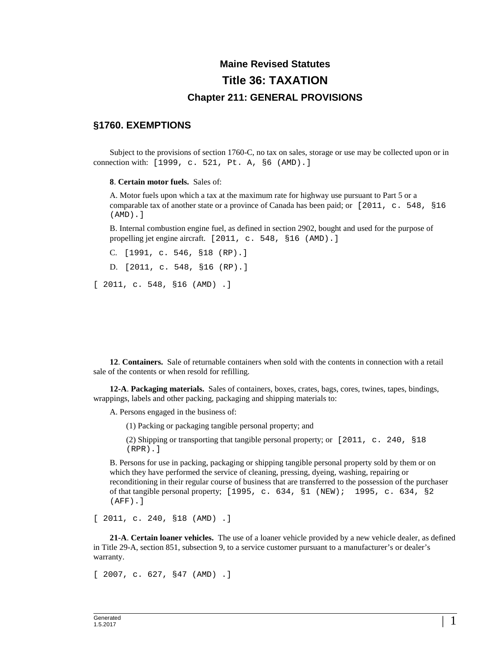# **Maine Revised Statutes Title 36: TAXATION Chapter 211: GENERAL PROVISIONS**

### **§1760. EXEMPTIONS**

Subject to the provisions of section 1760-C, no tax on sales, storage or use may be collected upon or in connection with: [1999, c. 521, Pt. A, §6 (AMD).]

**8**. **Certain motor fuels.** Sales of:

A. Motor fuels upon which a tax at the maximum rate for highway use pursuant to Part 5 or a comparable tax of another state or a province of Canada has been paid; or [2011, c. 548, §16 (AMD).]

B. Internal combustion engine fuel, as defined in section 2902, bought and used for the purpose of propelling jet engine aircraft. [2011, c. 548, §16 (AMD).]

C. [1991, c. 546, §18 (RP).] D. [2011, c. 548, §16 (RP).] [ 2011, c. 548, §16 (AMD) .]

**12**. **Containers.** Sale of returnable containers when sold with the contents in connection with a retail sale of the contents or when resold for refilling.

**12-A**. **Packaging materials.** Sales of containers, boxes, crates, bags, cores, twines, tapes, bindings, wrappings, labels and other packing, packaging and shipping materials to:

A. Persons engaged in the business of:

(1) Packing or packaging tangible personal property; and

(2) Shipping or transporting that tangible personal property; or [2011, c. 240, §18 (RPR).]

B. Persons for use in packing, packaging or shipping tangible personal property sold by them or on which they have performed the service of cleaning, pressing, dyeing, washing, repairing or reconditioning in their regular course of business that are transferred to the possession of the purchaser of that tangible personal property; [1995, c. 634, §1 (NEW); 1995, c. 634, §2 (AFF).]

[ 2011, c. 240, §18 (AMD) .]

**21-A**. **Certain loaner vehicles.** The use of a loaner vehicle provided by a new vehicle dealer, as defined in Title 29-A, section 851, subsection 9, to a service customer pursuant to a manufacturer's or dealer's warranty.

[ 2007, c. 627, §47 (AMD) .]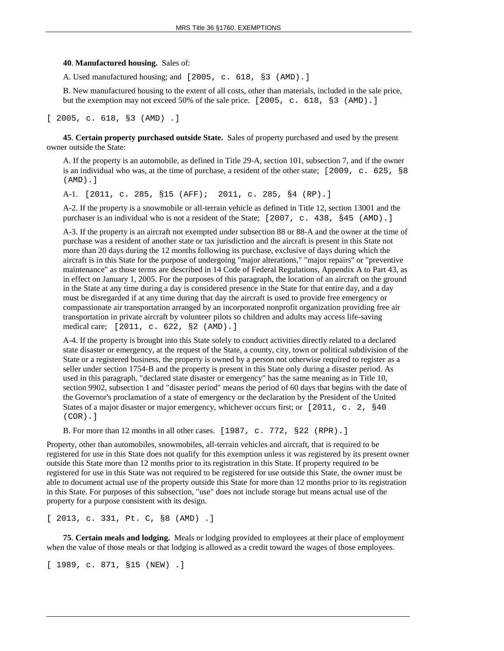#### **40**. **Manufactured housing.** Sales of:

A. Used manufactured housing; and [2005, c. 618, §3 (AMD).]

B. New manufactured housing to the extent of all costs, other than materials, included in the sale price, but the exemption may not exceed 50% of the sale price. [2005, c. 618, §3 (AMD).]

[ 2005, c. 618, §3 (AMD) .]

**45**. **Certain property purchased outside State.** Sales of property purchased and used by the present owner outside the State:

A. If the property is an automobile, as defined in Title 29-A, section 101, subsection 7, and if the owner is an individual who was, at the time of purchase, a resident of the other state; [2009, c. 625, §8 (AMD).]

A-1. [2011, c. 285, §15 (AFF); 2011, c. 285, §4 (RP).]

A-2. If the property is a snowmobile or all-terrain vehicle as defined in Title 12, section 13001 and the purchaser is an individual who is not a resident of the State; [2007, c. 438, §45 (AMD).]

A-3. If the property is an aircraft not exempted under subsection 88 or 88-A and the owner at the time of purchase was a resident of another state or tax jurisdiction and the aircraft is present in this State not more than 20 days during the 12 months following its purchase, exclusive of days during which the aircraft is in this State for the purpose of undergoing "major alterations," "major repairs" or "preventive maintenance" as those terms are described in 14 Code of Federal Regulations, Appendix A to Part 43, as in effect on January 1, 2005. For the purposes of this paragraph, the location of an aircraft on the ground in the State at any time during a day is considered presence in the State for that entire day, and a day must be disregarded if at any time during that day the aircraft is used to provide free emergency or compassionate air transportation arranged by an incorporated nonprofit organization providing free air transportation in private aircraft by volunteer pilots so children and adults may access life-saving medical care; [2011, c. 622, §2 (AMD).]

A-4. If the property is brought into this State solely to conduct activities directly related to a declared state disaster or emergency, at the request of the State, a county, city, town or political subdivision of the State or a registered business, the property is owned by a person not otherwise required to register as a seller under section 1754-B and the property is present in this State only during a disaster period. As used in this paragraph, "declared state disaster or emergency" has the same meaning as in Title 10, section 9902, subsection 1 and "disaster period" means the period of 60 days that begins with the date of the Governor's proclamation of a state of emergency or the declaration by the President of the United States of a major disaster or major emergency, whichever occurs first; or [2011, c. 2, §40] (COR).]

B. For more than 12 months in all other cases. [1987, c. 772, §22 (RPR).]

Property, other than automobiles, snowmobiles, all-terrain vehicles and aircraft, that is required to be registered for use in this State does not qualify for this exemption unless it was registered by its present owner outside this State more than 12 months prior to its registration in this State. If property required to be registered for use in this State was not required to be registered for use outside this State, the owner must be able to document actual use of the property outside this State for more than 12 months prior to its registration in this State. For purposes of this subsection, "use" does not include storage but means actual use of the property for a purpose consistent with its design.

[ 2013, c. 331, Pt. C, §8 (AMD) .]

**75**. **Certain meals and lodging.** Meals or lodging provided to employees at their place of employment when the value of those meals or that lodging is allowed as a credit toward the wages of those employees.

[ 1989, c. 871, §15 (NEW) .]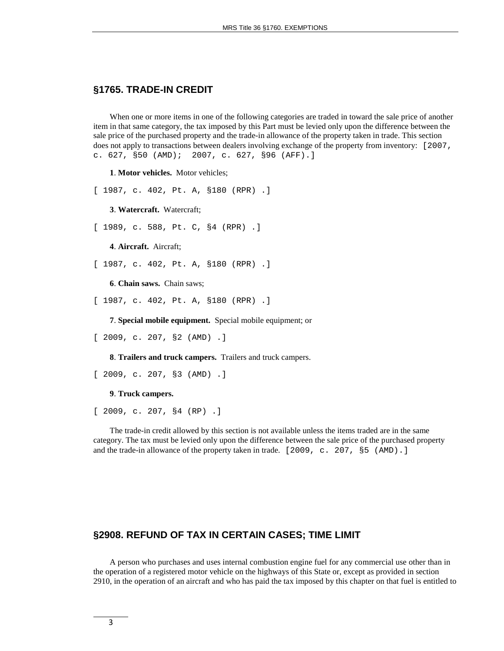#### **§1765. TRADE-IN CREDIT**

When one or more items in one of the following categories are traded in toward the sale price of another item in that same category, the tax imposed by this Part must be levied only upon the difference between the sale price of the purchased property and the trade-in allowance of the property taken in trade. This section does not apply to transactions between dealers involving exchange of the property from inventory: [2007, c. 627, §50 (AMD); 2007, c. 627, §96 (AFF).]

**1**. **Motor vehicles.** Motor vehicles;

[ 1987, c. 402, Pt. A, §180 (RPR) .]

**3**. **Watercraft.** Watercraft;

[ 1989, c. 588, Pt. C, §4 (RPR) .]

**4**. **Aircraft.** Aircraft;

[ 1987, c. 402, Pt. A, §180 (RPR) .]

**6**. **Chain saws.** Chain saws;

[ 1987, c. 402, Pt. A, §180 (RPR) .]

**7**. **Special mobile equipment.** Special mobile equipment; or

[ 2009, c. 207, §2 (AMD) .]

**8**. **Trailers and truck campers.** Trailers and truck campers.

```
[ 2009, c. 207, §3 (AMD) .]
```
**9**. **Truck campers.**

[ 2009, c. 207, §4 (RP) .]

The trade-in credit allowed by this section is not available unless the items traded are in the same category. The tax must be levied only upon the difference between the sale price of the purchased property and the trade-in allowance of the property taken in trade. [2009, c. 207, §5 (AMD).]

#### **§2908. REFUND OF TAX IN CERTAIN CASES; TIME LIMIT**

A person who purchases and uses internal combustion engine fuel for any commercial use other than in the operation of a registered motor vehicle on the highways of this State or, except as provided in section 2910, in the operation of an aircraft and who has paid the tax imposed by this chapter on that fuel is entitled to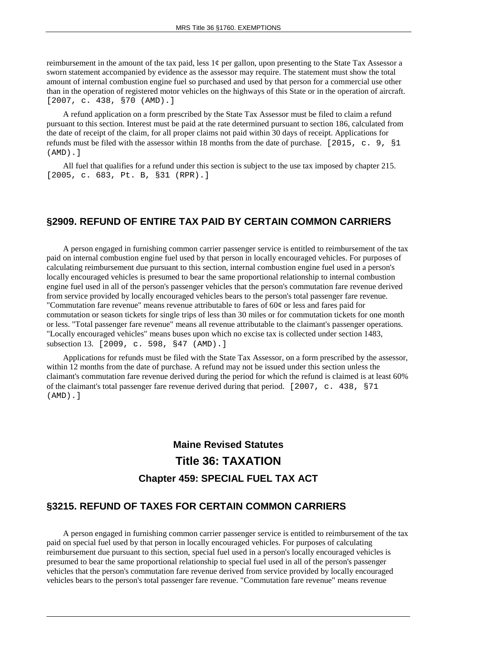reimbursement in the amount of the tax paid, less  $1¢$  per gallon, upon presenting to the State Tax Assessor a sworn statement accompanied by evidence as the assessor may require. The statement must show the total amount of internal combustion engine fuel so purchased and used by that person for a commercial use other than in the operation of registered motor vehicles on the highways of this State or in the operation of aircraft. [2007, c. 438, §70 (AMD).]

A refund application on a form prescribed by the State Tax Assessor must be filed to claim a refund pursuant to this section. Interest must be paid at the rate determined pursuant to section 186, calculated from the date of receipt of the claim, for all proper claims not paid within 30 days of receipt. Applications for refunds must be filed with the assessor within 18 months from the date of purchase. [2015, c. 9, §1 (AMD).]

All fuel that qualifies for a refund under this section is subject to the use tax imposed by chapter 215. [2005, c. 683, Pt. B, §31 (RPR).]

#### **§2909. REFUND OF ENTIRE TAX PAID BY CERTAIN COMMON CARRIERS**

A person engaged in furnishing common carrier passenger service is entitled to reimbursement of the tax paid on internal combustion engine fuel used by that person in locally encouraged vehicles. For purposes of calculating reimbursement due pursuant to this section, internal combustion engine fuel used in a person's locally encouraged vehicles is presumed to bear the same proportional relationship to internal combustion engine fuel used in all of the person's passenger vehicles that the person's commutation fare revenue derived from service provided by locally encouraged vehicles bears to the person's total passenger fare revenue. "Commutation fare revenue" means revenue attributable to fares of  $60¢$  or less and fares paid for commutation or season tickets for single trips of less than 30 miles or for commutation tickets for one month or less. "Total passenger fare revenue" means all revenue attributable to the claimant's passenger operations. "Locally encouraged vehicles" means buses upon which no excise tax is collected under section 1483, subsection 13. [2009, c. 598, §47 (AMD).]

Applications for refunds must be filed with the State Tax Assessor, on a form prescribed by the assessor, within 12 months from the date of purchase. A refund may not be issued under this section unless the claimant's commutation fare revenue derived during the period for which the refund is claimed is at least 60% of the claimant's total passenger fare revenue derived during that period. [2007, c. 438, §71 (AMD).]

# **Maine Revised Statutes Title 36: TAXATION Chapter 459: SPECIAL FUEL TAX ACT**

#### **§3215. REFUND OF TAXES FOR CERTAIN COMMON CARRIERS**

A person engaged in furnishing common carrier passenger service is entitled to reimbursement of the tax paid on special fuel used by that person in locally encouraged vehicles. For purposes of calculating reimbursement due pursuant to this section, special fuel used in a person's locally encouraged vehicles is presumed to bear the same proportional relationship to special fuel used in all of the person's passenger vehicles that the person's commutation fare revenue derived from service provided by locally encouraged vehicles bears to the person's total passenger fare revenue. "Commutation fare revenue" means revenue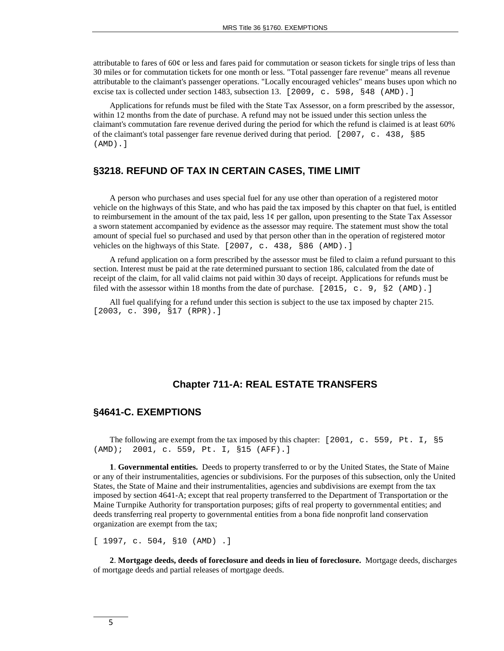attributable to fares of 60¢ or less and fares paid for commutation or season tickets for single trips of less than 30 miles or for commutation tickets for one month or less. "Total passenger fare revenue" means all revenue attributable to the claimant's passenger operations. "Locally encouraged vehicles" means buses upon which no excise tax is collected under section 1483, subsection 13. [2009, c. 598, §48 (AMD).]

Applications for refunds must be filed with the State Tax Assessor, on a form prescribed by the assessor, within 12 months from the date of purchase. A refund may not be issued under this section unless the claimant's commutation fare revenue derived during the period for which the refund is claimed is at least 60% of the claimant's total passenger fare revenue derived during that period. [2007, c. 438, §85 (AMD).]

#### **§3218. REFUND OF TAX IN CERTAIN CASES, TIME LIMIT**

A person who purchases and uses special fuel for any use other than operation of a registered motor vehicle on the highways of this State, and who has paid the tax imposed by this chapter on that fuel, is entitled to reimbursement in the amount of the tax paid, less  $1¢$  per gallon, upon presenting to the State Tax Assessor a sworn statement accompanied by evidence as the assessor may require. The statement must show the total amount of special fuel so purchased and used by that person other than in the operation of registered motor vehicles on the highways of this State. [2007, c. 438, §86 (AMD).]

A refund application on a form prescribed by the assessor must be filed to claim a refund pursuant to this section. Interest must be paid at the rate determined pursuant to section 186, calculated from the date of receipt of the claim, for all valid claims not paid within 30 days of receipt. Applications for refunds must be filed with the assessor within 18 months from the date of purchase. [2015, c. 9,  $\S$ 2 (AMD).]

All fuel qualifying for a refund under this section is subject to the use tax imposed by chapter 215. [2003, c. 390, §17 (RPR).]

#### **Chapter 711-A: REAL ESTATE TRANSFERS**

#### **§4641-C. EXEMPTIONS**

The following are exempt from the tax imposed by this chapter: [2001, c. 559, Pt. I, §5 (AMD); 2001, c. 559, Pt. I, §15 (AFF). (AMD); 2001, c. 559, Pt. I, §15 (AFF).]

**1**. **Governmental entities.** Deeds to property transferred to or by the United States, the State of Maine or any of their instrumentalities, agencies or subdivisions. For the purposes of this subsection, only the United States, the State of Maine and their instrumentalities, agencies and subdivisions are exempt from the tax imposed by section 4641-A; except that real property transferred to the Department of Transportation or the Maine Turnpike Authority for transportation purposes; gifts of real property to governmental entities; and deeds transferring real property to governmental entities from a bona fide nonprofit land conservation organization are exempt from the tax;

[ 1997, c. 504, §10 (AMD) .]

**2**. **Mortgage deeds, deeds of foreclosure and deeds in lieu of foreclosure.** Mortgage deeds, discharges of mortgage deeds and partial releases of mortgage deeds.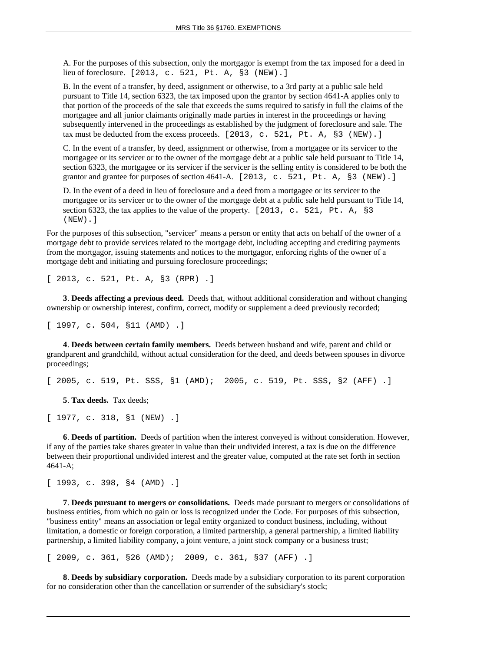A. For the purposes of this subsection, only the mortgagor is exempt from the tax imposed for a deed in lieu of foreclosure. [2013, c. 521, Pt. A, §3 (NEW).]

B. In the event of a transfer, by deed, assignment or otherwise, to a 3rd party at a public sale held pursuant to Title 14, section 6323, the tax imposed upon the grantor by section 4641-A applies only to that portion of the proceeds of the sale that exceeds the sums required to satisfy in full the claims of the mortgagee and all junior claimants originally made parties in interest in the proceedings or having subsequently intervened in the proceedings as established by the judgment of foreclosure and sale. The tax must be deducted from the excess proceeds.  $[2013, c. 521, Pt. A, §3 (NEW).]$ 

C. In the event of a transfer, by deed, assignment or otherwise, from a mortgagee or its servicer to the mortgagee or its servicer or to the owner of the mortgage debt at a public sale held pursuant to Title 14, section 6323, the mortgagee or its servicer if the servicer is the selling entity is considered to be both the grantor and grantee for purposes of section 4641-A. [2013, c. 521, Pt. A, §3 (NEW).]

D. In the event of a deed in lieu of foreclosure and a deed from a mortgagee or its servicer to the mortgagee or its servicer or to the owner of the mortgage debt at a public sale held pursuant to Title 14, section 6323, the tax applies to the value of the property. [2013, c. 521, Pt. A, §3 (NEW).]

For the purposes of this subsection, "servicer" means a person or entity that acts on behalf of the owner of a mortgage debt to provide services related to the mortgage debt, including accepting and crediting payments from the mortgagor, issuing statements and notices to the mortgagor, enforcing rights of the owner of a mortgage debt and initiating and pursuing foreclosure proceedings;

[ 2013, c. 521, Pt. A, §3 (RPR) .]

**3**. **Deeds affecting a previous deed.** Deeds that, without additional consideration and without changing ownership or ownership interest, confirm, correct, modify or supplement a deed previously recorded;

[ 1997, c. 504, §11 (AMD) .]

**4**. **Deeds between certain family members.** Deeds between husband and wife, parent and child or grandparent and grandchild, without actual consideration for the deed, and deeds between spouses in divorce proceedings;

[ 2005, c. 519, Pt. SSS, §1 (AMD); 2005, c. 519, Pt. SSS, §2 (AFF) .]

**5**. **Tax deeds.** Tax deeds;

[ 1977, c. 318, §1 (NEW) .]

**6**. **Deeds of partition.** Deeds of partition when the interest conveyed is without consideration. However, if any of the parties take shares greater in value than their undivided interest, a tax is due on the difference between their proportional undivided interest and the greater value, computed at the rate set forth in section 4641-A;

[ 1993, c. 398, §4 (AMD) .]

**7**. **Deeds pursuant to mergers or consolidations.** Deeds made pursuant to mergers or consolidations of business entities, from which no gain or loss is recognized under the Code. For purposes of this subsection, "business entity" means an association or legal entity organized to conduct business, including, without limitation, a domestic or foreign corporation, a limited partnership, a general partnership, a limited liability partnership, a limited liability company, a joint venture, a joint stock company or a business trust;

[ 2009, c. 361, §26 (AMD); 2009, c. 361, §37 (AFF) .]

**8**. **Deeds by subsidiary corporation.** Deeds made by a subsidiary corporation to its parent corporation for no consideration other than the cancellation or surrender of the subsidiary's stock;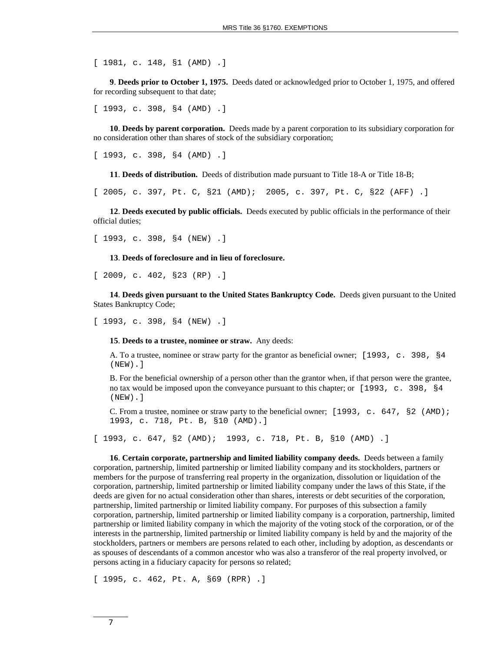[ 1981, c. 148, §1 (AMD) .]

**9**. **Deeds prior to October 1, 1975.** Deeds dated or acknowledged prior to October 1, 1975, and offered for recording subsequent to that date;

[ 1993, c. 398, §4 (AMD) .]

**10**. **Deeds by parent corporation.** Deeds made by a parent corporation to its subsidiary corporation for no consideration other than shares of stock of the subsidiary corporation;

[ 1993, c. 398, §4 (AMD) .]

**11**. **Deeds of distribution.** Deeds of distribution made pursuant to Title 18-A or Title 18-B;

[ 2005, c. 397, Pt. C, §21 (AMD); 2005, c. 397, Pt. C, §22 (AFF) .]

**12**. **Deeds executed by public officials.** Deeds executed by public officials in the performance of their official duties;

[ 1993, c. 398, §4 (NEW) .]

**13**. **Deeds of foreclosure and in lieu of foreclosure.**

[ 2009, c. 402, §23 (RP) .]

**14**. **Deeds given pursuant to the United States Bankruptcy Code.** Deeds given pursuant to the United States Bankruptcy Code;

[ 1993, c. 398, §4 (NEW) .]

**15**. **Deeds to a trustee, nominee or straw.** Any deeds:

A. To a trustee, nominee or straw party for the grantor as beneficial owner; [1993, c. 398, §4 (NEW).]

B. For the beneficial ownership of a person other than the grantor when, if that person were the grantee, no tax would be imposed upon the conveyance pursuant to this chapter; or [1993, c. 398, §4 (NEW).]

C. From a trustee, nominee or straw party to the beneficial owner; [1993, c. 647, §2 (AMD); 1993, c. 718, Pt. B, §10 (AMD).]

[ 1993, c. 647, §2 (AMD); 1993, c. 718, Pt. B, §10 (AMD) .]

**16**. **Certain corporate, partnership and limited liability company deeds.** Deeds between a family corporation, partnership, limited partnership or limited liability company and its stockholders, partners or members for the purpose of transferring real property in the organization, dissolution or liquidation of the corporation, partnership, limited partnership or limited liability company under the laws of this State, if the deeds are given for no actual consideration other than shares, interests or debt securities of the corporation, partnership, limited partnership or limited liability company. For purposes of this subsection a family corporation, partnership, limited partnership or limited liability company is a corporation, partnership, limited partnership or limited liability company in which the majority of the voting stock of the corporation, or of the interests in the partnership, limited partnership or limited liability company is held by and the majority of the stockholders, partners or members are persons related to each other, including by adoption, as descendants or as spouses of descendants of a common ancestor who was also a transferor of the real property involved, or persons acting in a fiduciary capacity for persons so related;

[ 1995, c. 462, Pt. A, §69 (RPR) .]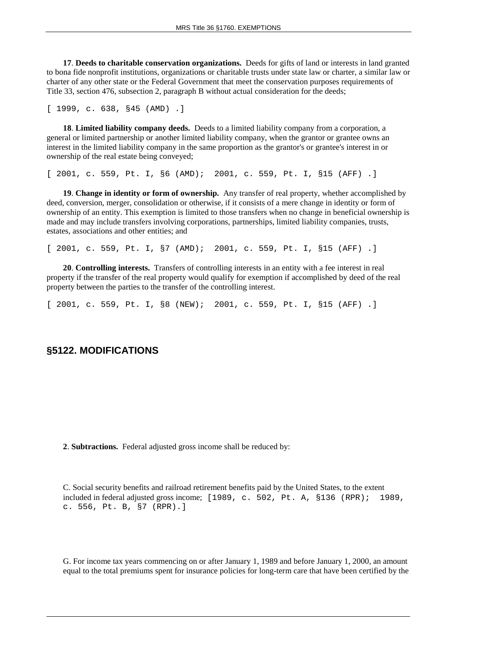**17**. **Deeds to charitable conservation organizations.** Deeds for gifts of land or interests in land granted to bona fide nonprofit institutions, organizations or charitable trusts under state law or charter, a similar law or charter of any other state or the Federal Government that meet the conservation purposes requirements of Title 33, section 476, subsection 2, paragraph B without actual consideration for the deeds;

[ 1999, c. 638, §45 (AMD) .]

**18**. **Limited liability company deeds.** Deeds to a limited liability company from a corporation, a general or limited partnership or another limited liability company, when the grantor or grantee owns an interest in the limited liability company in the same proportion as the grantor's or grantee's interest in or ownership of the real estate being conveyed;

[ 2001, c. 559, Pt. I, §6 (AMD); 2001, c. 559, Pt. I, §15 (AFF) .]

**19**. **Change in identity or form of ownership.** Any transfer of real property, whether accomplished by deed, conversion, merger, consolidation or otherwise, if it consists of a mere change in identity or form of ownership of an entity. This exemption is limited to those transfers when no change in beneficial ownership is made and may include transfers involving corporations, partnerships, limited liability companies, trusts, estates, associations and other entities; and

[ 2001, c. 559, Pt. I, §7 (AMD); 2001, c. 559, Pt. I, §15 (AFF) .]

**20**. **Controlling interests.** Transfers of controlling interests in an entity with a fee interest in real property if the transfer of the real property would qualify for exemption if accomplished by deed of the real property between the parties to the transfer of the controlling interest.

[ 2001, c. 559, Pt. I, §8 (NEW); 2001, c. 559, Pt. I, §15 (AFF) .]

#### **§5122. MODIFICATIONS**

**2**. **Subtractions.** Federal adjusted gross income shall be reduced by:

C. Social security benefits and railroad retirement benefits paid by the United States, to the extent included in federal adjusted gross income; [1989, c. 502, Pt. A, §136 (RPR); 1989, c. 556, Pt. B, §7 (RPR).]

G. For income tax years commencing on or after January 1, 1989 and before January 1, 2000, an amount equal to the total premiums spent for insurance policies for long-term care that have been certified by the